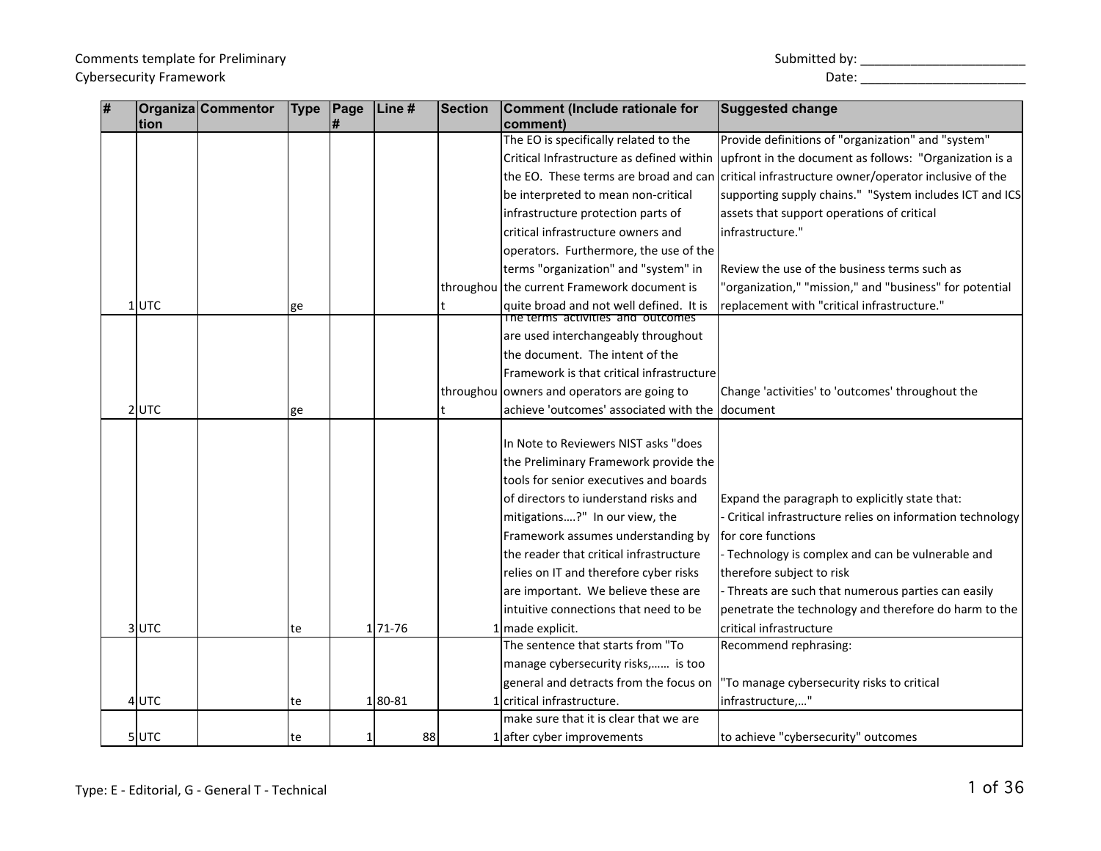| l# | tion    | Organiza Commentor | <b>Type</b> | Page | Line # | Section | Comment (Include rationale for<br>comment)          | <b>Suggested change</b>                                                                          |
|----|---------|--------------------|-------------|------|--------|---------|-----------------------------------------------------|--------------------------------------------------------------------------------------------------|
|    |         |                    |             |      |        |         | The EO is specifically related to the               | Provide definitions of "organization" and "system"                                               |
|    |         |                    |             |      |        |         |                                                     | Critical Infrastructure as defined within upfront in the document as follows: "Organization is a |
|    |         |                    |             |      |        |         |                                                     | the EO. These terms are broad and can critical infrastructure owner/operator inclusive of the    |
|    |         |                    |             |      |        |         | be interpreted to mean non-critical                 | supporting supply chains." "System includes ICT and ICS                                          |
|    |         |                    |             |      |        |         | infrastructure protection parts of                  | assets that support operations of critical                                                       |
|    |         |                    |             |      |        |         | critical infrastructure owners and                  | infrastructure."                                                                                 |
|    |         |                    |             |      |        |         | operators. Furthermore, the use of the              |                                                                                                  |
|    |         |                    |             |      |        |         | terms "organization" and "system" in                | Review the use of the business terms such as                                                     |
|    |         |                    |             |      |        |         | throughou the current Framework document is         | 'organization," "mission," and "business" for potential                                          |
|    | 1 UTC   |                    | ge          |      |        |         | quite broad and not well defined. It is             | replacement with "critical infrastructure."                                                      |
|    |         |                    |             |      |        |         | The terms activities and outcomes                   |                                                                                                  |
|    |         |                    |             |      |        |         | are used interchangeably throughout                 |                                                                                                  |
|    |         |                    |             |      |        |         | the document. The intent of the                     |                                                                                                  |
|    |         |                    |             |      |        |         | Framework is that critical infrastructure           |                                                                                                  |
|    |         |                    |             |      |        |         | throughou owners and operators are going to         | Change 'activities' to 'outcomes' throughout the                                                 |
|    | 2UTC    |                    | ge          |      |        |         | achieve 'outcomes' associated with the document     |                                                                                                  |
|    |         |                    |             |      |        |         | In Note to Reviewers NIST asks "does                |                                                                                                  |
|    |         |                    |             |      |        |         | the Preliminary Framework provide the               |                                                                                                  |
|    |         |                    |             |      |        |         | tools for senior executives and boards              |                                                                                                  |
|    |         |                    |             |      |        |         | of directors to iunderstand risks and               | Expand the paragraph to explicitly state that:                                                   |
|    |         |                    |             |      |        |         | mitigations?" In our view, the                      | Critical infrastructure relies on information technology                                         |
|    |         |                    |             |      |        |         | Framework assumes understanding by                  | for core functions                                                                               |
|    |         |                    |             |      |        |         | the reader that critical infrastructure             |                                                                                                  |
|    |         |                    |             |      |        |         |                                                     | - Technology is complex and can be vulnerable and                                                |
|    |         |                    |             |      |        |         | relies on IT and therefore cyber risks              | therefore subject to risk                                                                        |
|    |         |                    |             |      |        |         | are important. We believe these are                 | - Threats are such that numerous parties can easily                                              |
|    |         |                    |             |      |        |         | intuitive connections that need to be               | penetrate the technology and therefore do harm to the                                            |
|    | 3UTC    |                    | te          |      | 171-76 |         | made explicit.<br>The sentence that starts from "To | critical infrastructure<br>Recommend rephrasing:                                                 |
|    |         |                    |             |      |        |         | manage cybersecurity risks, is too                  |                                                                                                  |
|    |         |                    |             |      |        |         | general and detracts from the focus on              | "To manage cybersecurity risks to critical                                                       |
|    | $4$ UTC |                    | te          |      | 180-81 |         | 1 critical infrastructure.                          | infrastructure,"                                                                                 |
|    |         |                    |             |      |        |         | make sure that it is clear that we are              |                                                                                                  |
|    | $5$ UTC |                    | te          |      | 88     |         | 1 after cyber improvements                          | to achieve "cybersecurity" outcomes                                                              |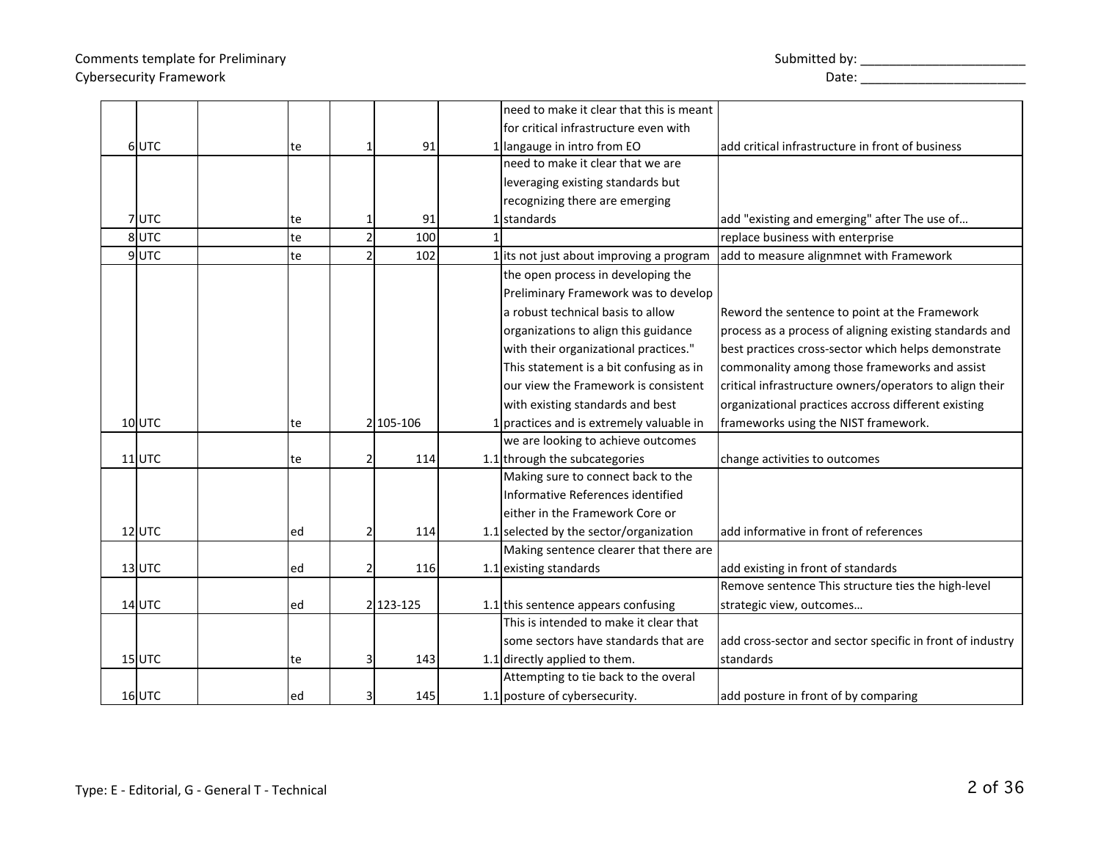# Comments template for Preliminary Cybersecurity Framework Date: \_\_\_\_\_\_\_\_\_\_\_\_\_\_\_\_\_\_\_\_\_\_\_

| Submitted by: |  |
|---------------|--|
|---------------|--|

|          |    |           | need to make it clear that this is meant |                                                           |
|----------|----|-----------|------------------------------------------|-----------------------------------------------------------|
|          |    |           | for critical infrastructure even with    |                                                           |
| 6UTC     | te | 91        | langauge in intro from EO                | add critical infrastructure in front of business          |
|          |    |           | need to make it clear that we are        |                                                           |
|          |    |           | leveraging existing standards but        |                                                           |
|          |    |           | recognizing there are emerging           |                                                           |
| 7UTC     | te | 91        | 1 standards                              | add "existing and emerging" after The use of              |
| 8UTC     | te | 100       |                                          | replace business with enterprise                          |
| 9UTC     | te | 102       | 1 its not just about improving a program | add to measure alignmnet with Framework                   |
|          |    |           | the open process in developing the       |                                                           |
|          |    |           | Preliminary Framework was to develop     |                                                           |
|          |    |           | a robust technical basis to allow        | Reword the sentence to point at the Framework             |
|          |    |           | organizations to align this guidance     | process as a process of aligning existing standards and   |
|          |    |           | with their organizational practices."    | best practices cross-sector which helps demonstrate       |
|          |    |           | This statement is a bit confusing as in  | commonality among those frameworks and assist             |
|          |    |           | our view the Framework is consistent     | critical infrastructure owners/operators to align their   |
|          |    |           | with existing standards and best         | organizational practices accross different existing       |
| $10$ UTC | te | 2 105-106 | 1 practices and is extremely valuable in | frameworks using the NIST framework.                      |
|          |    |           | we are looking to achieve outcomes       |                                                           |
| $11$ UTC | te | 114       | 1.1 through the subcategories            | change activities to outcomes                             |
|          |    |           | Making sure to connect back to the       |                                                           |
|          |    |           | Informative References identified        |                                                           |
|          |    |           | either in the Framework Core or          |                                                           |
| $12$ UTC | ed | 114       | 1.1 selected by the sector/organization  | add informative in front of references                    |
|          |    |           | Making sentence clearer that there are   |                                                           |
| $13$ UTC | ed | 116       | 1.1 existing standards                   | add existing in front of standards                        |
|          |    |           |                                          | Remove sentence This structure ties the high-level        |
| $14$ UTC | ed | 2 123-125 | 1.1 this sentence appears confusing      | strategic view, outcomes                                  |
|          |    |           | This is intended to make it clear that   |                                                           |
|          |    |           | some sectors have standards that are     | add cross-sector and sector specific in front of industry |
| $15$ UTC | te | 143       | 1.1 directly applied to them.            | standards                                                 |
|          |    |           | Attempting to tie back to the overal     |                                                           |
| $16$ UTC | ed | 145       | 1.1 posture of cybersecurity.            | add posture in front of by comparing                      |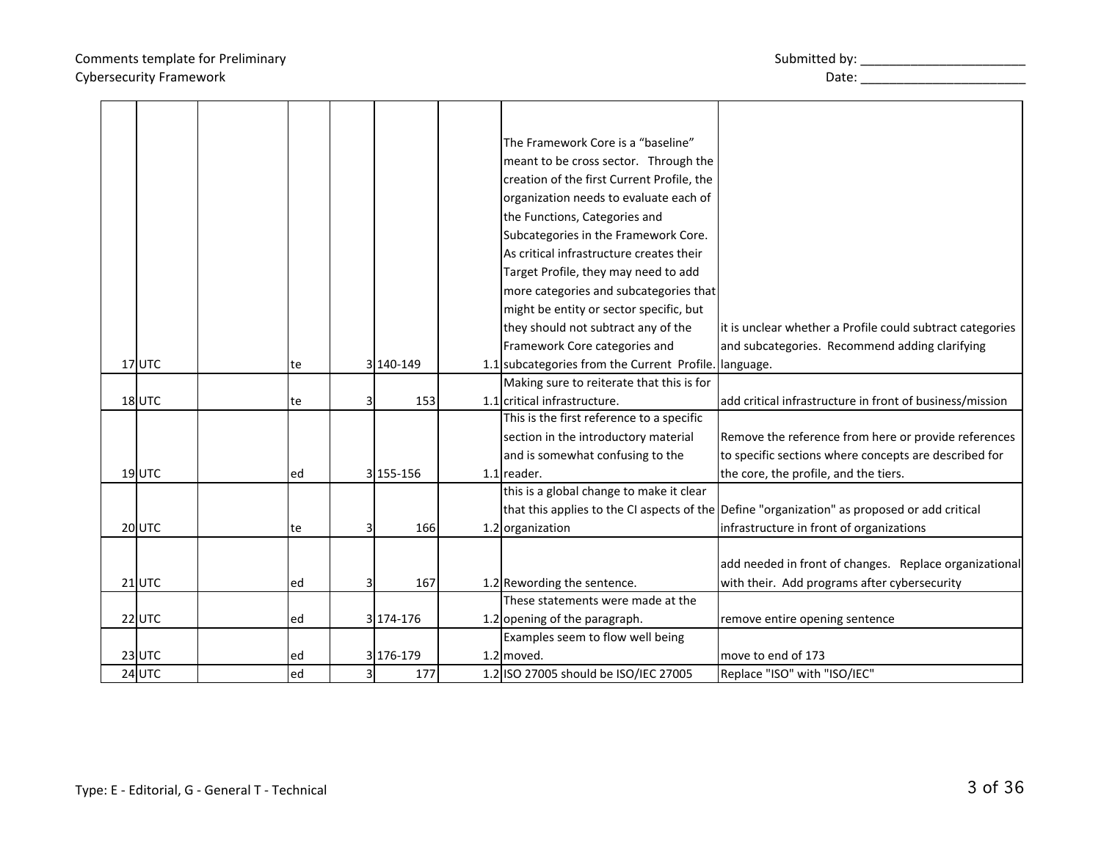## Comments template for Preliminary Cybersecurity Framework and the control of the control of the control of the control of the control of the control of the control of the control of the control of the control of the control of the control of the control of

|  |  |  | Submitted by |  |
|--|--|--|--------------|--|
|--|--|--|--------------|--|

|          |     |           | The Framework Core is a "baseline"                    |                                                                                              |
|----------|-----|-----------|-------------------------------------------------------|----------------------------------------------------------------------------------------------|
|          |     |           | meant to be cross sector. Through the                 |                                                                                              |
|          |     |           | creation of the first Current Profile, the            |                                                                                              |
|          |     |           |                                                       |                                                                                              |
|          |     |           | organization needs to evaluate each of                |                                                                                              |
|          |     |           | the Functions, Categories and                         |                                                                                              |
|          |     |           | Subcategories in the Framework Core.                  |                                                                                              |
|          |     |           | As critical infrastructure creates their              |                                                                                              |
|          |     |           | Target Profile, they may need to add                  |                                                                                              |
|          |     |           | more categories and subcategories that                |                                                                                              |
|          |     |           | might be entity or sector specific, but               |                                                                                              |
|          |     |           | they should not subtract any of the                   | it is unclear whether a Profile could subtract categories                                    |
|          |     |           | Framework Core categories and                         | and subcategories. Recommend adding clarifying                                               |
| $17$ UTC | te  | 3 140-149 | 1.1 subcategories from the Current Profile. language. |                                                                                              |
|          |     |           | Making sure to reiterate that this is for             |                                                                                              |
| $18$ UTC | te  | 153       | 1.1 critical infrastructure.                          | add critical infrastructure in front of business/mission                                     |
|          |     |           | This is the first reference to a specific             |                                                                                              |
|          |     |           | section in the introductory material                  | Remove the reference from here or provide references                                         |
|          |     |           | and is somewhat confusing to the                      | to specific sections where concepts are described for                                        |
| $19$ UTC | ed  | 3 155-156 | 1.1 reader.                                           | the core, the profile, and the tiers.                                                        |
|          |     |           | this is a global change to make it clear              |                                                                                              |
|          |     |           |                                                       | that this applies to the CI aspects of the Define "organization" as proposed or add critical |
| 20UTC    | te  | 166       | 1.2 organization                                      | infrastructure in front of organizations                                                     |
|          |     |           |                                                       |                                                                                              |
|          |     |           |                                                       | add needed in front of changes. Replace organizational                                       |
| $21$ UTC | ed  | 167       | 1.2 Rewording the sentence.                           | with their. Add programs after cybersecurity                                                 |
|          |     |           | These statements were made at the                     |                                                                                              |
| $22$ UTC | led | 3 174-176 | 1.2 opening of the paragraph.                         | remove entire opening sentence                                                               |
|          |     |           | Examples seem to flow well being                      |                                                                                              |
| $23$ UTC | led | 3 176-179 | 1.2 moved.                                            | move to end of 173                                                                           |
| $24$ UTC | led | 177       | 1.2 ISO 27005 should be ISO/IEC 27005                 | Replace "ISO" with "ISO/IEC"                                                                 |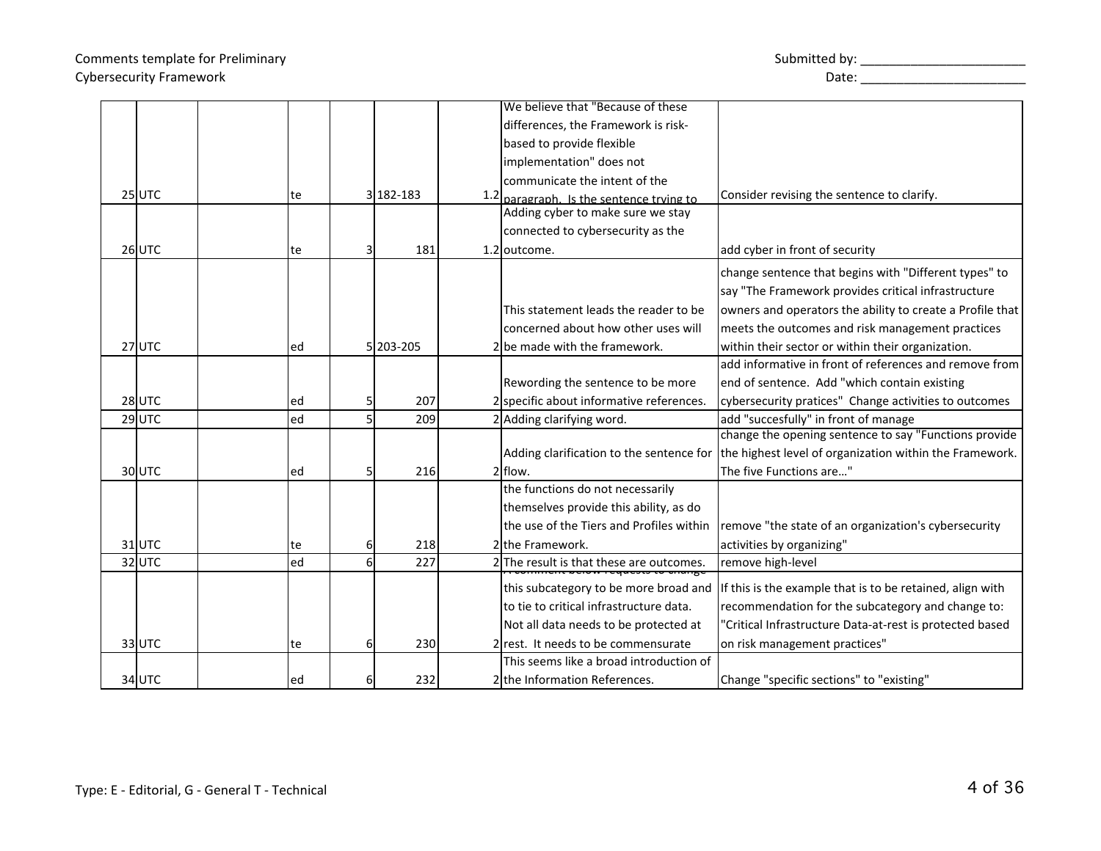| We believe that "Because of these<br>differences, the Framework is risk-<br>based to provide flexible<br>implementation" does not<br>communicate the intent of the<br>$25$ UTC<br>3 182-183<br>Consider revising the sentence to clarify.<br>1.2 paragraph. Is the sentence trying to<br>te<br>Adding cyber to make sure we stay<br>connected to cybersecurity as the<br>$26$ UTC<br>181<br>add cyber in front of security<br>1.2 outcome.<br>te<br>change sentence that begins with "Different types" to<br>say "The Framework provides critical infrastructure<br>This statement leads the reader to be<br>owners and operators the ability to create a Profile that<br>concerned about how other uses will<br>meets the outcomes and risk management practices<br>27UTC<br>5 203 - 205<br>2 be made with the framework.<br>within their sector or within their organization.<br>ed<br>add informative in front of references and remove from<br>Rewording the sentence to be more<br>end of sentence. Add "which contain existing<br>$28$ UTC<br>207<br>2 specific about informative references.<br>cybersecurity pratices" Change activities to outcomes<br>ed<br>$29$ UTC<br>2 Adding clarifying word.<br>add "succesfully" in front of manage<br>ed<br>209<br>change the opening sentence to say "Functions provide<br>the highest level of organization within the Framework.<br>Adding clarification to the sentence for<br>The five Functions are"<br>30UTC<br>$2$ flow.<br>216<br>ed<br>the functions do not necessarily<br>themselves provide this ability, as do |
|------------------------------------------------------------------------------------------------------------------------------------------------------------------------------------------------------------------------------------------------------------------------------------------------------------------------------------------------------------------------------------------------------------------------------------------------------------------------------------------------------------------------------------------------------------------------------------------------------------------------------------------------------------------------------------------------------------------------------------------------------------------------------------------------------------------------------------------------------------------------------------------------------------------------------------------------------------------------------------------------------------------------------------------------------------------------------------------------------------------------------------------------------------------------------------------------------------------------------------------------------------------------------------------------------------------------------------------------------------------------------------------------------------------------------------------------------------------------------------------------------------------------------------------------------------------------------|
|                                                                                                                                                                                                                                                                                                                                                                                                                                                                                                                                                                                                                                                                                                                                                                                                                                                                                                                                                                                                                                                                                                                                                                                                                                                                                                                                                                                                                                                                                                                                                                              |
|                                                                                                                                                                                                                                                                                                                                                                                                                                                                                                                                                                                                                                                                                                                                                                                                                                                                                                                                                                                                                                                                                                                                                                                                                                                                                                                                                                                                                                                                                                                                                                              |
|                                                                                                                                                                                                                                                                                                                                                                                                                                                                                                                                                                                                                                                                                                                                                                                                                                                                                                                                                                                                                                                                                                                                                                                                                                                                                                                                                                                                                                                                                                                                                                              |
|                                                                                                                                                                                                                                                                                                                                                                                                                                                                                                                                                                                                                                                                                                                                                                                                                                                                                                                                                                                                                                                                                                                                                                                                                                                                                                                                                                                                                                                                                                                                                                              |
|                                                                                                                                                                                                                                                                                                                                                                                                                                                                                                                                                                                                                                                                                                                                                                                                                                                                                                                                                                                                                                                                                                                                                                                                                                                                                                                                                                                                                                                                                                                                                                              |
|                                                                                                                                                                                                                                                                                                                                                                                                                                                                                                                                                                                                                                                                                                                                                                                                                                                                                                                                                                                                                                                                                                                                                                                                                                                                                                                                                                                                                                                                                                                                                                              |
|                                                                                                                                                                                                                                                                                                                                                                                                                                                                                                                                                                                                                                                                                                                                                                                                                                                                                                                                                                                                                                                                                                                                                                                                                                                                                                                                                                                                                                                                                                                                                                              |
|                                                                                                                                                                                                                                                                                                                                                                                                                                                                                                                                                                                                                                                                                                                                                                                                                                                                                                                                                                                                                                                                                                                                                                                                                                                                                                                                                                                                                                                                                                                                                                              |
|                                                                                                                                                                                                                                                                                                                                                                                                                                                                                                                                                                                                                                                                                                                                                                                                                                                                                                                                                                                                                                                                                                                                                                                                                                                                                                                                                                                                                                                                                                                                                                              |
|                                                                                                                                                                                                                                                                                                                                                                                                                                                                                                                                                                                                                                                                                                                                                                                                                                                                                                                                                                                                                                                                                                                                                                                                                                                                                                                                                                                                                                                                                                                                                                              |
|                                                                                                                                                                                                                                                                                                                                                                                                                                                                                                                                                                                                                                                                                                                                                                                                                                                                                                                                                                                                                                                                                                                                                                                                                                                                                                                                                                                                                                                                                                                                                                              |
|                                                                                                                                                                                                                                                                                                                                                                                                                                                                                                                                                                                                                                                                                                                                                                                                                                                                                                                                                                                                                                                                                                                                                                                                                                                                                                                                                                                                                                                                                                                                                                              |
|                                                                                                                                                                                                                                                                                                                                                                                                                                                                                                                                                                                                                                                                                                                                                                                                                                                                                                                                                                                                                                                                                                                                                                                                                                                                                                                                                                                                                                                                                                                                                                              |
|                                                                                                                                                                                                                                                                                                                                                                                                                                                                                                                                                                                                                                                                                                                                                                                                                                                                                                                                                                                                                                                                                                                                                                                                                                                                                                                                                                                                                                                                                                                                                                              |
|                                                                                                                                                                                                                                                                                                                                                                                                                                                                                                                                                                                                                                                                                                                                                                                                                                                                                                                                                                                                                                                                                                                                                                                                                                                                                                                                                                                                                                                                                                                                                                              |
|                                                                                                                                                                                                                                                                                                                                                                                                                                                                                                                                                                                                                                                                                                                                                                                                                                                                                                                                                                                                                                                                                                                                                                                                                                                                                                                                                                                                                                                                                                                                                                              |
|                                                                                                                                                                                                                                                                                                                                                                                                                                                                                                                                                                                                                                                                                                                                                                                                                                                                                                                                                                                                                                                                                                                                                                                                                                                                                                                                                                                                                                                                                                                                                                              |
|                                                                                                                                                                                                                                                                                                                                                                                                                                                                                                                                                                                                                                                                                                                                                                                                                                                                                                                                                                                                                                                                                                                                                                                                                                                                                                                                                                                                                                                                                                                                                                              |
|                                                                                                                                                                                                                                                                                                                                                                                                                                                                                                                                                                                                                                                                                                                                                                                                                                                                                                                                                                                                                                                                                                                                                                                                                                                                                                                                                                                                                                                                                                                                                                              |
|                                                                                                                                                                                                                                                                                                                                                                                                                                                                                                                                                                                                                                                                                                                                                                                                                                                                                                                                                                                                                                                                                                                                                                                                                                                                                                                                                                                                                                                                                                                                                                              |
|                                                                                                                                                                                                                                                                                                                                                                                                                                                                                                                                                                                                                                                                                                                                                                                                                                                                                                                                                                                                                                                                                                                                                                                                                                                                                                                                                                                                                                                                                                                                                                              |
|                                                                                                                                                                                                                                                                                                                                                                                                                                                                                                                                                                                                                                                                                                                                                                                                                                                                                                                                                                                                                                                                                                                                                                                                                                                                                                                                                                                                                                                                                                                                                                              |
|                                                                                                                                                                                                                                                                                                                                                                                                                                                                                                                                                                                                                                                                                                                                                                                                                                                                                                                                                                                                                                                                                                                                                                                                                                                                                                                                                                                                                                                                                                                                                                              |
| the use of the Tiers and Profiles within<br>remove "the state of an organization's cybersecurity                                                                                                                                                                                                                                                                                                                                                                                                                                                                                                                                                                                                                                                                                                                                                                                                                                                                                                                                                                                                                                                                                                                                                                                                                                                                                                                                                                                                                                                                             |
| $31$ UTC<br>2 the Framework.<br>218<br>activities by organizing"<br>te<br>6                                                                                                                                                                                                                                                                                                                                                                                                                                                                                                                                                                                                                                                                                                                                                                                                                                                                                                                                                                                                                                                                                                                                                                                                                                                                                                                                                                                                                                                                                                  |
| $32$ UTC<br>ed<br>remove high-level<br>227<br>2 The result is that these are outcomes.                                                                                                                                                                                                                                                                                                                                                                                                                                                                                                                                                                                                                                                                                                                                                                                                                                                                                                                                                                                                                                                                                                                                                                                                                                                                                                                                                                                                                                                                                       |
| this subcategory to be more broad and<br>If this is the example that is to be retained, align with                                                                                                                                                                                                                                                                                                                                                                                                                                                                                                                                                                                                                                                                                                                                                                                                                                                                                                                                                                                                                                                                                                                                                                                                                                                                                                                                                                                                                                                                           |
| to tie to critical infrastructure data.<br>recommendation for the subcategory and change to:                                                                                                                                                                                                                                                                                                                                                                                                                                                                                                                                                                                                                                                                                                                                                                                                                                                                                                                                                                                                                                                                                                                                                                                                                                                                                                                                                                                                                                                                                 |
| "Critical Infrastructure Data-at-rest is protected based<br>Not all data needs to be protected at                                                                                                                                                                                                                                                                                                                                                                                                                                                                                                                                                                                                                                                                                                                                                                                                                                                                                                                                                                                                                                                                                                                                                                                                                                                                                                                                                                                                                                                                            |
| 33UTC<br>on risk management practices"<br>230<br>2 rest. It needs to be commensurate<br>te                                                                                                                                                                                                                                                                                                                                                                                                                                                                                                                                                                                                                                                                                                                                                                                                                                                                                                                                                                                                                                                                                                                                                                                                                                                                                                                                                                                                                                                                                   |
| This seems like a broad introduction of                                                                                                                                                                                                                                                                                                                                                                                                                                                                                                                                                                                                                                                                                                                                                                                                                                                                                                                                                                                                                                                                                                                                                                                                                                                                                                                                                                                                                                                                                                                                      |
| 34UTC<br>232<br>21 the Information References.<br>Change "specific sections" to "existing"<br>led<br>6                                                                                                                                                                                                                                                                                                                                                                                                                                                                                                                                                                                                                                                                                                                                                                                                                                                                                                                                                                                                                                                                                                                                                                                                                                                                                                                                                                                                                                                                       |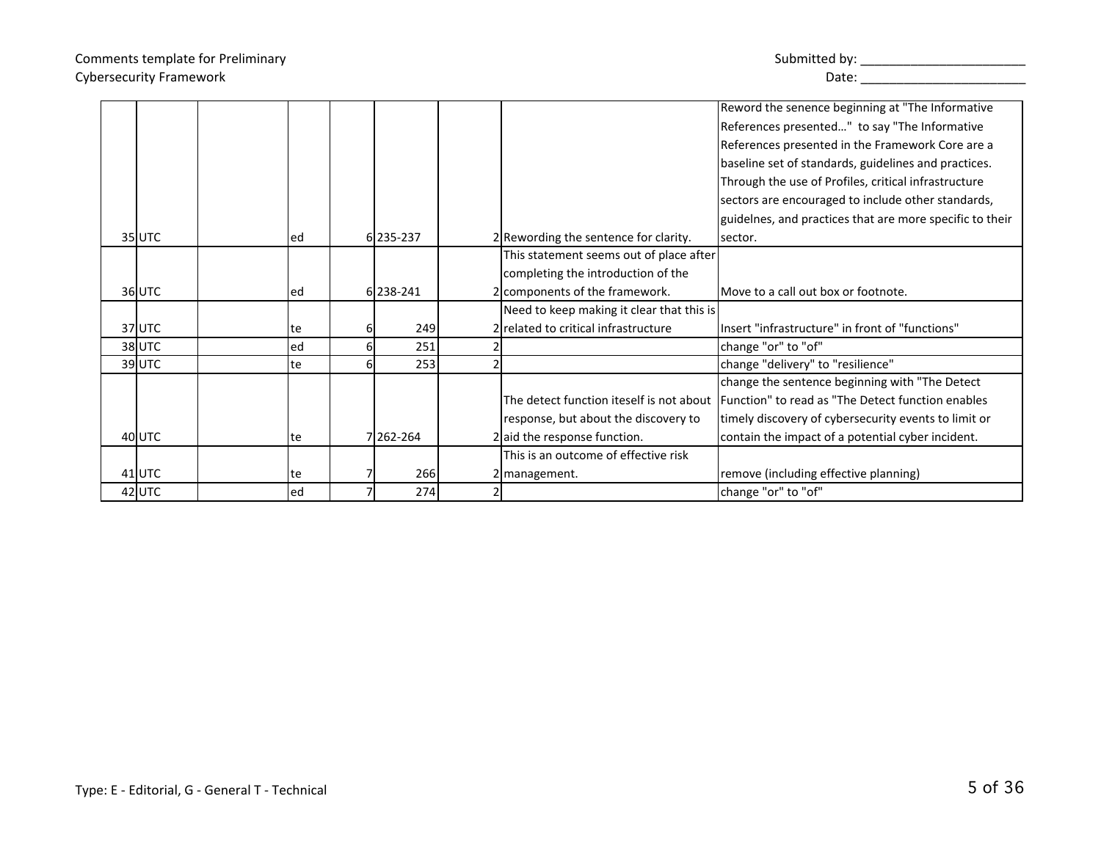## Comments template for Preliminary Cybersecurity Framework **Example 20** and the contract of the Date: <u>Date:</u> 20 and Date:

| Submitted by: |  |
|---------------|--|
|---------------|--|

|          |     |   |             |                                           | Reword the senence beginning at "The Informative                                           |
|----------|-----|---|-------------|-------------------------------------------|--------------------------------------------------------------------------------------------|
|          |     |   |             |                                           | References presented" to say "The Informative                                              |
|          |     |   |             |                                           | References presented in the Framework Core are a                                           |
|          |     |   |             |                                           | baseline set of standards, guidelines and practices.                                       |
|          |     |   |             |                                           | Through the use of Profiles, critical infrastructure                                       |
|          |     |   |             |                                           | sectors are encouraged to include other standards,                                         |
|          |     |   |             |                                           | guidelnes, and practices that are more specific to their                                   |
| 35UTC    | led |   | 6 235-237   | 2 Rewording the sentence for clarity.     | Isector.                                                                                   |
|          |     |   |             | This statement seems out of place after   |                                                                                            |
|          |     |   |             | completing the introduction of the        |                                                                                            |
| 36UTC    | led |   | 6 238-241   | 2 components of the framework.            | Move to a call out box or footnote.                                                        |
|          |     |   |             | Need to keep making it clear that this is |                                                                                            |
| 37UTC    | te  | 6 | 249         | 2 related to critical infrastructure      | Insert "infrastructure" in front of "functions"                                            |
| 38UTC    | ed  |   | 251         |                                           | change "or" to "of"                                                                        |
| $39$ UTC | te  |   | 253         |                                           | change "delivery" to "resilience"                                                          |
|          |     |   |             |                                           | change the sentence beginning with "The Detect                                             |
|          |     |   |             |                                           | The detect function iteself is not about Function" to read as "The Detect function enables |
|          |     |   |             | response, but about the discovery to      | timely discovery of cybersecurity events to limit or                                       |
| $40$ UTC | te  |   | 7 262 - 264 | 2 aid the response function.              | contain the impact of a potential cyber incident.                                          |
|          |     |   |             | This is an outcome of effective risk      |                                                                                            |
| $41$ UTC | te  |   | 266         | 2   management.                           | remove (including effective planning)                                                      |
| 42 UTC   | ed  |   | 274         |                                           | change "or" to "of"                                                                        |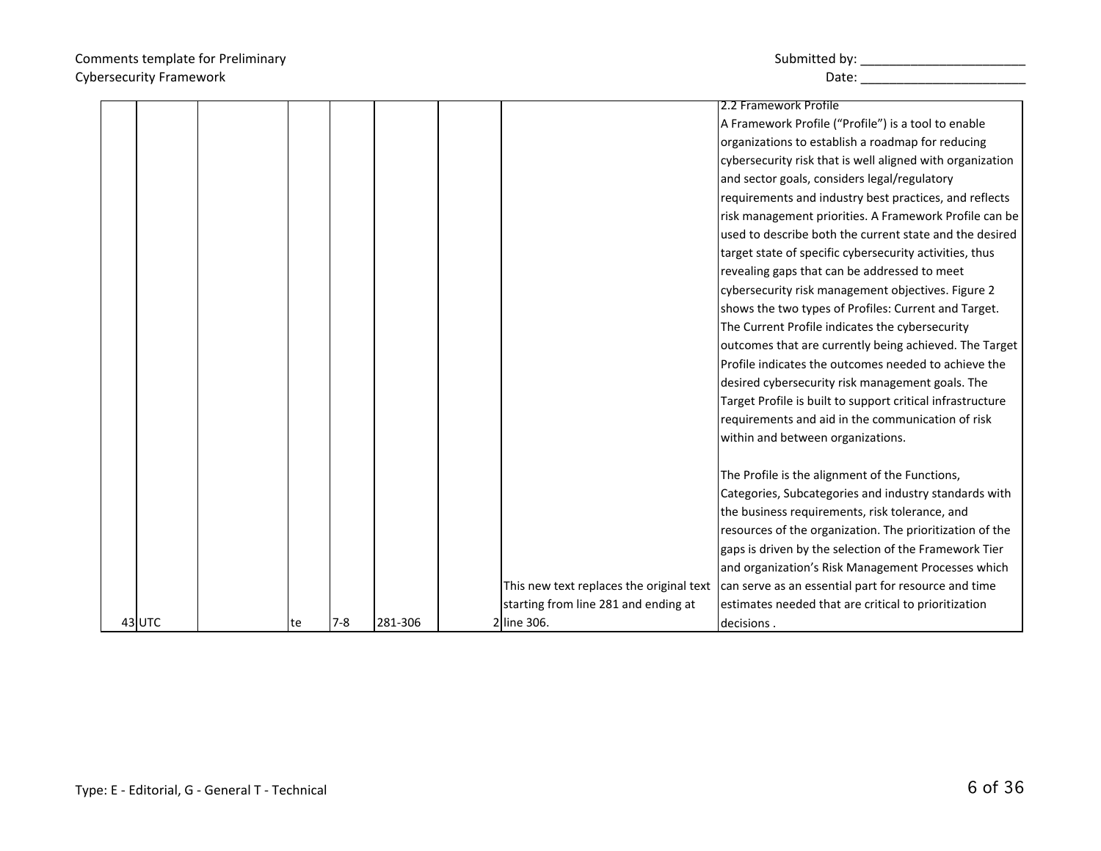# Comments template for Preliminary Cybersecurity Framework Date: \_\_\_\_\_\_\_\_\_\_\_\_\_\_\_\_\_\_\_\_\_\_\_

| Submitted by: |  |
|---------------|--|
|---------------|--|

|        |     |         |         |                                          | 2.2 Framework Profile                                      |
|--------|-----|---------|---------|------------------------------------------|------------------------------------------------------------|
|        |     |         |         |                                          | A Framework Profile ("Profile") is a tool to enable        |
|        |     |         |         |                                          | organizations to establish a roadmap for reducing          |
|        |     |         |         |                                          | cybersecurity risk that is well aligned with organization  |
|        |     |         |         |                                          | and sector goals, considers legal/regulatory               |
|        |     |         |         |                                          | requirements and industry best practices, and reflects     |
|        |     |         |         |                                          | risk management priorities. A Framework Profile can be     |
|        |     |         |         |                                          | used to describe both the current state and the desired    |
|        |     |         |         |                                          | target state of specific cybersecurity activities, thus    |
|        |     |         |         |                                          | revealing gaps that can be addressed to meet               |
|        |     |         |         |                                          | cybersecurity risk management objectives. Figure 2         |
|        |     |         |         |                                          | shows the two types of Profiles: Current and Target.       |
|        |     |         |         |                                          | The Current Profile indicates the cybersecurity            |
|        |     |         |         |                                          | outcomes that are currently being achieved. The Target     |
|        |     |         |         |                                          | Profile indicates the outcomes needed to achieve the       |
|        |     |         |         |                                          | desired cybersecurity risk management goals. The           |
|        |     |         |         |                                          | Target Profile is built to support critical infrastructure |
|        |     |         |         |                                          | requirements and aid in the communication of risk          |
|        |     |         |         |                                          | within and between organizations.                          |
|        |     |         |         |                                          |                                                            |
|        |     |         |         |                                          | The Profile is the alignment of the Functions,             |
|        |     |         |         |                                          | Categories, Subcategories and industry standards with      |
|        |     |         |         |                                          | the business requirements, risk tolerance, and             |
|        |     |         |         |                                          | resources of the organization. The prioritization of the   |
|        |     |         |         |                                          | gaps is driven by the selection of the Framework Tier      |
|        |     |         |         |                                          | and organization's Risk Management Processes which         |
|        |     |         |         | This new text replaces the original text | can serve as an essential part for resource and time       |
|        |     |         |         | starting from line 281 and ending at     | estimates needed that are critical to prioritization       |
| 43 UTC | lte | $7 - 8$ | 281-306 | 2 line 306.                              | ldecisions.                                                |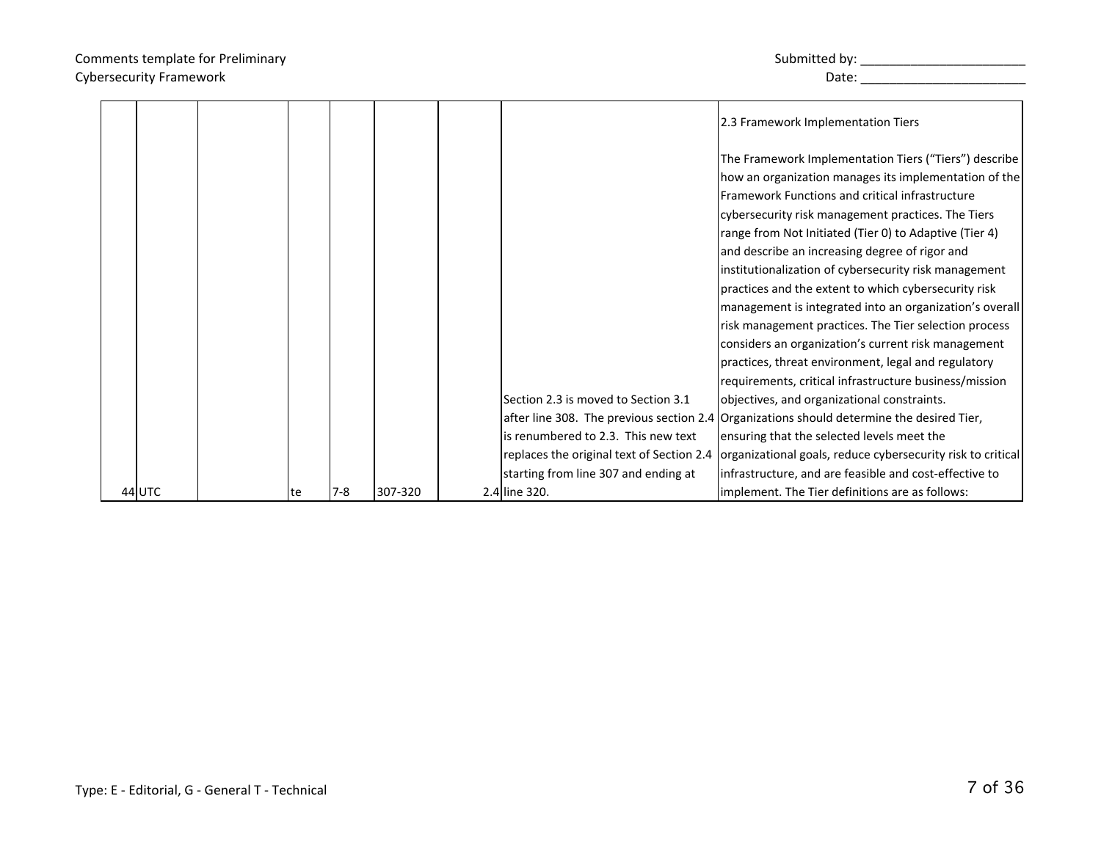|        |    |       |         |                                                                                                                                                                 | 2.3 Framework Implementation Tiers                                                                                                                                                                                                                                                                                                                                                                                                                                                                                                                                                                                                                                                                                                                                                                                                                                                                                                                                                                                                                                  |
|--------|----|-------|---------|-----------------------------------------------------------------------------------------------------------------------------------------------------------------|---------------------------------------------------------------------------------------------------------------------------------------------------------------------------------------------------------------------------------------------------------------------------------------------------------------------------------------------------------------------------------------------------------------------------------------------------------------------------------------------------------------------------------------------------------------------------------------------------------------------------------------------------------------------------------------------------------------------------------------------------------------------------------------------------------------------------------------------------------------------------------------------------------------------------------------------------------------------------------------------------------------------------------------------------------------------|
|        |    |       |         | Section 2.3 is moved to Section 3.1<br>is renumbered to 2.3. This new text<br>replaces the original text of Section 2.4<br>starting from line 307 and ending at | The Framework Implementation Tiers ("Tiers") describe<br>how an organization manages its implementation of the<br>Framework Functions and critical infrastructure<br>cybersecurity risk management practices. The Tiers<br>range from Not Initiated (Tier 0) to Adaptive (Tier 4)<br>and describe an increasing degree of rigor and<br>institutionalization of cybersecurity risk management<br>practices and the extent to which cybersecurity risk<br>management is integrated into an organization's overall<br>risk management practices. The Tier selection process<br>considers an organization's current risk management<br>practices, threat environment, legal and regulatory<br>requirements, critical infrastructure business/mission<br>objectives, and organizational constraints.<br>after line 308. The previous section 2.4 Organizations should determine the desired Tier,<br>ensuring that the selected levels meet the<br>organizational goals, reduce cybersecurity risk to critical<br>infrastructure, and are feasible and cost-effective to |
| 44 UTC | te | $7-8$ | 307-320 | 2.4 line 320.                                                                                                                                                   | implement. The Tier definitions are as follows:                                                                                                                                                                                                                                                                                                                                                                                                                                                                                                                                                                                                                                                                                                                                                                                                                                                                                                                                                                                                                     |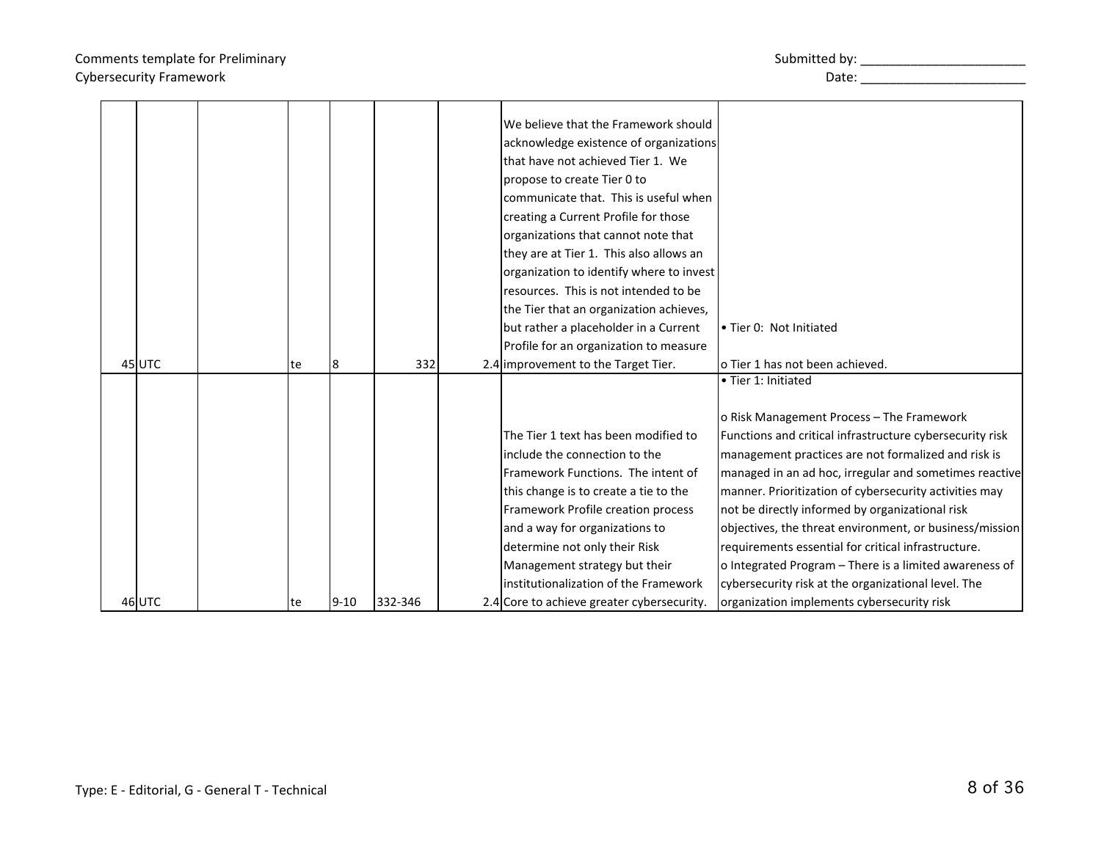|       |     |          |         | We believe that the Framework should<br>acknowledge existence of organizations<br>that have not achieved Tier 1. We<br>propose to create Tier 0 to<br>communicate that. This is useful when<br>creating a Current Profile for those<br>organizations that cannot note that<br>they are at Tier 1. This also allows an<br>organization to identify where to invest<br>resources. This is not intended to be<br>the Tier that an organization achieves,<br>but rather a placeholder in a Current<br>Profile for an organization to measure | l• Tier 0: Not Initiated<br>o Tier 1 has not been achieved. |
|-------|-----|----------|---------|------------------------------------------------------------------------------------------------------------------------------------------------------------------------------------------------------------------------------------------------------------------------------------------------------------------------------------------------------------------------------------------------------------------------------------------------------------------------------------------------------------------------------------------|-------------------------------------------------------------|
| 45UTC | te  | 8        | 332     | 2.4 improvement to the Target Tier.                                                                                                                                                                                                                                                                                                                                                                                                                                                                                                      | • Tier 1: Initiated                                         |
|       |     |          |         |                                                                                                                                                                                                                                                                                                                                                                                                                                                                                                                                          |                                                             |
|       |     |          |         |                                                                                                                                                                                                                                                                                                                                                                                                                                                                                                                                          | o Risk Management Process - The Framework                   |
|       |     |          |         | The Tier 1 text has been modified to                                                                                                                                                                                                                                                                                                                                                                                                                                                                                                     | Functions and critical infrastructure cybersecurity risk    |
|       |     |          |         | include the connection to the                                                                                                                                                                                                                                                                                                                                                                                                                                                                                                            | management practices are not formalized and risk is         |
|       |     |          |         | Framework Functions. The intent of                                                                                                                                                                                                                                                                                                                                                                                                                                                                                                       | managed in an ad hoc, irregular and sometimes reactive      |
|       |     |          |         | this change is to create a tie to the                                                                                                                                                                                                                                                                                                                                                                                                                                                                                                    | manner. Prioritization of cybersecurity activities may      |
|       |     |          |         | Framework Profile creation process                                                                                                                                                                                                                                                                                                                                                                                                                                                                                                       | not be directly informed by organizational risk             |
|       |     |          |         | and a way for organizations to                                                                                                                                                                                                                                                                                                                                                                                                                                                                                                           | objectives, the threat environment, or business/mission     |
|       |     |          |         | determine not only their Risk                                                                                                                                                                                                                                                                                                                                                                                                                                                                                                            | requirements essential for critical infrastructure.         |
|       |     |          |         | Management strategy but their                                                                                                                                                                                                                                                                                                                                                                                                                                                                                                            | o Integrated Program – There is a limited awareness of      |
|       |     |          |         | institutionalization of the Framework                                                                                                                                                                                                                                                                                                                                                                                                                                                                                                    | cybersecurity risk at the organizational level. The         |
| 46UTC | lte | $9 - 10$ | 332-346 | 2.4 Core to achieve greater cybersecurity.                                                                                                                                                                                                                                                                                                                                                                                                                                                                                               | organization implements cybersecurity risk                  |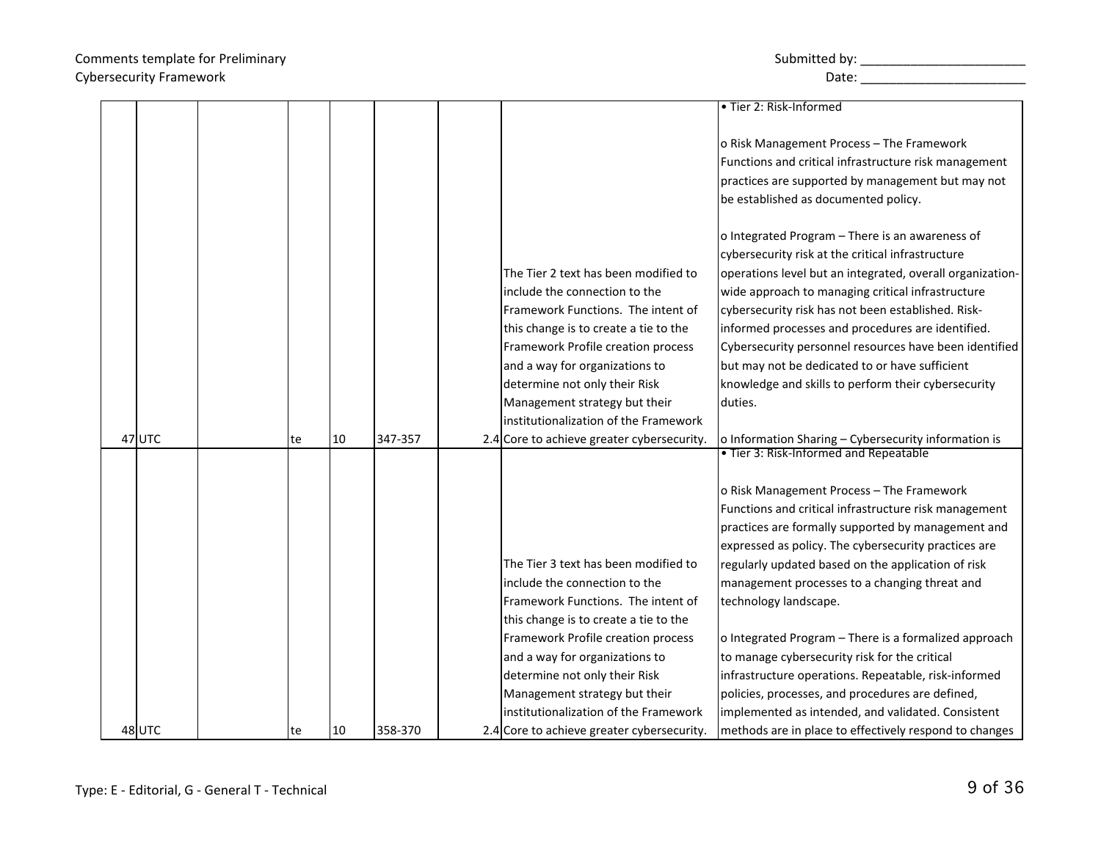|          |    |    |         |                                            | · Tier 2: Risk-Informed                                                                        |
|----------|----|----|---------|--------------------------------------------|------------------------------------------------------------------------------------------------|
|          |    |    |         |                                            |                                                                                                |
|          |    |    |         |                                            | o Risk Management Process - The Framework                                                      |
|          |    |    |         |                                            | Functions and critical infrastructure risk management                                          |
|          |    |    |         |                                            | practices are supported by management but may not                                              |
|          |    |    |         |                                            | be established as documented policy.                                                           |
|          |    |    |         |                                            |                                                                                                |
|          |    |    |         |                                            | o Integrated Program - There is an awareness of                                                |
|          |    |    |         |                                            | cybersecurity risk at the critical infrastructure                                              |
|          |    |    |         | The Tier 2 text has been modified to       | operations level but an integrated, overall organization-                                      |
|          |    |    |         | include the connection to the              | wide approach to managing critical infrastructure                                              |
|          |    |    |         | Framework Functions. The intent of         | cybersecurity risk has not been established. Risk-                                             |
|          |    |    |         | this change is to create a tie to the      | informed processes and procedures are identified.                                              |
|          |    |    |         | Framework Profile creation process         | Cybersecurity personnel resources have been identified                                         |
|          |    |    |         | and a way for organizations to             | but may not be dedicated to or have sufficient                                                 |
|          |    |    |         | determine not only their Risk              | knowledge and skills to perform their cybersecurity                                            |
|          |    |    |         | Management strategy but their              | duties.                                                                                        |
|          |    |    |         | institutionalization of the Framework      |                                                                                                |
| $47$ UTC | te | 10 | 347-357 | 2.4 Core to achieve greater cybersecurity. | o Information Sharing - Cybersecurity information is<br>. Tier 3: Risk-Informed and Repeatable |
|          |    |    |         |                                            |                                                                                                |
|          |    |    |         |                                            | o Risk Management Process - The Framework                                                      |
|          |    |    |         |                                            | Functions and critical infrastructure risk management                                          |
|          |    |    |         |                                            | practices are formally supported by management and                                             |
|          |    |    |         |                                            | expressed as policy. The cybersecurity practices are                                           |
|          |    |    |         | The Tier 3 text has been modified to       | regularly updated based on the application of risk                                             |
|          |    |    |         | include the connection to the              | management processes to a changing threat and                                                  |
|          |    |    |         | Framework Functions. The intent of         | technology landscape.                                                                          |
|          |    |    |         | this change is to create a tie to the      |                                                                                                |
|          |    |    |         | Framework Profile creation process         | o Integrated Program - There is a formalized approach                                          |
|          |    |    |         | and a way for organizations to             | to manage cybersecurity risk for the critical                                                  |
|          |    |    |         | determine not only their Risk              | infrastructure operations. Repeatable, risk-informed                                           |
|          |    |    |         | Management strategy but their              | policies, processes, and procedures are defined,                                               |
|          |    |    |         | institutionalization of the Framework      | implemented as intended, and validated. Consistent                                             |
| 48 UTC   | te | 10 | 358-370 | 2.4 Core to achieve greater cybersecurity. | methods are in place to effectively respond to changes                                         |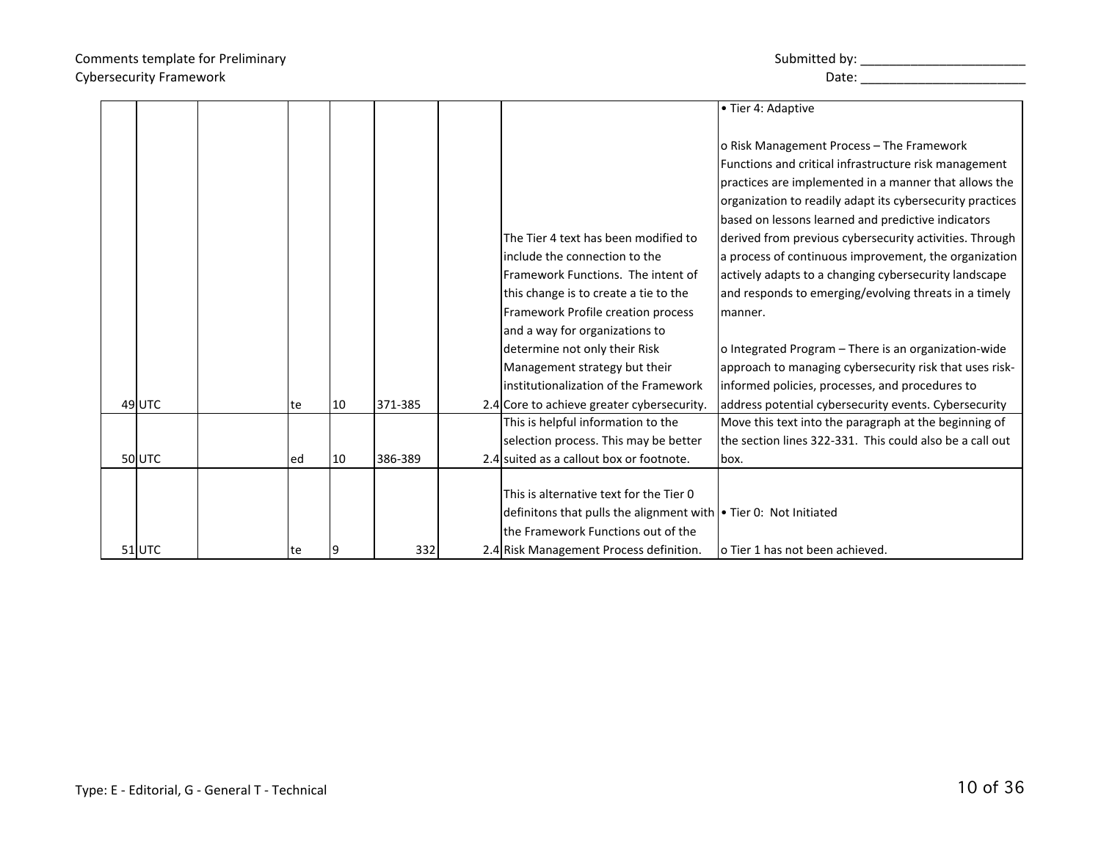|          |     |    |         |                                                                  | • Tier 4: Adaptive                                        |
|----------|-----|----|---------|------------------------------------------------------------------|-----------------------------------------------------------|
|          |     |    |         |                                                                  |                                                           |
|          |     |    |         |                                                                  | o Risk Management Process - The Framework                 |
|          |     |    |         |                                                                  | Functions and critical infrastructure risk management     |
|          |     |    |         |                                                                  | practices are implemented in a manner that allows the     |
|          |     |    |         |                                                                  | organization to readily adapt its cybersecurity practices |
|          |     |    |         |                                                                  | based on lessons learned and predictive indicators        |
|          |     |    |         | The Tier 4 text has been modified to                             | derived from previous cybersecurity activities. Through   |
|          |     |    |         | linclude the connection to the                                   | a process of continuous improvement, the organization     |
|          |     |    |         | Framework Functions. The intent of                               | actively adapts to a changing cybersecurity landscape     |
|          |     |    |         | this change is to create a tie to the                            | and responds to emerging/evolving threats in a timely     |
|          |     |    |         | Framework Profile creation process                               | lmanner.                                                  |
|          |     |    |         | and a way for organizations to                                   |                                                           |
|          |     |    |         | determine not only their Risk                                    | o Integrated Program – There is an organization-wide      |
|          |     |    |         | Management strategy but their                                    | approach to managing cybersecurity risk that uses risk-   |
|          |     |    |         | linstitutionalization of the Framework                           | informed policies, processes, and procedures to           |
| 49UTC    | te  | 10 | 371-385 | 2.4 Core to achieve greater cybersecurity.                       | address potential cybersecurity events. Cybersecurity     |
|          |     |    |         | This is helpful information to the                               | Move this text into the paragraph at the beginning of     |
|          |     |    |         | selection process. This may be better                            | the section lines 322-331. This could also be a call out  |
| $50$ UTC | led | 10 | 386-389 | 2.4 suited as a callout box or footnote.                         | lbox.                                                     |
|          |     |    |         |                                                                  |                                                           |
|          |     |    |         | This is alternative text for the Tier 0                          |                                                           |
|          |     |    |         | definitons that pulls the alignment with • Tier 0: Not Initiated |                                                           |
|          |     |    |         | lthe Framework Functions out of the                              |                                                           |
| $51$ UTC | te  | 9  | 332     | 2.4 Risk Management Process definition.                          | o Tier 1 has not been achieved.                           |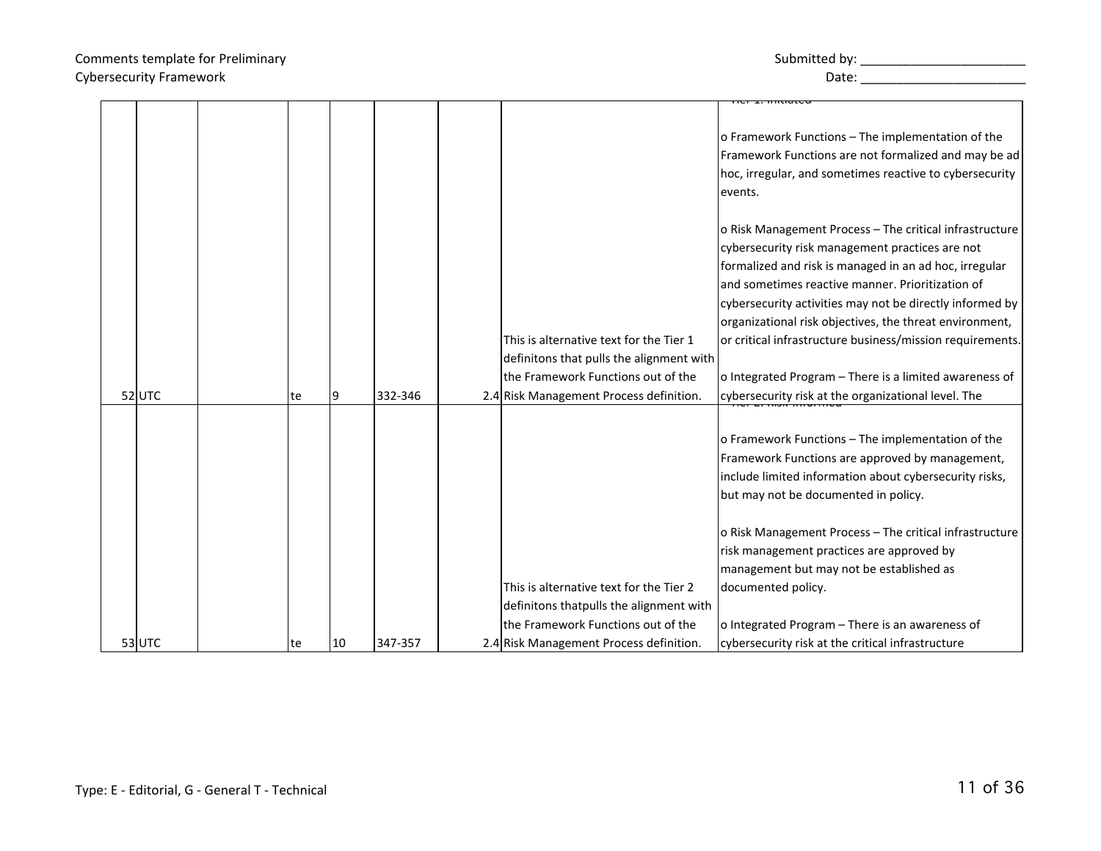## Comments template for Preliminary Cybersecurity Framework **Example 20** and the contract of the Date: <u>Date:</u> 20 and 20 and 20 and 20 and 20 and 20 and 20 and 20 and 20 and 20 and 20 and 20 and 20 and 20 and 20 and 20 and 20 and 20 and 20 and 20 and 20 and

| Submitted by: |  |  |
|---------------|--|--|
|---------------|--|--|

|          |    |    |         |                                          | o Framework Functions – The implementation of the         |
|----------|----|----|---------|------------------------------------------|-----------------------------------------------------------|
|          |    |    |         |                                          | Framework Functions are not formalized and may be ad      |
|          |    |    |         |                                          | hoc, irregular, and sometimes reactive to cybersecurity   |
|          |    |    |         |                                          | events.                                                   |
|          |    |    |         |                                          |                                                           |
|          |    |    |         |                                          | o Risk Management Process - The critical infrastructure   |
|          |    |    |         |                                          | cybersecurity risk management practices are not           |
|          |    |    |         |                                          | formalized and risk is managed in an ad hoc, irregular    |
|          |    |    |         |                                          | and sometimes reactive manner. Prioritization of          |
|          |    |    |         |                                          | cybersecurity activities may not be directly informed by  |
|          |    |    |         |                                          | organizational risk objectives, the threat environment,   |
|          |    |    |         | This is alternative text for the Tier 1  | or critical infrastructure business/mission requirements. |
|          |    |    |         | definitons that pulls the alignment with |                                                           |
|          |    |    |         | the Framework Functions out of the       | o Integrated Program – There is a limited awareness of    |
| $52$ UTC | te | 9  | 332-346 | 2.4 Risk Management Process definition.  | cybersecurity risk at the organizational level. The       |
|          |    |    |         |                                          |                                                           |
|          |    |    |         |                                          | o Framework Functions - The implementation of the         |
|          |    |    |         |                                          | Framework Functions are approved by management,           |
|          |    |    |         |                                          | include limited information about cybersecurity risks,    |
|          |    |    |         |                                          | but may not be documented in policy.                      |
|          |    |    |         |                                          |                                                           |
|          |    |    |         |                                          | o Risk Management Process - The critical infrastructure   |
|          |    |    |         |                                          | risk management practices are approved by                 |
|          |    |    |         |                                          | management but may not be established as                  |
|          |    |    |         | This is alternative text for the Tier 2  | documented policy.                                        |
|          |    |    |         | definitons thatpulls the alignment with  |                                                           |
|          |    |    |         | the Framework Functions out of the       | o Integrated Program – There is an awareness of           |
| 53UTC    | te | 10 | 347-357 | 2.4 Risk Management Process definition.  | cybersecurity risk at the critical infrastructure         |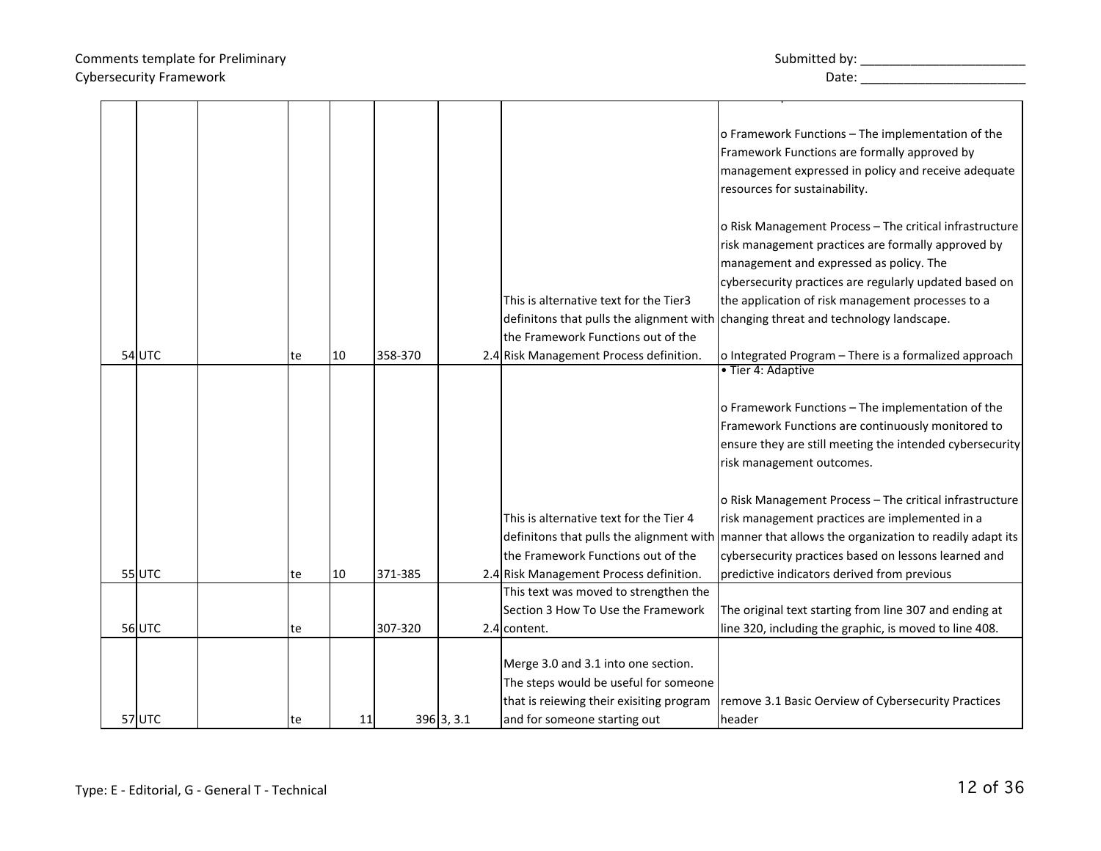# Comments template for Preliminary Comments template for Preliminary and the comments of the limit of the comments of the limit of the comments of the comments of the limit of the comments of the comments of the comments of the comments of the comments of t

| Submitted by: |  |
|---------------|--|
|---------------|--|

|       |    |    |         |            |                                          | o Framework Functions - The implementation of the<br>Framework Functions are formally approved by<br>management expressed in policy and receive adequate<br>resources for sustainability. |
|-------|----|----|---------|------------|------------------------------------------|-------------------------------------------------------------------------------------------------------------------------------------------------------------------------------------------|
|       |    |    |         |            |                                          | o Risk Management Process - The critical infrastructure<br>risk management practices are formally approved by<br>management and expressed as policy. The                                  |
|       |    |    |         |            |                                          | cybersecurity practices are regularly updated based on                                                                                                                                    |
|       |    |    |         |            | This is alternative text for the Tier3   |                                                                                                                                                                                           |
|       |    |    |         |            |                                          | the application of risk management processes to a                                                                                                                                         |
|       |    |    |         |            |                                          | definitons that pulls the alignment with changing threat and technology landscape.                                                                                                        |
|       |    |    |         |            | the Framework Functions out of the       |                                                                                                                                                                                           |
| 54UTC | te | 10 | 358-370 |            | 2.4 Risk Management Process definition.  | o Integrated Program - There is a formalized approach<br>• Tier 4: Adaptive                                                                                                               |
|       |    |    |         |            |                                          |                                                                                                                                                                                           |
|       |    |    |         |            |                                          |                                                                                                                                                                                           |
|       |    |    |         |            |                                          | o Framework Functions - The implementation of the                                                                                                                                         |
|       |    |    |         |            |                                          | Framework Functions are continuously monitored to                                                                                                                                         |
|       |    |    |         |            |                                          | ensure they are still meeting the intended cybersecurity                                                                                                                                  |
|       |    |    |         |            |                                          | risk management outcomes.                                                                                                                                                                 |
|       |    |    |         |            |                                          |                                                                                                                                                                                           |
|       |    |    |         |            |                                          | o Risk Management Process - The critical infrastructure                                                                                                                                   |
|       |    |    |         |            | This is alternative text for the Tier 4  | risk management practices are implemented in a                                                                                                                                            |
|       |    |    |         |            |                                          | definitons that pulls the alignment with manner that allows the organization to readily adapt its                                                                                         |
|       |    |    |         |            | the Framework Functions out of the       | cybersecurity practices based on lessons learned and                                                                                                                                      |
| 55UTC | te | 10 | 371-385 |            | 2.4 Risk Management Process definition.  | predictive indicators derived from previous                                                                                                                                               |
|       |    |    |         |            | This text was moved to strengthen the    |                                                                                                                                                                                           |
|       |    |    |         |            | Section 3 How To Use the Framework       | The original text starting from line 307 and ending at                                                                                                                                    |
| 56UTC | te |    | 307-320 |            | 2.4 content.                             | line 320, including the graphic, is moved to line 408.                                                                                                                                    |
|       |    |    |         |            |                                          |                                                                                                                                                                                           |
|       |    |    |         |            | Merge 3.0 and 3.1 into one section.      |                                                                                                                                                                                           |
|       |    |    |         |            | The steps would be useful for someone    |                                                                                                                                                                                           |
|       |    |    |         |            | that is reiewing their exisiting program | remove 3.1 Basic Oerview of Cybersecurity Practices                                                                                                                                       |
| 57UTC | te | 11 |         | 396 3, 3.1 | and for someone starting out             | lheader                                                                                                                                                                                   |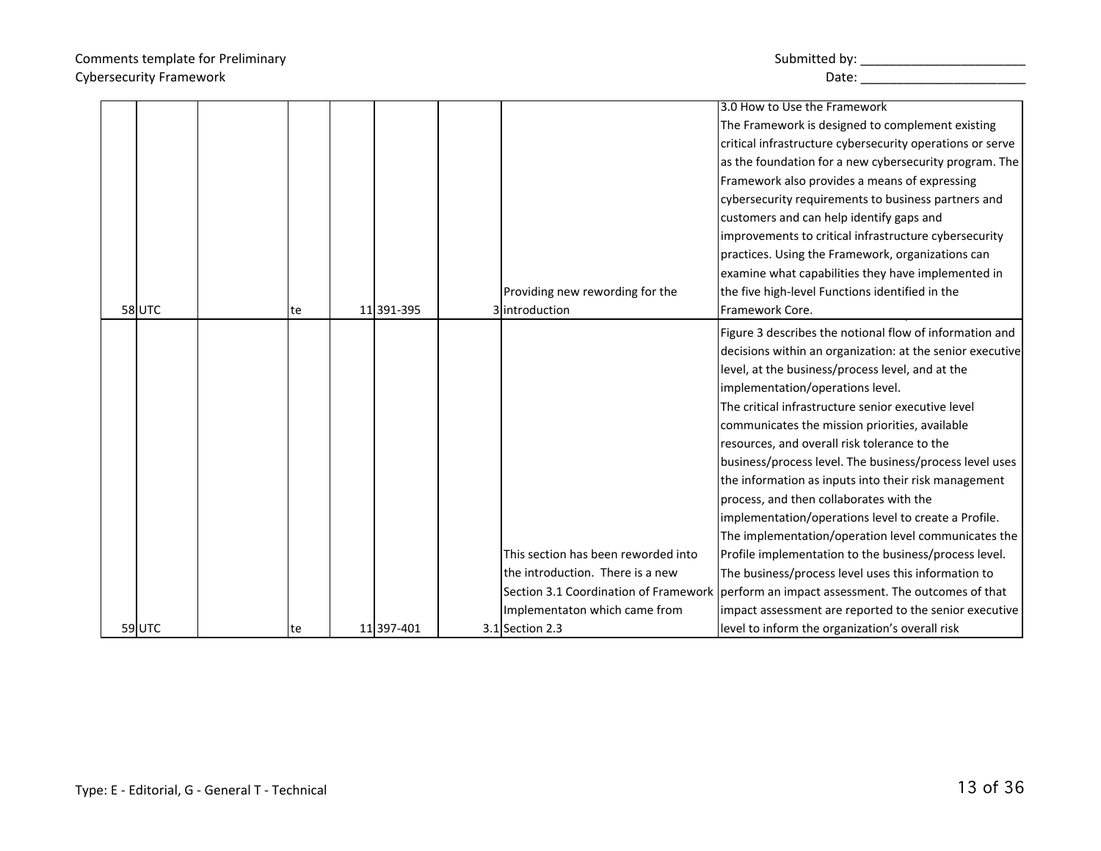## Comments template for Preliminary Cybersecurity Framework Date: \_\_\_\_\_\_\_\_\_\_\_\_\_\_\_\_\_\_\_\_\_\_\_

| Submitted by: |  |
|---------------|--|
|---------------|--|

|        |    |              |                                     | 3.0 How to Use the Framework                                                             |
|--------|----|--------------|-------------------------------------|------------------------------------------------------------------------------------------|
|        |    |              |                                     | The Framework is designed to complement existing                                         |
|        |    |              |                                     | critical infrastructure cybersecurity operations or serve                                |
|        |    |              |                                     | as the foundation for a new cybersecurity program. The                                   |
|        |    |              |                                     | Framework also provides a means of expressing                                            |
|        |    |              |                                     | cybersecurity requirements to business partners and                                      |
|        |    |              |                                     | customers and can help identify gaps and                                                 |
|        |    |              |                                     | improvements to critical infrastructure cybersecurity                                    |
|        |    |              |                                     | practices. Using the Framework, organizations can                                        |
|        |    |              |                                     | examine what capabilities they have implemented in                                       |
|        |    |              | Providing new rewording for the     | the five high-level Functions identified in the                                          |
| 58UTC  | te | 11 391 - 395 | 3lintroduction                      | lFramework Core.                                                                         |
|        |    |              |                                     | Figure 3 describes the notional flow of information and                                  |
|        |    |              |                                     | decisions within an organization: at the senior executive                                |
|        |    |              |                                     | level, at the business/process level, and at the                                         |
|        |    |              |                                     | implementation/operations level.                                                         |
|        |    |              |                                     | The critical infrastructure senior executive level                                       |
|        |    |              |                                     | communicates the mission priorities, available                                           |
|        |    |              |                                     | resources, and overall risk tolerance to the                                             |
|        |    |              |                                     | business/process level. The business/process level uses                                  |
|        |    |              |                                     | the information as inputs into their risk management                                     |
|        |    |              |                                     | process, and then collaborates with the                                                  |
|        |    |              |                                     | implementation/operations level to create a Profile.                                     |
|        |    |              |                                     | The implementation/operation level communicates the                                      |
|        |    |              | This section has been reworded into | Profile implementation to the business/process level.                                    |
|        |    |              | the introduction. There is a new    | The business/process level uses this information to                                      |
|        |    |              |                                     | Section 3.1 Coordination of Framework perform an impact assessment. The outcomes of that |
|        |    |              | Implementaton which came from       | impact assessment are reported to the senior executive                                   |
| 59 UTC | te | 11 397-401   | 3.1 Section 2.3                     | level to inform the organization's overall risk                                          |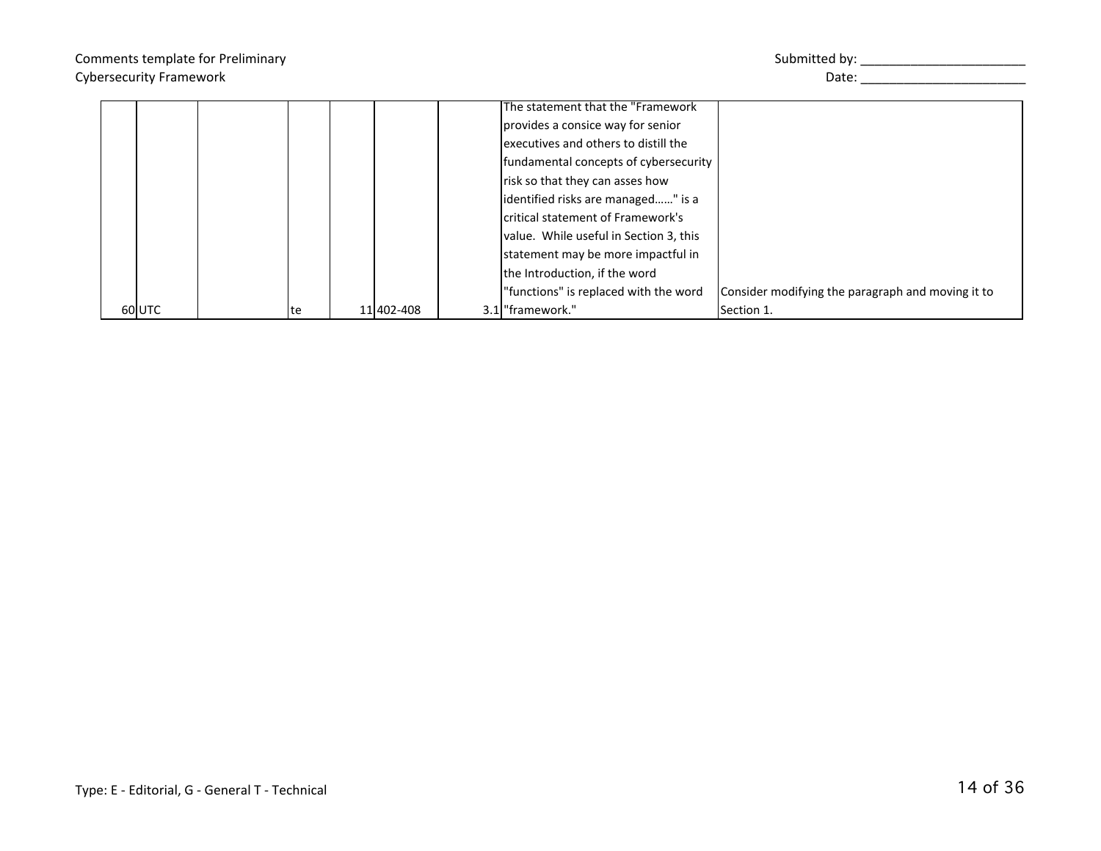|  |                                | Comments template for Preliminary |     |            |  | Submitted by:                          |                                                   |  |
|--|--------------------------------|-----------------------------------|-----|------------|--|----------------------------------------|---------------------------------------------------|--|
|  | <b>Cybersecurity Framework</b> |                                   |     |            |  | Date:                                  |                                                   |  |
|  |                                |                                   |     |            |  | The statement that the "Framework"     |                                                   |  |
|  |                                |                                   |     |            |  | provides a consice way for senior      |                                                   |  |
|  |                                |                                   |     |            |  | lexecutives and others to distill the  |                                                   |  |
|  |                                |                                   |     |            |  | fundamental concepts of cybersecurity  |                                                   |  |
|  |                                |                                   |     |            |  | risk so that they can asses how        |                                                   |  |
|  |                                |                                   |     |            |  | identified risks are managed" is a     |                                                   |  |
|  |                                |                                   |     |            |  | Icritical statement of Framework's     |                                                   |  |
|  |                                |                                   |     |            |  | value. While useful in Section 3, this |                                                   |  |
|  |                                |                                   |     |            |  | statement may be more impactful in     |                                                   |  |
|  |                                |                                   |     |            |  | the Introduction, if the word          |                                                   |  |
|  |                                |                                   |     |            |  | "functions" is replaced with the word  | Consider modifying the paragraph and moving it to |  |
|  | 60 UTC                         |                                   | Ite | 11 402-408 |  | 3.1 "framework."                       | Section 1.                                        |  |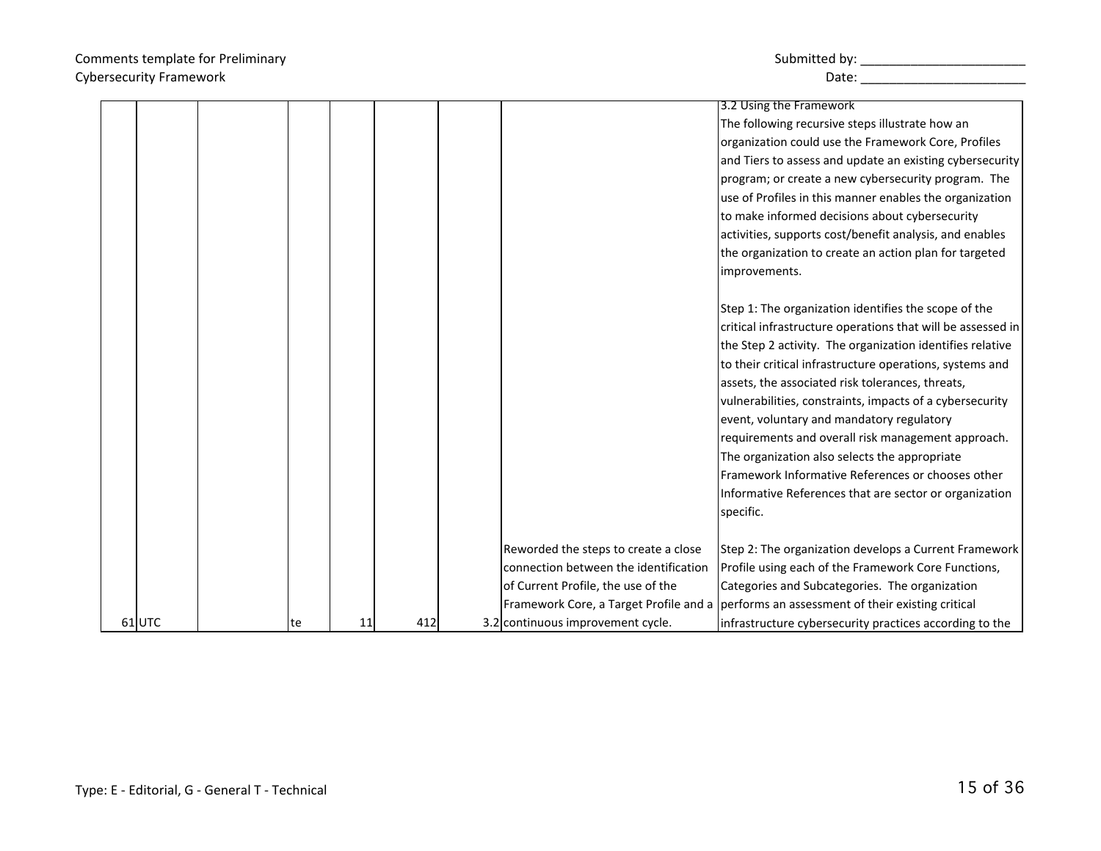# Comments template for Preliminary Cybersecurity Framework Date: \_\_\_\_\_\_\_\_\_\_\_\_\_\_\_\_\_\_\_\_\_\_\_

| Submitted by: |  |  |
|---------------|--|--|
|---------------|--|--|

|        |    |    |     |                                       | 3.2 Using the Framework                                                                    |
|--------|----|----|-----|---------------------------------------|--------------------------------------------------------------------------------------------|
|        |    |    |     |                                       | The following recursive steps illustrate how an                                            |
|        |    |    |     |                                       | organization could use the Framework Core, Profiles                                        |
|        |    |    |     |                                       | and Tiers to assess and update an existing cybersecurity                                   |
|        |    |    |     |                                       | program; or create a new cybersecurity program. The                                        |
|        |    |    |     |                                       | use of Profiles in this manner enables the organization                                    |
|        |    |    |     |                                       | to make informed decisions about cybersecurity                                             |
|        |    |    |     |                                       | activities, supports cost/benefit analysis, and enables                                    |
|        |    |    |     |                                       | the organization to create an action plan for targeted                                     |
|        |    |    |     |                                       | improvements.                                                                              |
|        |    |    |     |                                       |                                                                                            |
|        |    |    |     |                                       | Step 1: The organization identifies the scope of the                                       |
|        |    |    |     |                                       | critical infrastructure operations that will be assessed in                                |
|        |    |    |     |                                       | the Step 2 activity. The organization identifies relative                                  |
|        |    |    |     |                                       | to their critical infrastructure operations, systems and                                   |
|        |    |    |     |                                       | assets, the associated risk tolerances, threats,                                           |
|        |    |    |     |                                       | vulnerabilities, constraints, impacts of a cybersecurity                                   |
|        |    |    |     |                                       | event, voluntary and mandatory regulatory                                                  |
|        |    |    |     |                                       | requirements and overall risk management approach.                                         |
|        |    |    |     |                                       | The organization also selects the appropriate                                              |
|        |    |    |     |                                       | Framework Informative References or chooses other                                          |
|        |    |    |     |                                       | Informative References that are sector or organization                                     |
|        |    |    |     |                                       | specific.                                                                                  |
|        |    |    |     |                                       |                                                                                            |
|        |    |    |     | Reworded the steps to create a close  | Step 2: The organization develops a Current Framework                                      |
|        |    |    |     | connection between the identification | Profile using each of the Framework Core Functions,                                        |
|        |    |    |     | of Current Profile, the use of the    | Categories and Subcategories. The organization                                             |
|        |    |    |     |                                       | Framework Core, a Target Profile and a   performs an assessment of their existing critical |
| 61 UTC | te | 11 | 412 | 3.2 continuous improvement cycle.     | infrastructure cybersecurity practices according to the                                    |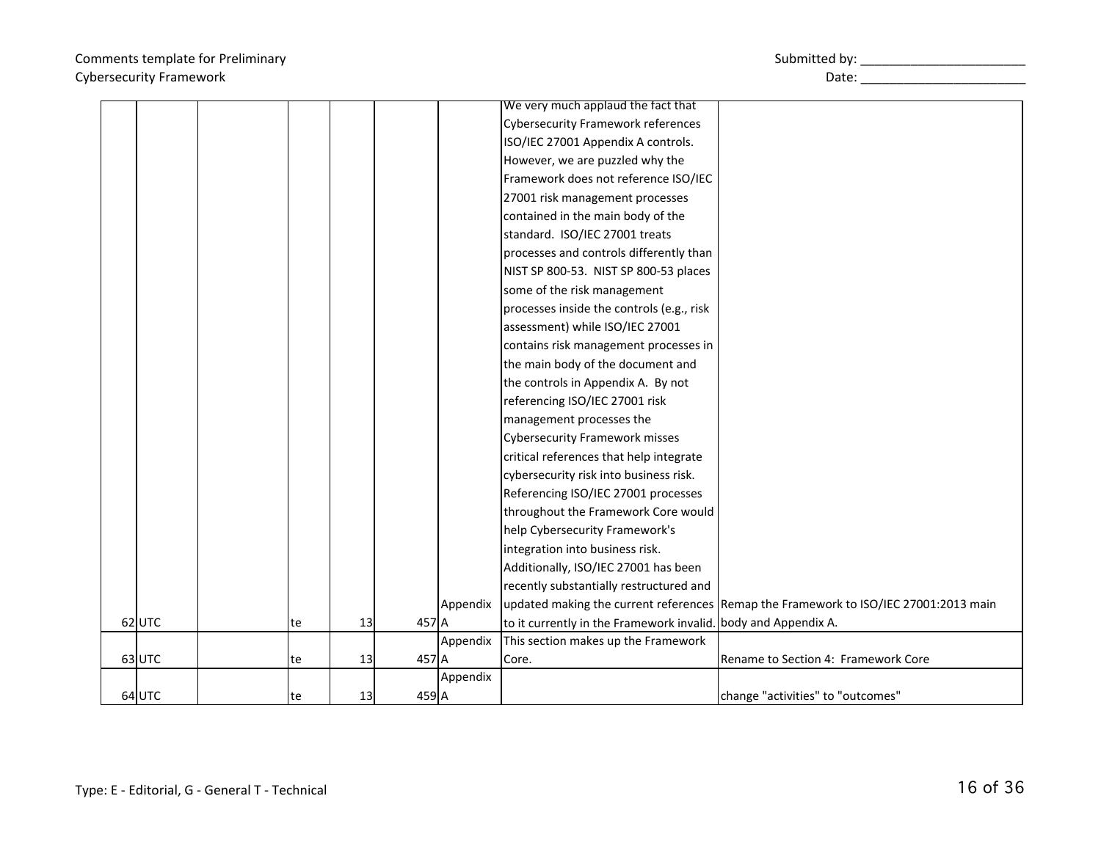|          |    |    |                    |          | We very much applaud the fact that                             |                                                                                      |
|----------|----|----|--------------------|----------|----------------------------------------------------------------|--------------------------------------------------------------------------------------|
|          |    |    |                    |          | <b>Cybersecurity Framework references</b>                      |                                                                                      |
|          |    |    |                    |          | ISO/IEC 27001 Appendix A controls.                             |                                                                                      |
|          |    |    |                    |          | However, we are puzzled why the                                |                                                                                      |
|          |    |    |                    |          | Framework does not reference ISO/IEC                           |                                                                                      |
|          |    |    |                    |          | 27001 risk management processes                                |                                                                                      |
|          |    |    |                    |          | contained in the main body of the                              |                                                                                      |
|          |    |    |                    |          | standard. ISO/IEC 27001 treats                                 |                                                                                      |
|          |    |    |                    |          | processes and controls differently than                        |                                                                                      |
|          |    |    |                    |          | NIST SP 800-53. NIST SP 800-53 places                          |                                                                                      |
|          |    |    |                    |          | some of the risk management                                    |                                                                                      |
|          |    |    |                    |          | processes inside the controls (e.g., risk                      |                                                                                      |
|          |    |    |                    |          | assessment) while ISO/IEC 27001                                |                                                                                      |
|          |    |    |                    |          | contains risk management processes in                          |                                                                                      |
|          |    |    |                    |          | the main body of the document and                              |                                                                                      |
|          |    |    |                    |          | the controls in Appendix A. By not                             |                                                                                      |
|          |    |    |                    |          | referencing ISO/IEC 27001 risk                                 |                                                                                      |
|          |    |    |                    |          | management processes the                                       |                                                                                      |
|          |    |    |                    |          | <b>Cybersecurity Framework misses</b>                          |                                                                                      |
|          |    |    |                    |          | critical references that help integrate                        |                                                                                      |
|          |    |    |                    |          | cybersecurity risk into business risk.                         |                                                                                      |
|          |    |    |                    |          | Referencing ISO/IEC 27001 processes                            |                                                                                      |
|          |    |    |                    |          | throughout the Framework Core would                            |                                                                                      |
|          |    |    |                    |          | help Cybersecurity Framework's                                 |                                                                                      |
|          |    |    |                    |          | integration into business risk.                                |                                                                                      |
|          |    |    |                    |          | Additionally, ISO/IEC 27001 has been                           |                                                                                      |
|          |    |    |                    |          | recently substantially restructured and                        |                                                                                      |
|          |    |    |                    | Appendix |                                                                | updated making the current references Remap the Framework to ISO/IEC 27001:2013 main |
| 62UTC    | te | 13 | $457$ $A$          |          | to it currently in the Framework invalid. body and Appendix A. |                                                                                      |
|          |    |    |                    | Appendix | This section makes up the Framework                            |                                                                                      |
| $63$ UTC | te | 13 | $457$ $A$          |          | Core.                                                          | Rename to Section 4: Framework Core                                                  |
|          |    |    |                    | Appendix |                                                                |                                                                                      |
| $64$ UTC | te | 13 | $459$ <sup>A</sup> |          |                                                                | change "activities" to "outcomes"                                                    |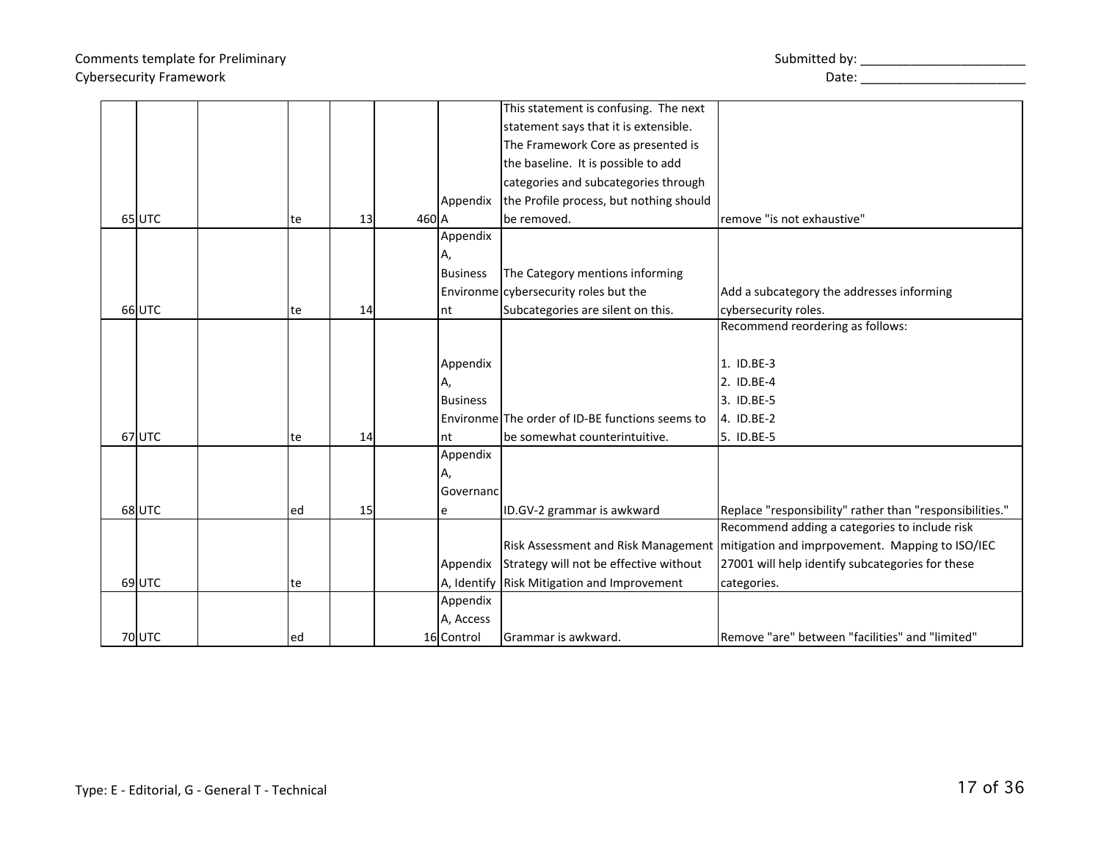## Type: E - Editorial, G - General T - Technical

| Comments template for Preliminary | submitted by: |
|-----------------------------------|---------------|
| <b>Cybersecurity Framework</b>    | Date          |

|          |     |    |                    |                 | statement says that it is extensible.           |                                                          |
|----------|-----|----|--------------------|-----------------|-------------------------------------------------|----------------------------------------------------------|
|          |     |    |                    |                 | The Framework Core as presented is              |                                                          |
|          |     |    |                    |                 | the baseline. It is possible to add             |                                                          |
|          |     |    |                    |                 | categories and subcategories through            |                                                          |
|          |     |    |                    | Appendix        | the Profile process, but nothing should         |                                                          |
| $65$ UTC | te  | 13 | $460$ <sup>A</sup> |                 | lbe removed.                                    | remove "is not exhaustive"                               |
|          |     |    |                    | Appendix        |                                                 |                                                          |
|          |     |    |                    | Α,              |                                                 |                                                          |
|          |     |    |                    | <b>Business</b> | The Category mentions informing                 |                                                          |
|          |     |    |                    |                 | Environme cybersecurity roles but the           | Add a subcategory the addresses informing                |
| 66UTC    | te  | 14 |                    | nt              | Subcategories are silent on this.               | cybersecurity roles.                                     |
|          |     |    |                    |                 |                                                 | Recommend reordering as follows:                         |
|          |     |    |                    |                 |                                                 |                                                          |
|          |     |    |                    | Appendix        |                                                 | 1. ID.BE-3                                               |
|          |     |    |                    | Α,              |                                                 | 2. ID.BE-4                                               |
|          |     |    |                    | <b>Business</b> |                                                 | 3. ID.BE-5                                               |
|          |     |    |                    |                 | Environme The order of ID-BE functions seems to | 4. ID.BE-2                                               |
| 67UTC    | te  | 14 |                    | nt              | be somewhat counterintuitive.                   | 5. ID.BE-5                                               |
|          |     |    |                    | Appendix        |                                                 |                                                          |
|          |     |    |                    | Α,              |                                                 |                                                          |
|          |     |    |                    | Governanc       |                                                 |                                                          |
| $68$ UTC | ed  | 15 |                    | e               | ID.GV-2 grammar is awkward                      | Replace "responsibility" rather than "responsibilities." |
|          |     |    |                    |                 |                                                 | Recommend adding a categories to include risk            |
|          |     |    |                    |                 | <b>Risk Assessment and Risk Management</b>      | mitigation and imprpovement. Mapping to ISO/IEC          |
|          |     |    |                    | Appendix        | Strategy will not be effective without          | 27001 will help identify subcategories for these         |
| 69UTC    | te  |    |                    |                 | A, Identify Risk Mitigation and Improvement     | categories.                                              |
|          |     |    |                    | Appendix        |                                                 |                                                          |
|          |     |    |                    | A, Access       |                                                 |                                                          |
| 70UTC    | led |    |                    | 16 Control      | Grammar is awkward.                             | Remove "are" between "facilities" and "limited"          |

This statement is confusing. The next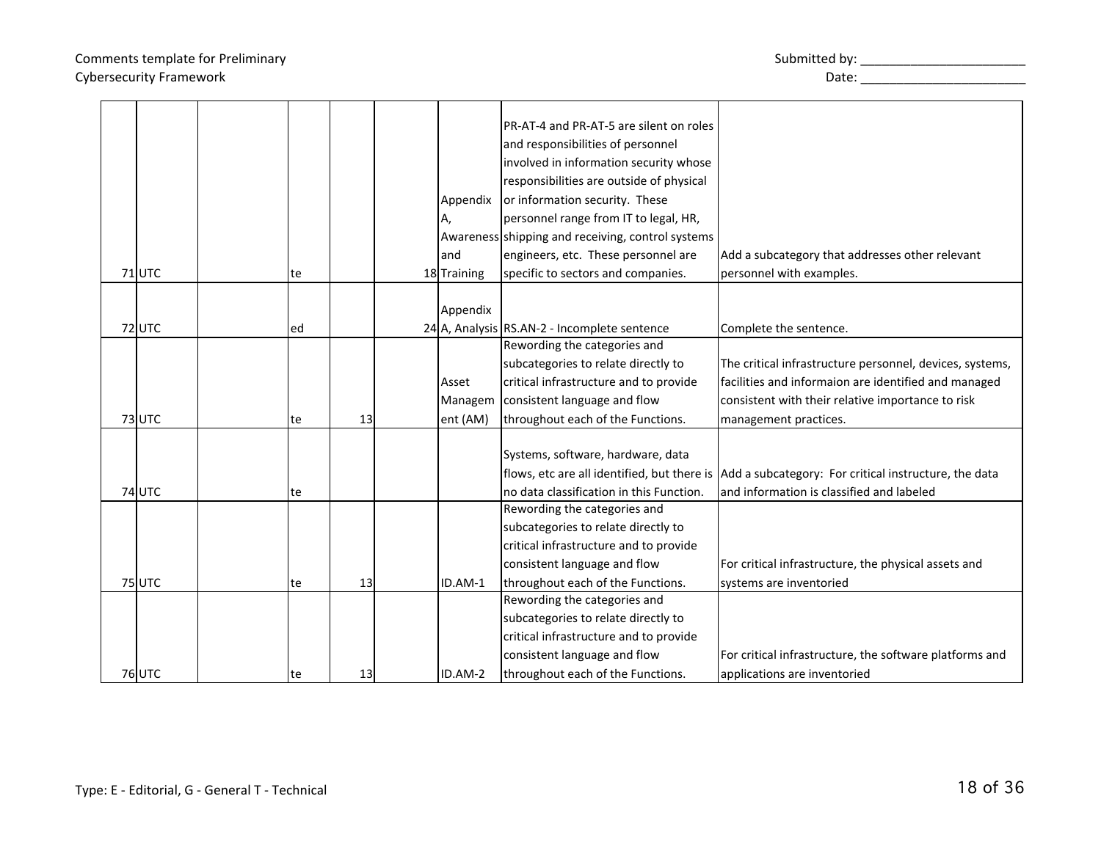## Comments template for Preliminary and the state of the state of the Submitted by: \_\_\_\_\_\_\_\_\_\_\_\_\_\_\_\_\_\_\_\_\_\_\_\_\_\_\_\_ Cybersecurity Framework **Example 20** and the Cybersecurity Framework Date:

|          |    |    |             | PR-AT-4 and PR-AT-5 are silent on roles           |                                                                                                     |
|----------|----|----|-------------|---------------------------------------------------|-----------------------------------------------------------------------------------------------------|
|          |    |    |             | and responsibilities of personnel                 |                                                                                                     |
|          |    |    |             | involved in information security whose            |                                                                                                     |
|          |    |    |             | responsibilities are outside of physical          |                                                                                                     |
|          |    |    | Appendix    | or information security. These                    |                                                                                                     |
|          |    |    | A,          | personnel range from IT to legal, HR,             |                                                                                                     |
|          |    |    |             | Awareness shipping and receiving, control systems |                                                                                                     |
|          |    |    | land        | engineers, etc. These personnel are               | Add a subcategory that addresses other relevant                                                     |
| 71UTC    | te |    | 18 Training | specific to sectors and companies.                | personnel with examples.                                                                            |
|          |    |    |             |                                                   |                                                                                                     |
|          |    |    | Appendix    |                                                   |                                                                                                     |
| $72$ UTC | ed |    |             | 24 A, Analysis RS.AN-2 - Incomplete sentence      | Complete the sentence.                                                                              |
|          |    |    |             | Rewording the categories and                      |                                                                                                     |
|          |    |    |             | subcategories to relate directly to               | The critical infrastructure personnel, devices, systems,                                            |
|          |    |    | Asset       | critical infrastructure and to provide            | facilities and informaion are identified and managed                                                |
|          |    |    | Managem     | consistent language and flow                      | consistent with their relative importance to risk                                                   |
| $73$ UTC | te | 13 | ent (AM)    | throughout each of the Functions.                 | management practices.                                                                               |
|          |    |    |             |                                                   |                                                                                                     |
|          |    |    |             | Systems, software, hardware, data                 |                                                                                                     |
|          |    |    |             |                                                   | flows, etc are all identified, but there is   Add a subcategory: For critical instructure, the data |
| 74 UTC   | te |    |             | no data classification in this Function.          | and information is classified and labeled                                                           |
|          |    |    |             | Rewording the categories and                      |                                                                                                     |
|          |    |    |             | subcategories to relate directly to               |                                                                                                     |
|          |    |    |             | critical infrastructure and to provide            |                                                                                                     |
|          |    |    |             | consistent language and flow                      | For critical infrastructure, the physical assets and                                                |
| 75UTC    | te | 13 | ID.AM-1     | throughout each of the Functions.                 | systems are inventoried                                                                             |
|          |    |    |             | Rewording the categories and                      |                                                                                                     |
|          |    |    |             | subcategories to relate directly to               |                                                                                                     |
|          |    |    |             | critical infrastructure and to provide            |                                                                                                     |
|          |    |    |             | consistent language and flow                      | For critical infrastructure, the software platforms and                                             |
| 76UTC    | te | 13 | ID.AM-2     | throughout each of the Functions.                 | applications are inventoried                                                                        |

┑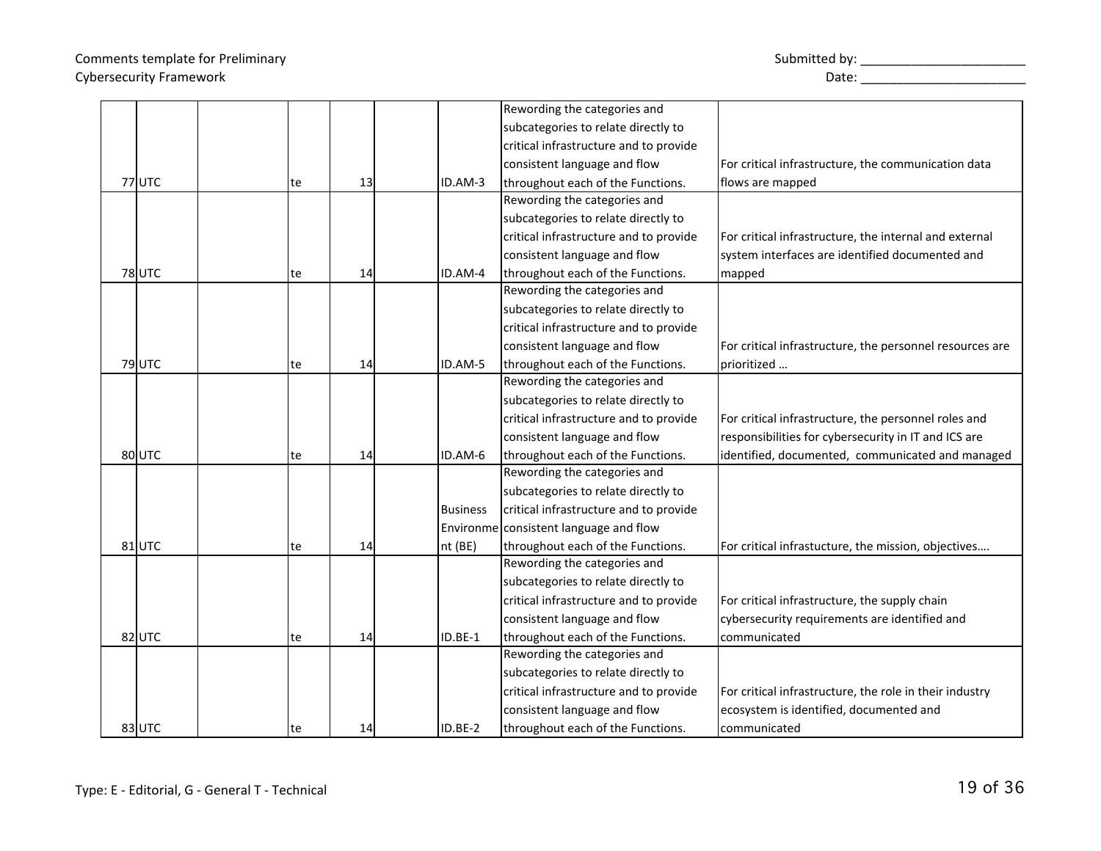|          |     |    |                 | Rewording the categories and           |                                                          |
|----------|-----|----|-----------------|----------------------------------------|----------------------------------------------------------|
|          |     |    |                 | subcategories to relate directly to    |                                                          |
|          |     |    |                 | critical infrastructure and to provide |                                                          |
|          |     |    |                 | consistent language and flow           | For critical infrastructure, the communication data      |
| 77UTC    | te  | 13 | ID.AM-3         | throughout each of the Functions.      | flows are mapped                                         |
|          |     |    |                 | Rewording the categories and           |                                                          |
|          |     |    |                 | subcategories to relate directly to    |                                                          |
|          |     |    |                 | critical infrastructure and to provide | For critical infrastructure, the internal and external   |
|          |     |    |                 | consistent language and flow           | system interfaces are identified documented and          |
| 78 UTC   | te  | 14 | ID.AM-4         | throughout each of the Functions.      | mapped                                                   |
|          |     |    |                 | Rewording the categories and           |                                                          |
|          |     |    |                 | subcategories to relate directly to    |                                                          |
|          |     |    |                 | critical infrastructure and to provide |                                                          |
|          |     |    |                 | consistent language and flow           | For critical infrastructure, the personnel resources are |
| 79UTC    | te  | 14 | ID.AM-5         | throughout each of the Functions.      | Iprioritized                                             |
|          |     |    |                 | Rewording the categories and           |                                                          |
|          |     |    |                 | subcategories to relate directly to    |                                                          |
|          |     |    |                 | critical infrastructure and to provide | For critical infrastructure, the personnel roles and     |
|          |     |    |                 | consistent language and flow           | responsibilities for cybersecurity in IT and ICS are     |
| 80UTC    | te  | 14 | ID.AM-6         | throughout each of the Functions.      | identified, documented, communicated and managed         |
|          |     |    |                 | Rewording the categories and           |                                                          |
|          |     |    |                 | subcategories to relate directly to    |                                                          |
|          |     |    | <b>Business</b> | critical infrastructure and to provide |                                                          |
|          |     |    | Environme       | consistent language and flow           |                                                          |
| $81$ UTC | te  | 14 | nt (BE)         | throughout each of the Functions.      | For critical infrastucture, the mission, objectives      |
|          |     |    |                 | Rewording the categories and           |                                                          |
|          |     |    |                 | subcategories to relate directly to    |                                                          |
|          |     |    |                 | critical infrastructure and to provide | For critical infrastructure, the supply chain            |
|          |     |    |                 | consistent language and flow           | cybersecurity requirements are identified and            |
| 82UTC    | te  | 14 | ID.BE-1         | throughout each of the Functions.      | communicated                                             |
|          |     |    |                 | Rewording the categories and           |                                                          |
|          |     |    |                 | subcategories to relate directly to    |                                                          |
|          |     |    |                 | critical infrastructure and to provide | For critical infrastructure, the role in their industry  |
|          |     |    |                 | consistent language and flow           | ecosystem is identified, documented and                  |
| 83UTC    | lte | 14 | ID.BE-2         | throughout each of the Functions.      | communicated                                             |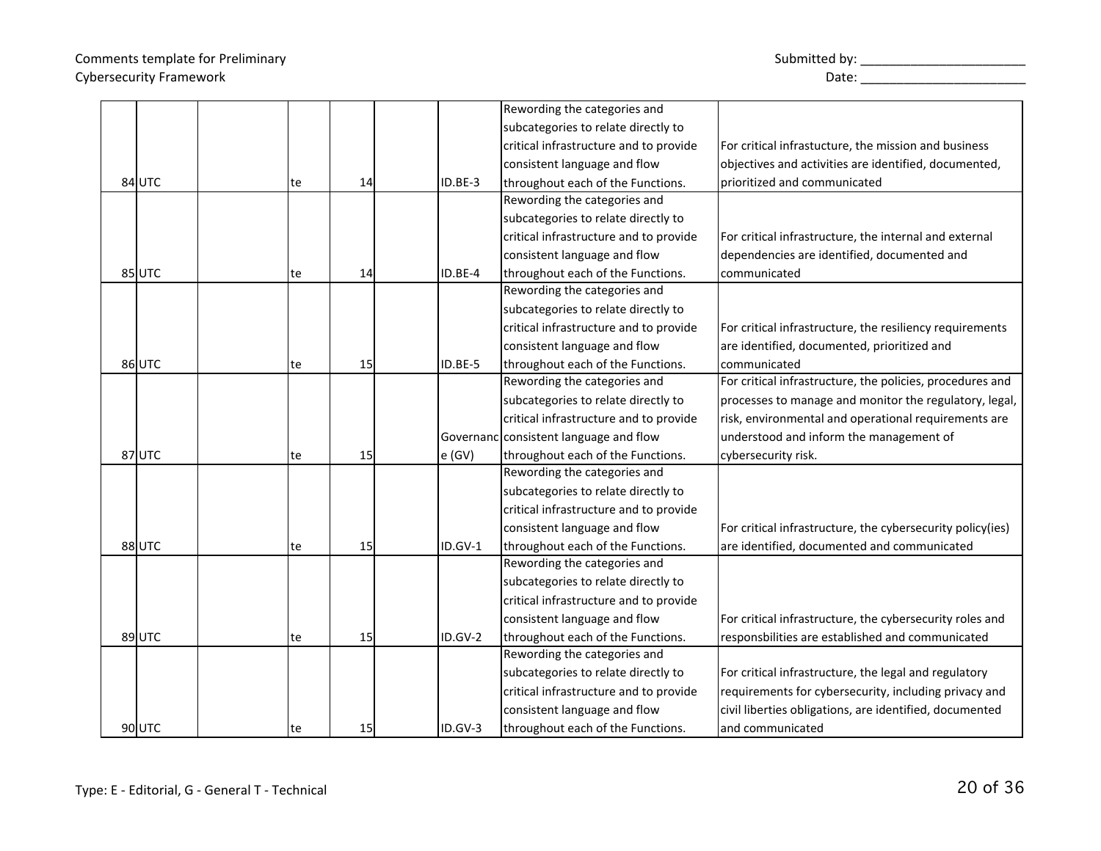|          |    |    |         | Rewording the categories and           |                                                            |
|----------|----|----|---------|----------------------------------------|------------------------------------------------------------|
|          |    |    |         | subcategories to relate directly to    |                                                            |
|          |    |    |         | critical infrastructure and to provide | For critical infrastucture, the mission and business       |
|          |    |    |         | consistent language and flow           | objectives and activities are identified, documented,      |
| 84UTC    | te | 14 | ID.BE-3 | throughout each of the Functions.      | prioritized and communicated                               |
|          |    |    |         | Rewording the categories and           |                                                            |
|          |    |    |         | subcategories to relate directly to    |                                                            |
|          |    |    |         | critical infrastructure and to provide | For critical infrastructure, the internal and external     |
|          |    |    |         | consistent language and flow           | dependencies are identified, documented and                |
| 85UTC    | te | 14 | ID.BE-4 | throughout each of the Functions.      | communicated                                               |
|          |    |    |         | Rewording the categories and           |                                                            |
|          |    |    |         | subcategories to relate directly to    |                                                            |
|          |    |    |         | critical infrastructure and to provide | For critical infrastructure, the resiliency requirements   |
|          |    |    |         | consistent language and flow           | are identified, documented, prioritized and                |
| 86UTC    | te | 15 | ID.BE-5 | throughout each of the Functions.      | communicated                                               |
|          |    |    |         | Rewording the categories and           | For critical infrastructure, the policies, procedures and  |
|          |    |    |         | subcategories to relate directly to    | processes to manage and monitor the regulatory, legal,     |
|          |    |    |         | critical infrastructure and to provide | risk, environmental and operational requirements are       |
|          |    |    |         | Governanc consistent language and flow | understood and inform the management of                    |
| $87$ UTC | te | 15 | e(GV)   | throughout each of the Functions.      | cybersecurity risk.                                        |
|          |    |    |         | Rewording the categories and           |                                                            |
|          |    |    |         | subcategories to relate directly to    |                                                            |
|          |    |    |         | critical infrastructure and to provide |                                                            |
|          |    |    |         | consistent language and flow           | For critical infrastructure, the cybersecurity policy(ies) |
| 88UTC    | te | 15 | ID.GV-1 | throughout each of the Functions.      | are identified, documented and communicated                |
|          |    |    |         | Rewording the categories and           |                                                            |
|          |    |    |         | subcategories to relate directly to    |                                                            |
|          |    |    |         | critical infrastructure and to provide |                                                            |
|          |    |    |         | consistent language and flow           | For critical infrastructure, the cybersecurity roles and   |
| 89UTC    | te | 15 | ID.GV-2 | throughout each of the Functions.      | responsbilities are established and communicated           |
|          |    |    |         | Rewording the categories and           |                                                            |
|          |    |    |         | subcategories to relate directly to    | For critical infrastructure, the legal and regulatory      |
|          |    |    |         | critical infrastructure and to provide | requirements for cybersecurity, including privacy and      |
|          |    |    |         | consistent language and flow           | civil liberties obligations, are identified, documented    |
| 90UTC    | te | 15 | ID.GV-3 | throughout each of the Functions.      | and communicated                                           |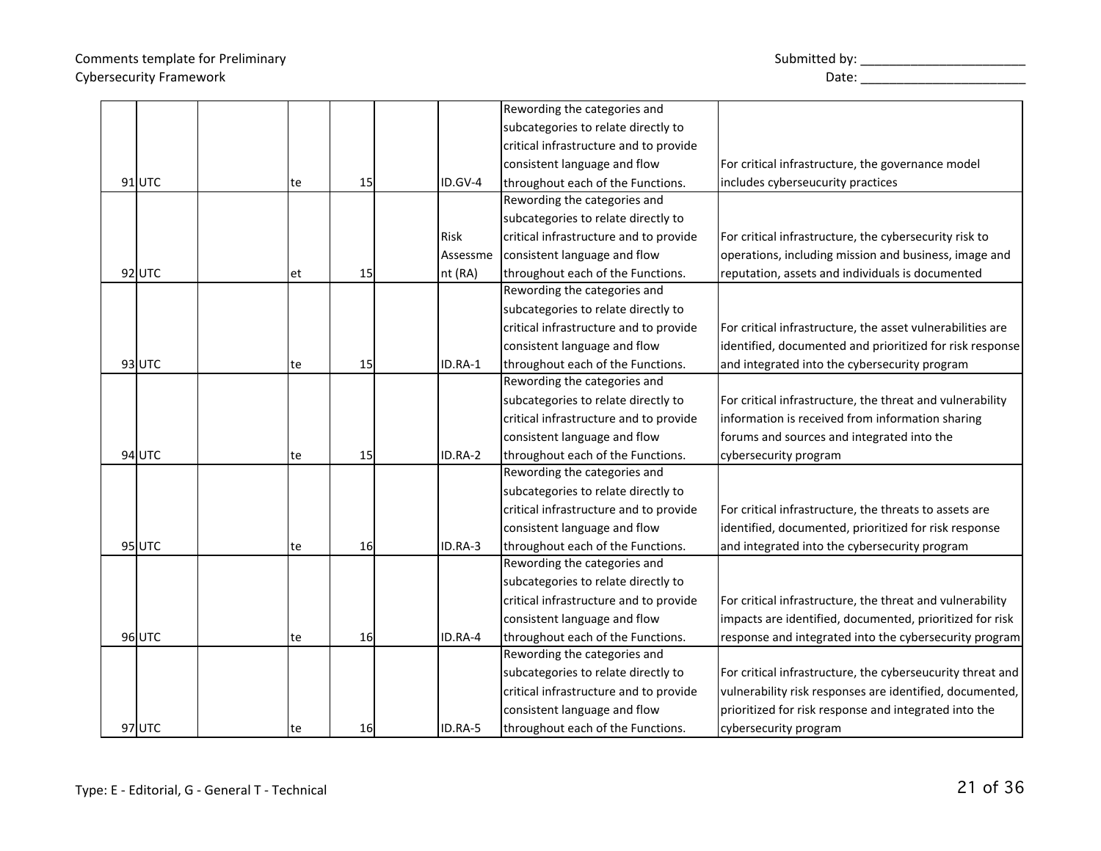|          |    |           |          | Rewording the categories and           |                                                            |
|----------|----|-----------|----------|----------------------------------------|------------------------------------------------------------|
|          |    |           |          | subcategories to relate directly to    |                                                            |
|          |    |           |          | critical infrastructure and to provide |                                                            |
|          |    |           |          | consistent language and flow           | For critical infrastructure, the governance model          |
| $91$ UTC | te | 15        | ID.GV-4  | throughout each of the Functions.      | includes cyberseucurity practices                          |
|          |    |           |          | Rewording the categories and           |                                                            |
|          |    |           |          | subcategories to relate directly to    |                                                            |
|          |    |           | Risk     | critical infrastructure and to provide | For critical infrastructure, the cybersecurity risk to     |
|          |    |           | Assessme | consistent language and flow           | operations, including mission and business, image and      |
| $92$ UTC | et | 15        | nt (RA)  | throughout each of the Functions.      | reputation, assets and individuals is documented           |
|          |    |           |          | Rewording the categories and           |                                                            |
|          |    |           |          | subcategories to relate directly to    |                                                            |
|          |    |           |          | critical infrastructure and to provide | For critical infrastructure, the asset vulnerabilities are |
|          |    |           |          | consistent language and flow           | identified, documented and prioritized for risk response   |
| 93UTC    | te | 15        | ID.RA-1  | throughout each of the Functions.      | and integrated into the cybersecurity program              |
|          |    |           |          | Rewording the categories and           |                                                            |
|          |    |           |          | subcategories to relate directly to    | For critical infrastructure, the threat and vulnerability  |
|          |    |           |          | critical infrastructure and to provide | information is received from information sharing           |
|          |    |           |          | consistent language and flow           | forums and sources and integrated into the                 |
| 94UTC    | te | 15        | ID.RA-2  | throughout each of the Functions.      | cybersecurity program                                      |
|          |    |           |          | Rewording the categories and           |                                                            |
|          |    |           |          | subcategories to relate directly to    |                                                            |
|          |    |           |          | critical infrastructure and to provide | For critical infrastructure, the threats to assets are     |
|          |    |           |          | consistent language and flow           | identified, documented, prioritized for risk response      |
| $95$ UTC | te | 16        | ID.RA-3  | throughout each of the Functions.      | and integrated into the cybersecurity program              |
|          |    |           |          | Rewording the categories and           |                                                            |
|          |    |           |          | subcategories to relate directly to    |                                                            |
|          |    |           |          | critical infrastructure and to provide | For critical infrastructure, the threat and vulnerability  |
|          |    |           |          | consistent language and flow           | impacts are identified, documented, prioritized for risk   |
| 96UTC    | te | 16        | ID.RA-4  | throughout each of the Functions.      | response and integrated into the cybersecurity program     |
|          |    |           |          | Rewording the categories and           |                                                            |
|          |    |           |          | subcategories to relate directly to    | For critical infrastructure, the cyberseucurity threat and |
|          |    |           |          | critical infrastructure and to provide | vulnerability risk responses are identified, documented,   |
|          |    |           |          | consistent language and flow           | prioritized for risk response and integrated into the      |
| 97UTC    | te | <b>16</b> | ID.RA-5  | throughout each of the Functions.      | cybersecurity program                                      |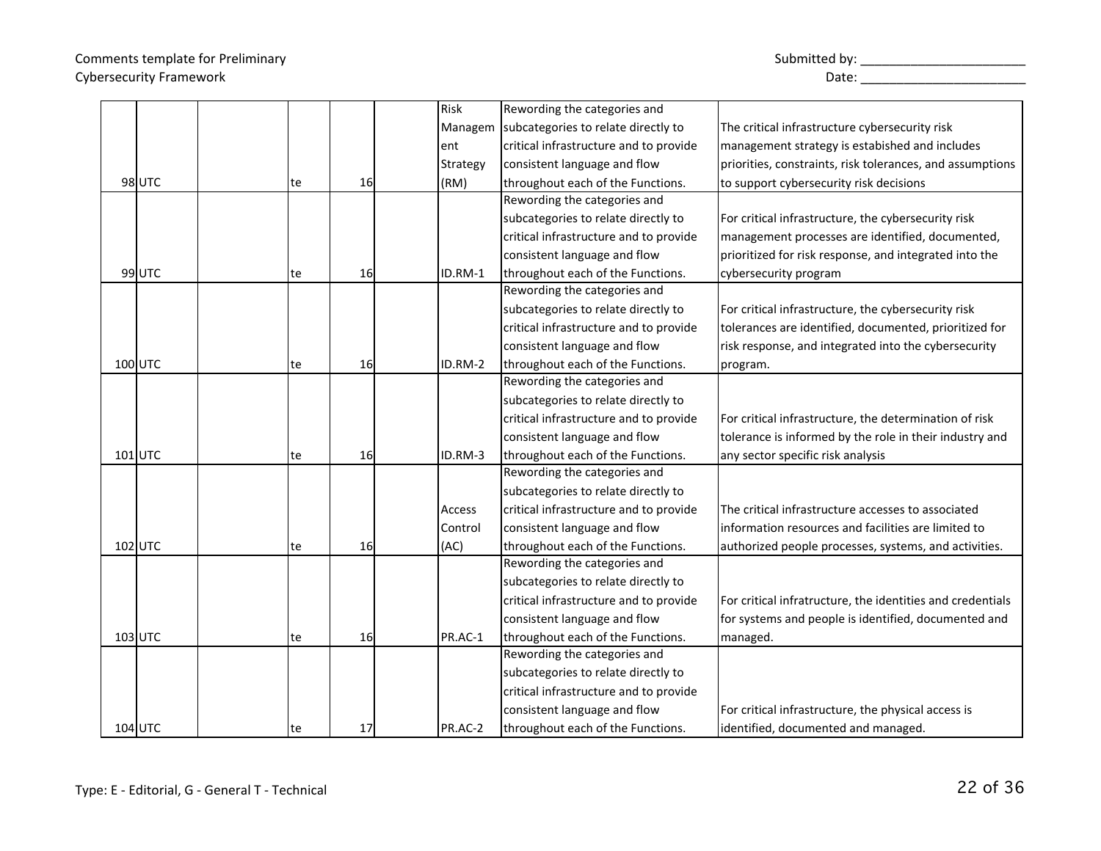|           |    |           | Risk     | Rewording the categories and           |                                                            |
|-----------|----|-----------|----------|----------------------------------------|------------------------------------------------------------|
|           |    |           | Managem  | subcategories to relate directly to    | The critical infrastructure cybersecurity risk             |
|           |    |           | ent      | critical infrastructure and to provide | management strategy is estabished and includes             |
|           |    |           | Strategy | consistent language and flow           | priorities, constraints, risk tolerances, and assumptions  |
| 98UTC     | te | 16        | (RM)     | throughout each of the Functions.      | to support cybersecurity risk decisions                    |
|           |    |           |          | Rewording the categories and           |                                                            |
|           |    |           |          | subcategories to relate directly to    | For critical infrastructure, the cybersecurity risk        |
|           |    |           |          | critical infrastructure and to provide | management processes are identified, documented,           |
|           |    |           |          | consistent language and flow           | prioritized for risk response, and integrated into the     |
| 99UTC     | te | 16        | ID.RM-1  | throughout each of the Functions.      | cybersecurity program                                      |
|           |    |           |          | Rewording the categories and           |                                                            |
|           |    |           |          | subcategories to relate directly to    | For critical infrastructure, the cybersecurity risk        |
|           |    |           |          | critical infrastructure and to provide | tolerances are identified, documented, prioritized for     |
|           |    |           |          | consistent language and flow           | risk response, and integrated into the cybersecurity       |
| 100 UTC   | te | 16        | ID.RM-2  | throughout each of the Functions.      | program.                                                   |
|           |    |           |          | Rewording the categories and           |                                                            |
|           |    |           |          | subcategories to relate directly to    |                                                            |
|           |    |           |          | critical infrastructure and to provide | For critical infrastructure, the determination of risk     |
|           |    |           |          | consistent language and flow           | tolerance is informed by the role in their industry and    |
| $101$ UTC | te | <b>16</b> | ID.RM-3  | throughout each of the Functions.      | any sector specific risk analysis                          |
|           |    |           |          | Rewording the categories and           |                                                            |
|           |    |           |          | subcategories to relate directly to    |                                                            |
|           |    |           | Access   | critical infrastructure and to provide | The critical infrastructure accesses to associated         |
|           |    |           | Control  | consistent language and flow           | information resources and facilities are limited to        |
| 102 UTC   | te | 16        | (AC)     | throughout each of the Functions.      | authorized people processes, systems, and activities.      |
|           |    |           |          | Rewording the categories and           |                                                            |
|           |    |           |          | subcategories to relate directly to    |                                                            |
|           |    |           |          | critical infrastructure and to provide | For critical infratructure, the identities and credentials |
|           |    |           |          | consistent language and flow           | for systems and people is identified, documented and       |
| $103$ UTC | te | 16        | PR.AC-1  | throughout each of the Functions.      | managed.                                                   |
|           |    |           |          | Rewording the categories and           |                                                            |
|           |    |           |          | subcategories to relate directly to    |                                                            |
|           |    |           |          | critical infrastructure and to provide |                                                            |
|           |    |           |          | consistent language and flow           | For critical infrastructure, the physical access is        |
| 104 UTC   | te | 17        | PR.AC-2  | throughout each of the Functions.      | identified, documented and managed.                        |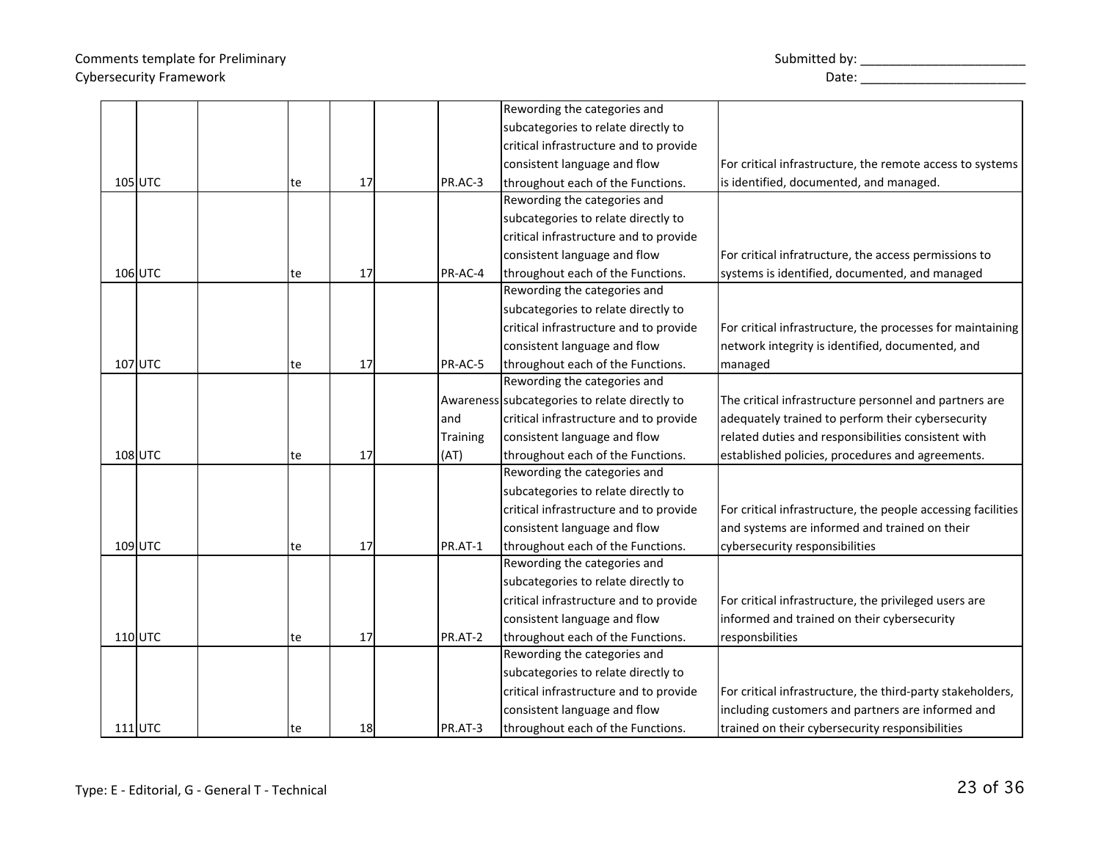|           |    |    |                 | Rewording the categories and                  |                                                              |
|-----------|----|----|-----------------|-----------------------------------------------|--------------------------------------------------------------|
|           |    |    |                 | subcategories to relate directly to           |                                                              |
|           |    |    |                 | critical infrastructure and to provide        |                                                              |
|           |    |    |                 | consistent language and flow                  | For critical infrastructure, the remote access to systems    |
| $105$ UTC | te | 17 | PR.AC-3         | throughout each of the Functions.             | is identified, documented, and managed.                      |
|           |    |    |                 | Rewording the categories and                  |                                                              |
|           |    |    |                 | subcategories to relate directly to           |                                                              |
|           |    |    |                 | critical infrastructure and to provide        |                                                              |
|           |    |    |                 | consistent language and flow                  | For critical infratructure, the access permissions to        |
| 106UTC    | te | 17 | PR-AC-4         | throughout each of the Functions.             | systems is identified, documented, and managed               |
|           |    |    |                 | Rewording the categories and                  |                                                              |
|           |    |    |                 | subcategories to relate directly to           |                                                              |
|           |    |    |                 | critical infrastructure and to provide        | For critical infrastructure, the processes for maintaining   |
|           |    |    |                 | consistent language and flow                  | network integrity is identified, documented, and             |
| 107 UTC   | te | 17 | PR-AC-5         | throughout each of the Functions.             | managed                                                      |
|           |    |    |                 | Rewording the categories and                  |                                                              |
|           |    |    |                 | Awareness subcategories to relate directly to | The critical infrastructure personnel and partners are       |
|           |    |    | and             | critical infrastructure and to provide        | adequately trained to perform their cybersecurity            |
|           |    |    | <b>Training</b> | consistent language and flow                  | related duties and responsibilities consistent with          |
| 108 UTC   | te | 17 | (AT)            | throughout each of the Functions.             | established policies, procedures and agreements.             |
|           |    |    |                 | Rewording the categories and                  |                                                              |
|           |    |    |                 | subcategories to relate directly to           |                                                              |
|           |    |    |                 | critical infrastructure and to provide        | For critical infrastructure, the people accessing facilities |
|           |    |    |                 | consistent language and flow                  | and systems are informed and trained on their                |
| $109$ UTC | te | 17 | PR.AT-1         | throughout each of the Functions.             | cybersecurity responsibilities                               |
|           |    |    |                 | Rewording the categories and                  |                                                              |
|           |    |    |                 | subcategories to relate directly to           |                                                              |
|           |    |    |                 | critical infrastructure and to provide        | For critical infrastructure, the privileged users are        |
|           |    |    |                 | consistent language and flow                  | informed and trained on their cybersecurity                  |
| $110$ UTC | te | 17 | PR.AT-2         | throughout each of the Functions.             | responsbilities                                              |
|           |    |    |                 | Rewording the categories and                  |                                                              |
|           |    |    |                 | subcategories to relate directly to           |                                                              |
|           |    |    |                 | critical infrastructure and to provide        | For critical infrastructure, the third-party stakeholders,   |
|           |    |    |                 | consistent language and flow                  | including customers and partners are informed and            |
| $111$ UTC | te | 18 | PR.AT-3         | throughout each of the Functions.             | trained on their cybersecurity responsibilities              |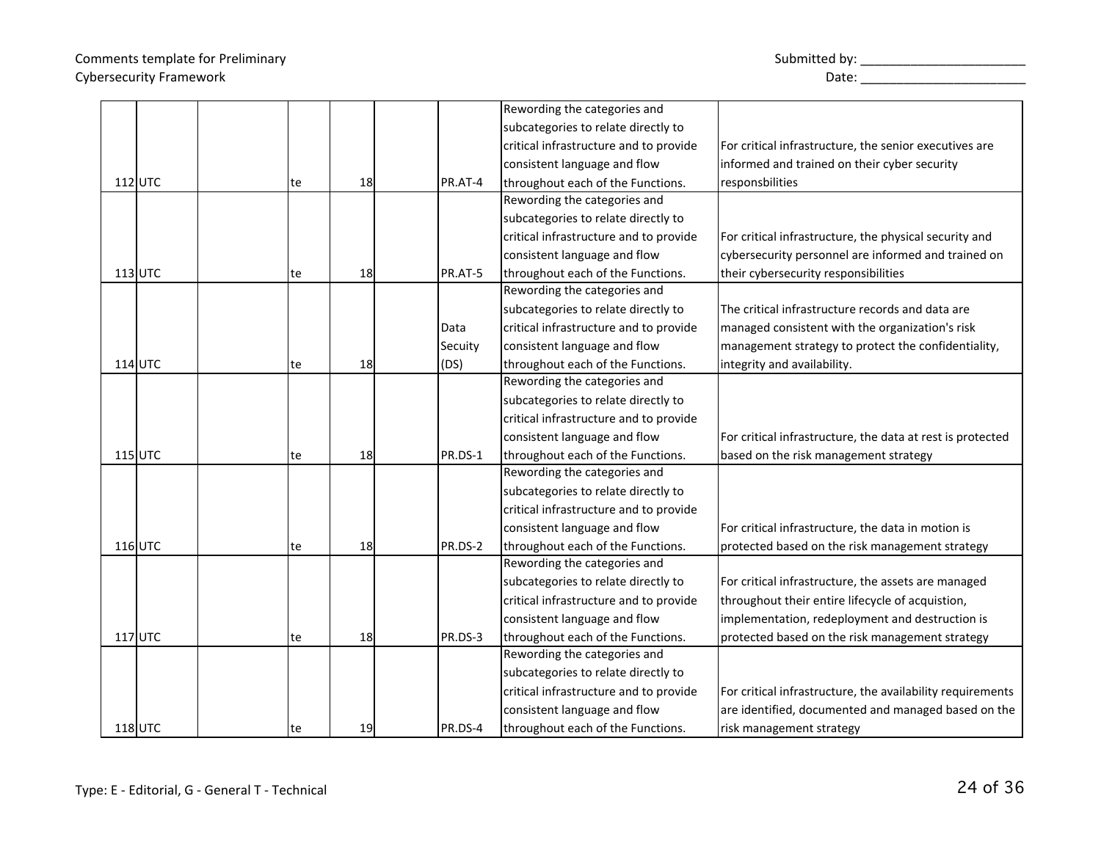|           |     |    |         | Rewording the categories and           |                                                            |
|-----------|-----|----|---------|----------------------------------------|------------------------------------------------------------|
|           |     |    |         | subcategories to relate directly to    |                                                            |
|           |     |    |         | critical infrastructure and to provide | For critical infrastructure, the senior executives are     |
|           |     |    |         | consistent language and flow           | informed and trained on their cyber security               |
| $112$ UTC | te  | 18 | PR.AT-4 | throughout each of the Functions.      | responsbilities                                            |
|           |     |    |         | Rewording the categories and           |                                                            |
|           |     |    |         | subcategories to relate directly to    |                                                            |
|           |     |    |         | critical infrastructure and to provide | For critical infrastructure, the physical security and     |
|           |     |    |         | consistent language and flow           | cybersecurity personnel are informed and trained on        |
| $113$ UTC | te  | 18 | PR.AT-5 | throughout each of the Functions.      | their cybersecurity responsibilities                       |
|           |     |    |         | Rewording the categories and           |                                                            |
|           |     |    |         | subcategories to relate directly to    | The critical infrastructure records and data are           |
|           |     |    | Data    | critical infrastructure and to provide | managed consistent with the organization's risk            |
|           |     |    | Secuity | consistent language and flow           | management strategy to protect the confidentiality,        |
| $114$ UTC | te  | 18 | (DS)    | throughout each of the Functions.      | integrity and availability.                                |
|           |     |    |         | Rewording the categories and           |                                                            |
|           |     |    |         | subcategories to relate directly to    |                                                            |
|           |     |    |         | critical infrastructure and to provide |                                                            |
|           |     |    |         | consistent language and flow           | For critical infrastructure, the data at rest is protected |
| $115$ UTC | te  | 18 | PR.DS-1 | throughout each of the Functions.      | based on the risk management strategy                      |
|           |     |    |         | Rewording the categories and           |                                                            |
|           |     |    |         | subcategories to relate directly to    |                                                            |
|           |     |    |         | critical infrastructure and to provide |                                                            |
|           |     |    |         | consistent language and flow           | For critical infrastructure, the data in motion is         |
| $116$ UTC | te  | 18 | PR.DS-2 | throughout each of the Functions.      | protected based on the risk management strategy            |
|           |     |    |         | Rewording the categories and           |                                                            |
|           |     |    |         | subcategories to relate directly to    | For critical infrastructure, the assets are managed        |
|           |     |    |         | critical infrastructure and to provide | throughout their entire lifecycle of acquistion,           |
|           |     |    |         | consistent language and flow           | implementation, redeployment and destruction is            |
| 117 UTC   | lte | 18 | PR.DS-3 | throughout each of the Functions.      | protected based on the risk management strategy            |
|           |     |    |         | Rewording the categories and           |                                                            |
|           |     |    |         | subcategories to relate directly to    |                                                            |
|           |     |    |         | critical infrastructure and to provide | For critical infrastructure, the availability requirements |
|           |     |    |         | consistent language and flow           | are identified, documented and managed based on the        |
| 118 UTC   | lte | 19 | PR.DS-4 | throughout each of the Functions.      | risk management strategy                                   |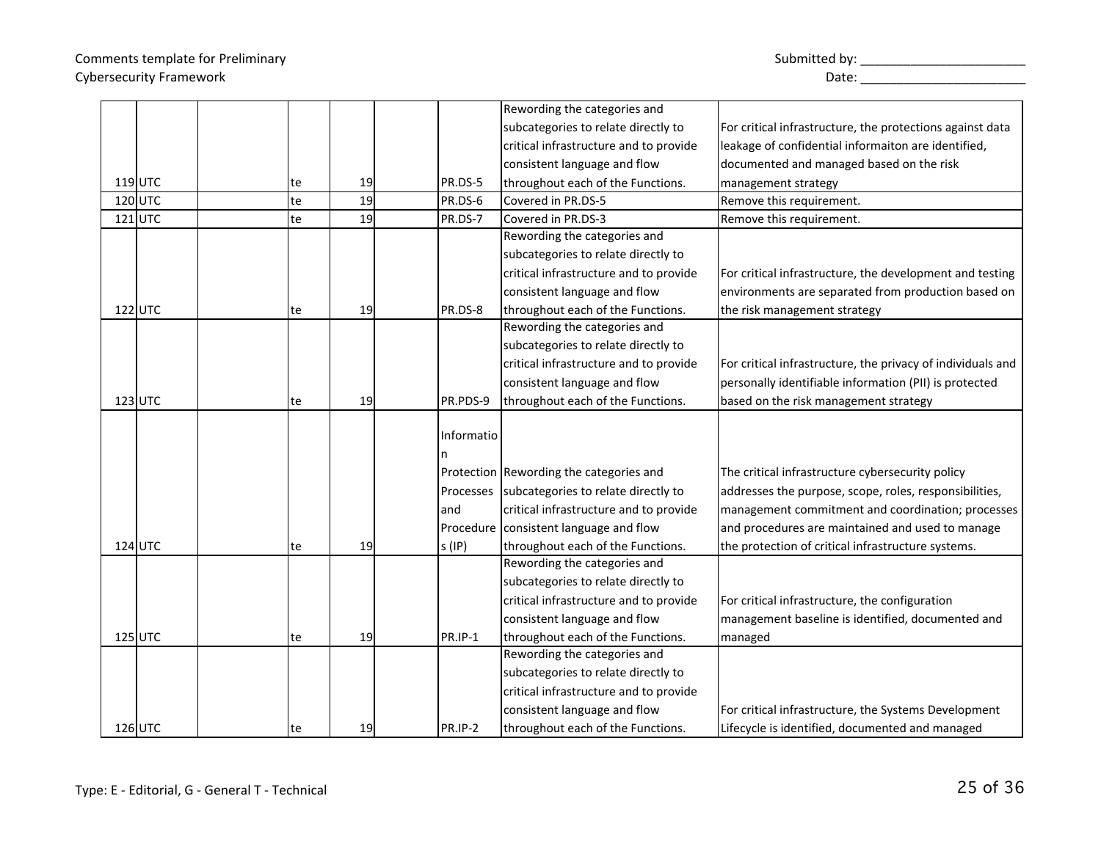# Comments template for Preliminary Cybersecurity Framework Date: \_\_\_\_\_\_\_\_\_\_\_\_\_\_\_\_\_\_\_\_\_\_\_

| Submitted by: |  |
|---------------|--|
|---------------|--|

|           |    |    |            | Rewording the categories and            |                                                             |
|-----------|----|----|------------|-----------------------------------------|-------------------------------------------------------------|
|           |    |    |            | subcategories to relate directly to     | For critical infrastructure, the protections against data   |
|           |    |    |            | critical infrastructure and to provide  | leakage of confidential informaiton are identified,         |
|           |    |    |            | consistent language and flow            | documented and managed based on the risk                    |
| $119$ UTC | te | 19 | PR.DS-5    | throughout each of the Functions.       | management strategy                                         |
| $120$ UTC | te | 19 | PR.DS-6    | Covered in PR.DS-5                      | Remove this requirement.                                    |
| $121$ UTC | te | 19 | PR.DS-7    | Covered in PR.DS-3                      | Remove this requirement.                                    |
|           |    |    |            | Rewording the categories and            |                                                             |
|           |    |    |            | subcategories to relate directly to     |                                                             |
|           |    |    |            | critical infrastructure and to provide  | For critical infrastructure, the development and testing    |
|           |    |    |            | consistent language and flow            | environments are separated from production based on         |
| $122$ UTC | te | 19 | PR.DS-8    | throughout each of the Functions.       | the risk management strategy                                |
|           |    |    |            | Rewording the categories and            |                                                             |
|           |    |    |            | subcategories to relate directly to     |                                                             |
|           |    |    |            | critical infrastructure and to provide  | For critical infrastructure, the privacy of individuals and |
|           |    |    |            | consistent language and flow            | personally identifiable information (PII) is protected      |
| $123$ UTC | te | 19 | PR.PDS-9   | throughout each of the Functions.       | based on the risk management strategy                       |
|           |    |    |            |                                         |                                                             |
|           |    |    | Informatio |                                         |                                                             |
|           |    |    |            |                                         |                                                             |
|           |    |    |            | Protection Rewording the categories and | The critical infrastructure cybersecurity policy            |
|           |    |    | Processes  | subcategories to relate directly to     | addresses the purpose, scope, roles, responsibilities,      |
|           |    |    | and        | critical infrastructure and to provide  | management commitment and coordination; processes           |
|           |    |    | Procedure  | consistent language and flow            | and procedures are maintained and used to manage            |
| 124 UTC   | te | 19 | s(IP)      | throughout each of the Functions.       | the protection of critical infrastructure systems.          |
|           |    |    |            | Rewording the categories and            |                                                             |
|           |    |    |            | subcategories to relate directly to     |                                                             |
|           |    |    |            | critical infrastructure and to provide  | For critical infrastructure, the configuration              |
|           |    |    |            | consistent language and flow            | management baseline is identified, documented and           |
| $125$ UTC | te | 19 | PR.IP-1    | throughout each of the Functions.       | managed                                                     |
|           |    |    |            | Rewording the categories and            |                                                             |
|           |    |    |            |                                         |                                                             |
|           |    |    |            | subcategories to relate directly to     |                                                             |
|           |    |    |            | critical infrastructure and to provide  |                                                             |
|           |    |    |            | consistent language and flow            | For critical infrastructure, the Systems Development        |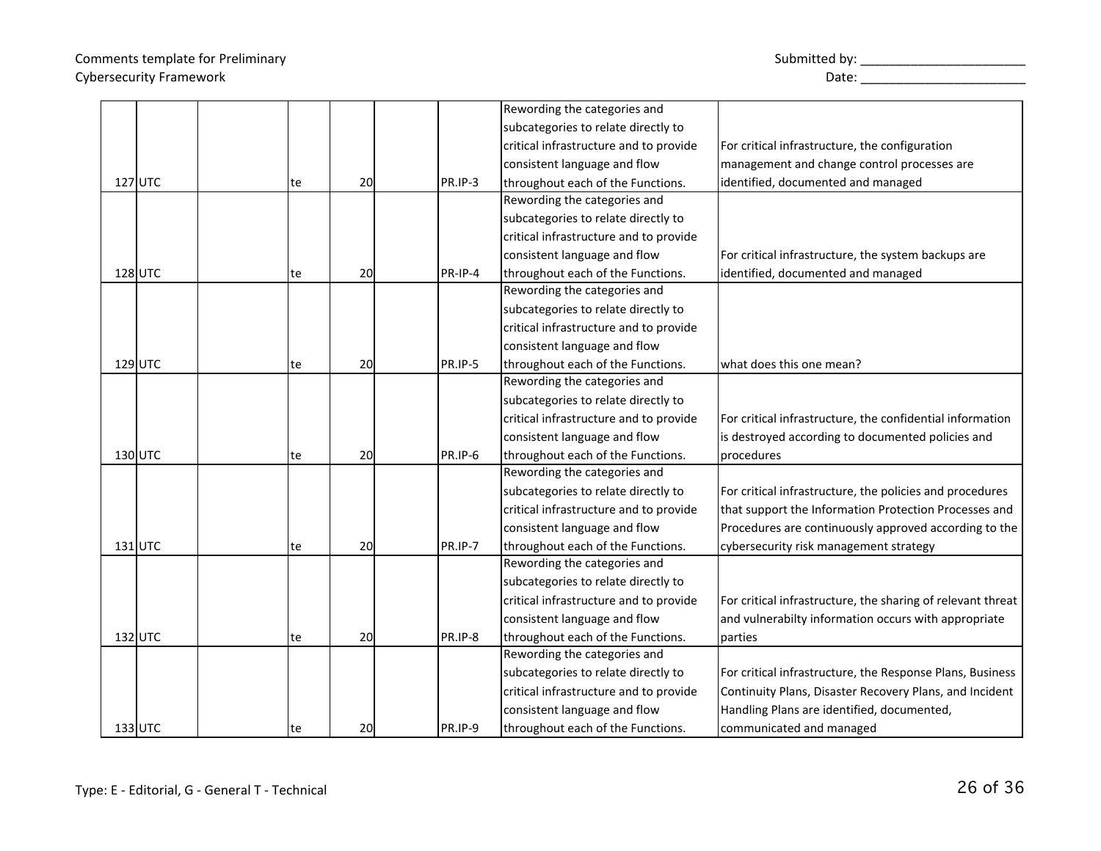|                |    |    |         | Rewording the categories and           |                                                             |
|----------------|----|----|---------|----------------------------------------|-------------------------------------------------------------|
|                |    |    |         | subcategories to relate directly to    |                                                             |
|                |    |    |         | critical infrastructure and to provide | For critical infrastructure, the configuration              |
|                |    |    |         | consistent language and flow           | management and change control processes are                 |
| 127 UTC        | te | 20 | PR.IP-3 | throughout each of the Functions.      | identified, documented and managed                          |
|                |    |    |         | Rewording the categories and           |                                                             |
|                |    |    |         | subcategories to relate directly to    |                                                             |
|                |    |    |         | critical infrastructure and to provide |                                                             |
|                |    |    |         | consistent language and flow           | For critical infrastructure, the system backups are         |
| <b>128 UTC</b> | te | 20 | PR-IP-4 | throughout each of the Functions.      | identified, documented and managed                          |
|                |    |    |         | Rewording the categories and           |                                                             |
|                |    |    |         | subcategories to relate directly to    |                                                             |
|                |    |    |         | critical infrastructure and to provide |                                                             |
|                |    |    |         | consistent language and flow           |                                                             |
| 129 UTC        | te | 20 | PR.IP-5 | throughout each of the Functions.      | what does this one mean?                                    |
|                |    |    |         | Rewording the categories and           |                                                             |
|                |    |    |         | subcategories to relate directly to    |                                                             |
|                |    |    |         | critical infrastructure and to provide | For critical infrastructure, the confidential information   |
|                |    |    |         | consistent language and flow           | is destroyed according to documented policies and           |
| 130 UTC        | te | 20 | PR.IP-6 | throughout each of the Functions.      | procedures                                                  |
|                |    |    |         | Rewording the categories and           |                                                             |
|                |    |    |         | subcategories to relate directly to    | For critical infrastructure, the policies and procedures    |
|                |    |    |         | critical infrastructure and to provide | that support the Information Protection Processes and       |
|                |    |    |         | consistent language and flow           | Procedures are continuously approved according to the       |
| $131$ UTC      | te | 20 | PR.IP-7 | throughout each of the Functions.      | cybersecurity risk management strategy                      |
|                |    |    |         | Rewording the categories and           |                                                             |
|                |    |    |         | subcategories to relate directly to    |                                                             |
|                |    |    |         | critical infrastructure and to provide | For critical infrastructure, the sharing of relevant threat |
|                |    |    |         | consistent language and flow           | and vulnerabilty information occurs with appropriate        |
| 132 UTC        | te | 20 | PR.IP-8 | throughout each of the Functions.      | parties                                                     |
|                |    |    |         | Rewording the categories and           |                                                             |
|                |    |    |         | subcategories to relate directly to    | For critical infrastructure, the Response Plans, Business   |
|                |    |    |         | critical infrastructure and to provide | Continuity Plans, Disaster Recovery Plans, and Incident     |
|                |    |    |         | consistent language and flow           | Handling Plans are identified, documented,                  |
| $133$ UTC      | te | 20 | PR.IP-9 | throughout each of the Functions.      | communicated and managed                                    |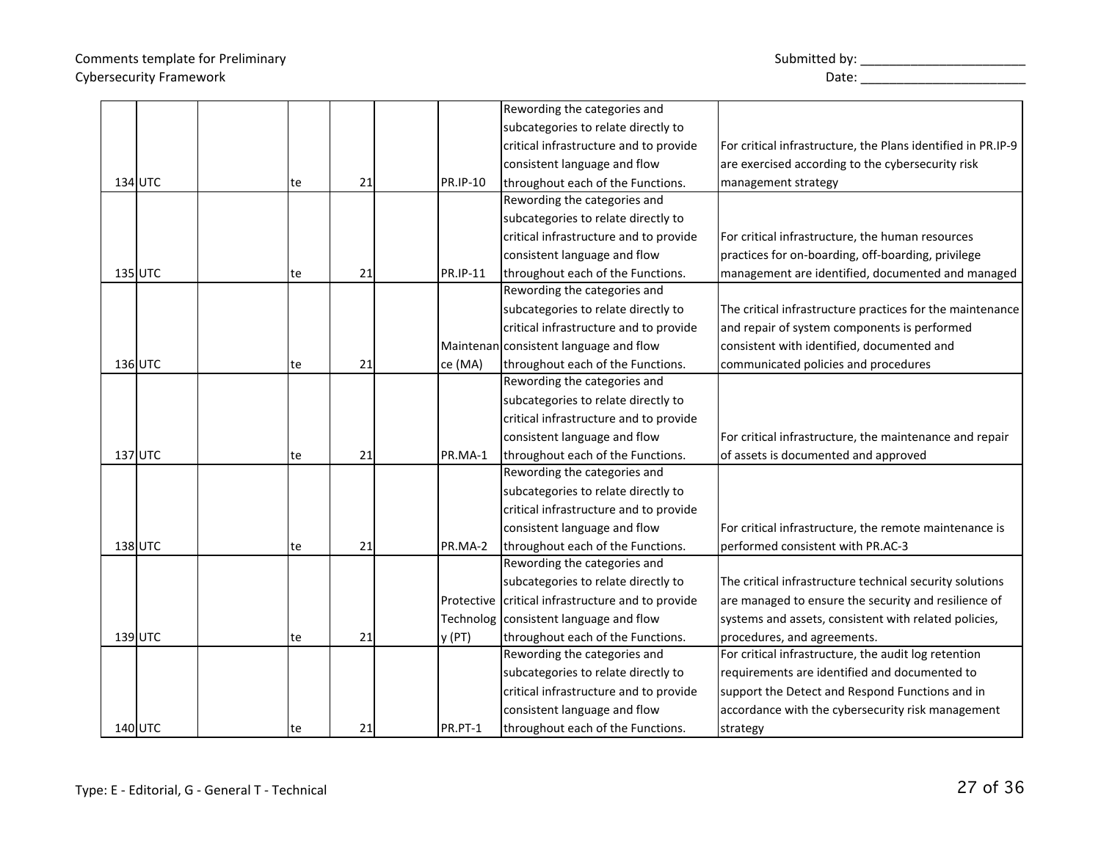|           |     |    |       |                  | Rewording the categories and                      |                                                              |
|-----------|-----|----|-------|------------------|---------------------------------------------------|--------------------------------------------------------------|
|           |     |    |       |                  | subcategories to relate directly to               |                                                              |
|           |     |    |       |                  | critical infrastructure and to provide            | For critical infrastructure, the Plans identified in PR.IP-9 |
|           |     |    |       |                  | consistent language and flow                      | are exercised according to the cybersecurity risk            |
| 134 UTC   | te  | 21 |       | PR.IP-10         | throughout each of the Functions.                 | management strategy                                          |
|           |     |    |       |                  | Rewording the categories and                      |                                                              |
|           |     |    |       |                  | subcategories to relate directly to               |                                                              |
|           |     |    |       |                  | critical infrastructure and to provide            | For critical infrastructure, the human resources             |
|           |     |    |       |                  | consistent language and flow                      | practices for on-boarding, off-boarding, privilege           |
| $135$ UTC | te  | 21 |       | <b>PR.IP-11</b>  | throughout each of the Functions.                 | management are identified, documented and managed            |
|           |     |    |       |                  | Rewording the categories and                      |                                                              |
|           |     |    |       |                  | subcategories to relate directly to               | The critical infrastructure practices for the maintenance    |
|           |     |    |       |                  | critical infrastructure and to provide            | and repair of system components is performed                 |
|           |     |    |       |                  | Maintenan consistent language and flow            | consistent with identified, documented and                   |
| 136 UTC   | te  | 21 |       | ce (MA)          | throughout each of the Functions.                 | communicated policies and procedures                         |
|           |     |    |       |                  | Rewording the categories and                      |                                                              |
|           |     |    |       |                  | subcategories to relate directly to               |                                                              |
|           |     |    |       |                  | critical infrastructure and to provide            |                                                              |
|           |     |    |       |                  | consistent language and flow                      | For critical infrastructure, the maintenance and repair      |
| $137$ UTC | lte | 21 |       | PR.MA-1          | throughout each of the Functions.                 | of assets is documented and approved                         |
|           |     |    |       |                  | Rewording the categories and                      |                                                              |
|           |     |    |       |                  | subcategories to relate directly to               |                                                              |
|           |     |    |       |                  | critical infrastructure and to provide            |                                                              |
|           |     |    |       |                  | consistent language and flow                      | For critical infrastructure, the remote maintenance is       |
| 138 UTC   | te  | 21 |       | PR.MA-2          | throughout each of the Functions.                 | performed consistent with PR.AC-3                            |
|           |     |    |       |                  | Rewording the categories and                      |                                                              |
|           |     |    |       |                  | subcategories to relate directly to               | The critical infrastructure technical security solutions     |
|           |     |    |       |                  | Protective critical infrastructure and to provide | are managed to ensure the security and resilience of         |
|           |     |    |       | <b>Technolog</b> | consistent language and flow                      | systems and assets, consistent with related policies,        |
| 139 UTC   | te  | 21 | y(PT) |                  | throughout each of the Functions.                 | procedures, and agreements.                                  |
|           |     |    |       |                  | Rewording the categories and                      | For critical infrastructure, the audit log retention         |
|           |     |    |       |                  | subcategories to relate directly to               | requirements are identified and documented to                |
|           |     |    |       |                  | critical infrastructure and to provide            | support the Detect and Respond Functions and in              |
|           |     |    |       |                  | consistent language and flow                      | accordance with the cybersecurity risk management            |
| 140 UTC   | te  | 21 |       | PR.PT-1          | throughout each of the Functions.                 | strategy                                                     |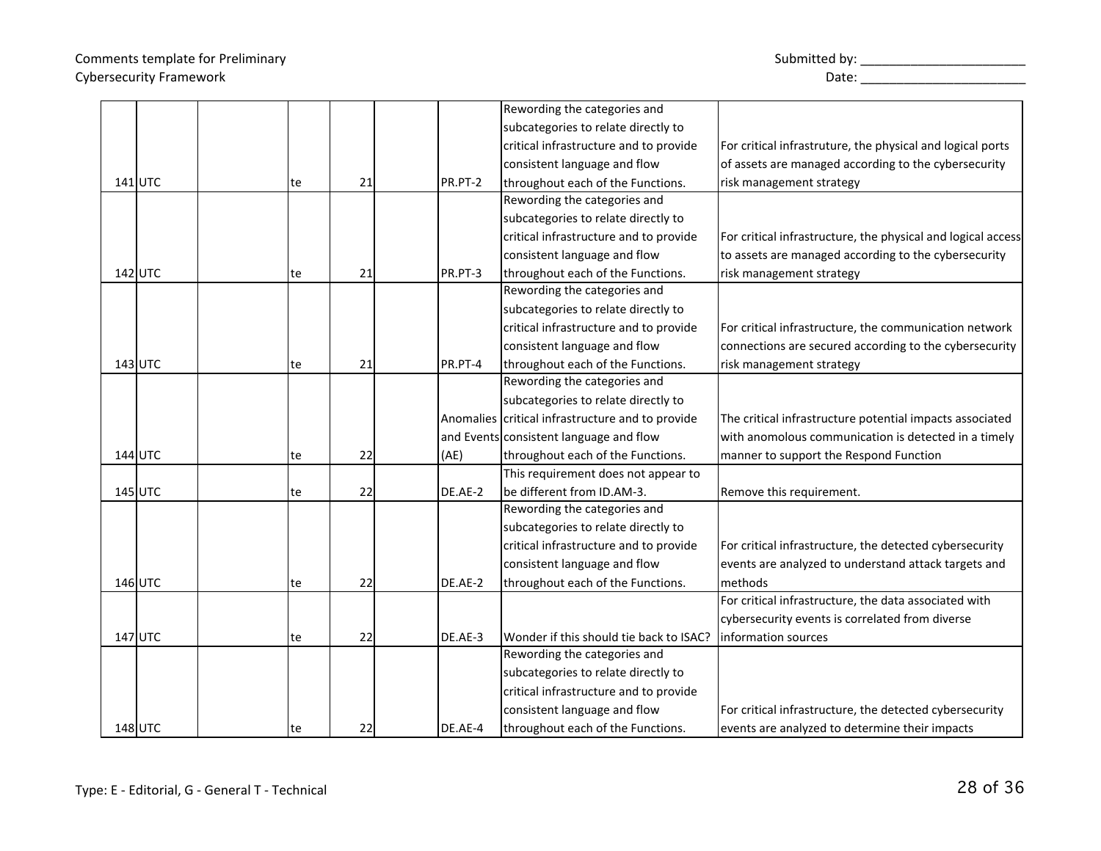|           |    |    |         | Rewording the categories and                     |                                                              |
|-----------|----|----|---------|--------------------------------------------------|--------------------------------------------------------------|
|           |    |    |         | subcategories to relate directly to              |                                                              |
|           |    |    |         | critical infrastructure and to provide           | For critical infrastruture, the physical and logical ports   |
|           |    |    |         | consistent language and flow                     | of assets are managed according to the cybersecurity         |
| 141 UTC   | te | 21 | PR.PT-2 | throughout each of the Functions.                | risk management strategy                                     |
|           |    |    |         | Rewording the categories and                     |                                                              |
|           |    |    |         | subcategories to relate directly to              |                                                              |
|           |    |    |         | critical infrastructure and to provide           | For critical infrastructure, the physical and logical access |
|           |    |    |         | consistent language and flow                     | to assets are managed according to the cybersecurity         |
| 142 UTC   | te | 21 | PR.PT-3 | throughout each of the Functions.                | risk management strategy                                     |
|           |    |    |         | Rewording the categories and                     |                                                              |
|           |    |    |         | subcategories to relate directly to              |                                                              |
|           |    |    |         | critical infrastructure and to provide           | For critical infrastructure, the communication network       |
|           |    |    |         | consistent language and flow                     | connections are secured according to the cybersecurity       |
| 143 UTC   | te | 21 | PR.PT-4 | throughout each of the Functions.                | risk management strategy                                     |
|           |    |    |         | Rewording the categories and                     |                                                              |
|           |    |    |         | subcategories to relate directly to              |                                                              |
|           |    |    |         | Anomalies critical infrastructure and to provide | The critical infrastructure potential impacts associated     |
|           |    |    |         | and Events consistent language and flow          | with anomolous communication is detected in a timely         |
| 144 UTC   | te | 22 | (AE)    | throughout each of the Functions.                | manner to support the Respond Function                       |
|           |    |    |         | This requirement does not appear to              |                                                              |
| $145$ UTC | te | 22 | DE.AE-2 | be different from ID.AM-3.                       | Remove this requirement.                                     |
|           |    |    |         | Rewording the categories and                     |                                                              |
|           |    |    |         | subcategories to relate directly to              |                                                              |
|           |    |    |         | critical infrastructure and to provide           | For critical infrastructure, the detected cybersecurity      |
|           |    |    |         | consistent language and flow                     | events are analyzed to understand attack targets and         |
| 146 UTC   | te | 22 | DE.AE-2 | throughout each of the Functions.                | methods                                                      |
|           |    |    |         |                                                  | For critical infrastructure, the data associated with        |
|           |    |    |         |                                                  | cybersecurity events is correlated from diverse              |
| $147$ UTC | te | 22 | DE.AE-3 | Wonder if this should tie back to ISAC?          | information sources                                          |
|           |    |    |         | Rewording the categories and                     |                                                              |
|           |    |    |         | subcategories to relate directly to              |                                                              |
|           |    |    |         | critical infrastructure and to provide           |                                                              |
|           |    |    |         | consistent language and flow                     | For critical infrastructure, the detected cybersecurity      |
| 148 UTC   | te | 22 | DE.AE-4 | throughout each of the Functions.                | events are analyzed to determine their impacts               |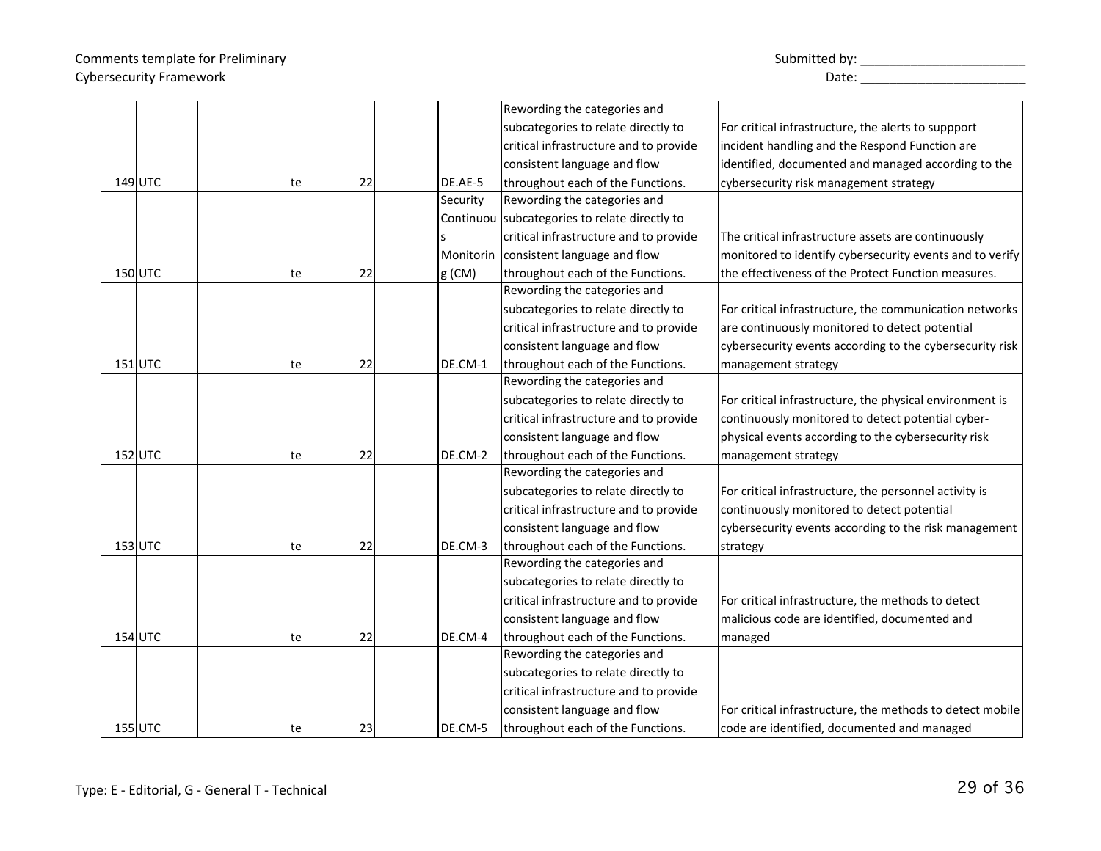|           |    |    |           | Rewording the categories and           |                                                           |
|-----------|----|----|-----------|----------------------------------------|-----------------------------------------------------------|
|           |    |    |           | subcategories to relate directly to    | For critical infrastructure, the alerts to suppport       |
|           |    |    |           | critical infrastructure and to provide | incident handling and the Respond Function are            |
|           |    |    |           | consistent language and flow           | identified, documented and managed according to the       |
| 149 UTC   | te | 22 | DE.AE-5   | throughout each of the Functions.      | cybersecurity risk management strategy                    |
|           |    |    | Security  | Rewording the categories and           |                                                           |
|           |    |    | Continuou | subcategories to relate directly to    |                                                           |
|           |    |    |           | critical infrastructure and to provide | The critical infrastructure assets are continuously       |
|           |    |    | Monitorin | consistent language and flow           | monitored to identify cybersecurity events and to verify  |
| 150UTC    | te | 22 | $g$ (CM)  | throughout each of the Functions.      | the effectiveness of the Protect Function measures.       |
|           |    |    |           | Rewording the categories and           |                                                           |
|           |    |    |           | subcategories to relate directly to    | For critical infrastructure, the communication networks   |
|           |    |    |           | critical infrastructure and to provide | are continuously monitored to detect potential            |
|           |    |    |           | consistent language and flow           | cybersecurity events according to the cybersecurity risk  |
| $151$ UTC | te | 22 | DE.CM-1   | throughout each of the Functions.      | management strategy                                       |
|           |    |    |           | Rewording the categories and           |                                                           |
|           |    |    |           | subcategories to relate directly to    | For critical infrastructure, the physical environment is  |
|           |    |    |           | critical infrastructure and to provide | continuously monitored to detect potential cyber-         |
|           |    |    |           | consistent language and flow           | physical events according to the cybersecurity risk       |
| $152$ UTC | te | 22 | DE.CM-2   | throughout each of the Functions.      | management strategy                                       |
|           |    |    |           | Rewording the categories and           |                                                           |
|           |    |    |           | subcategories to relate directly to    | For critical infrastructure, the personnel activity is    |
|           |    |    |           | critical infrastructure and to provide | continuously monitored to detect potential                |
|           |    |    |           | consistent language and flow           | cybersecurity events according to the risk management     |
| $153$ UTC | te | 22 | DE.CM-3   | throughout each of the Functions.      | strategy                                                  |
|           |    |    |           | Rewording the categories and           |                                                           |
|           |    |    |           | subcategories to relate directly to    |                                                           |
|           |    |    |           | critical infrastructure and to provide | For critical infrastructure, the methods to detect        |
|           |    |    |           | consistent language and flow           | malicious code are identified, documented and             |
| 154 UTC   | te | 22 | DE.CM-4   | throughout each of the Functions.      | managed                                                   |
|           |    |    |           | Rewording the categories and           |                                                           |
|           |    |    |           | subcategories to relate directly to    |                                                           |
|           |    |    |           | critical infrastructure and to provide |                                                           |
|           |    |    |           | consistent language and flow           | For critical infrastructure, the methods to detect mobile |
| $155$ UTC | te | 23 | DE.CM-5   | throughout each of the Functions.      | code are identified, documented and managed               |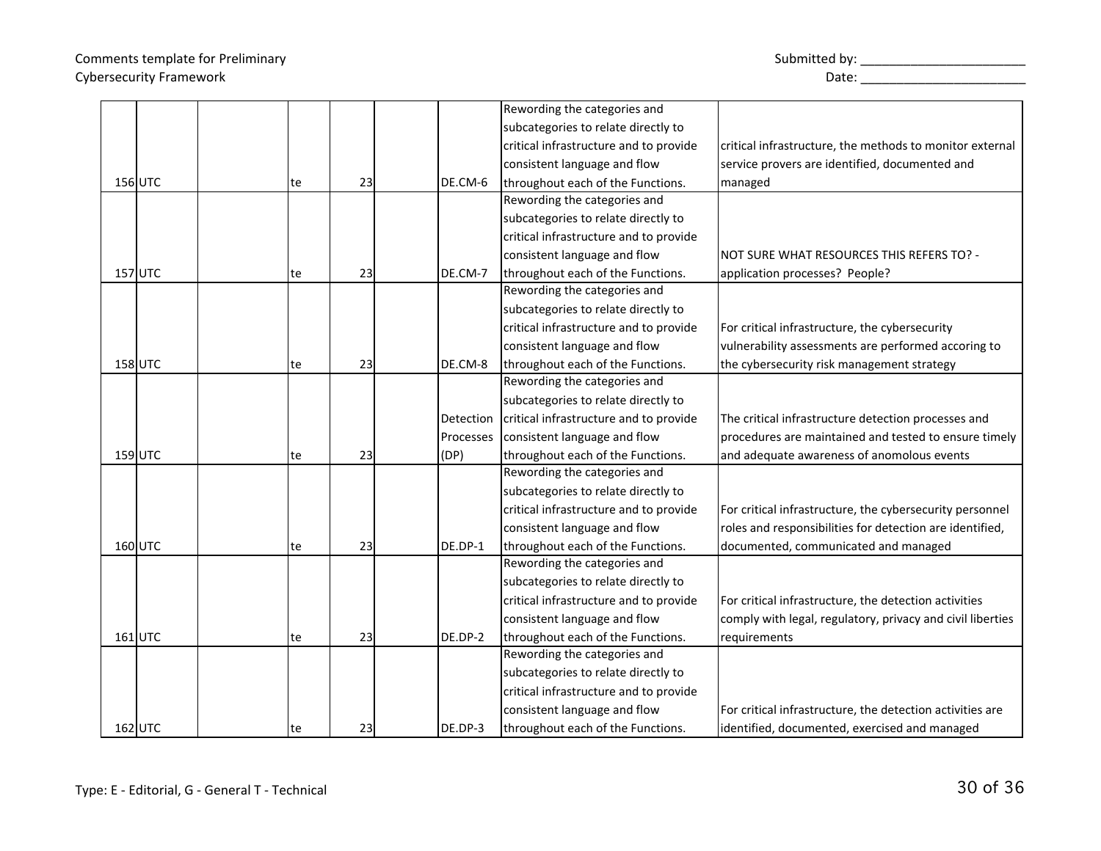|           |     |    |                  | Rewording the categories and           |                                                            |
|-----------|-----|----|------------------|----------------------------------------|------------------------------------------------------------|
|           |     |    |                  | subcategories to relate directly to    |                                                            |
|           |     |    |                  | critical infrastructure and to provide | critical infrastructure, the methods to monitor external   |
|           |     |    |                  | consistent language and flow           | service provers are identified, documented and             |
| 156 UTC   | te  | 23 | DE.CM-6          | throughout each of the Functions.      | managed                                                    |
|           |     |    |                  | Rewording the categories and           |                                                            |
|           |     |    |                  | subcategories to relate directly to    |                                                            |
|           |     |    |                  | critical infrastructure and to provide |                                                            |
|           |     |    |                  | consistent language and flow           | NOT SURE WHAT RESOURCES THIS REFERS TO? -                  |
| $157$ UTC | te  | 23 | DE.CM-7          | throughout each of the Functions.      | application processes? People?                             |
|           |     |    |                  | Rewording the categories and           |                                                            |
|           |     |    |                  | subcategories to relate directly to    |                                                            |
|           |     |    |                  | critical infrastructure and to provide | For critical infrastructure, the cybersecurity             |
|           |     |    |                  | consistent language and flow           | vulnerability assessments are performed accoring to        |
| 158 UTC   | te  | 23 | DE.CM-8          | throughout each of the Functions.      | the cybersecurity risk management strategy                 |
|           |     |    |                  | Rewording the categories and           |                                                            |
|           |     |    |                  | subcategories to relate directly to    |                                                            |
|           |     |    | <b>Detection</b> | critical infrastructure and to provide | The critical infrastructure detection processes and        |
|           |     |    | Processes        | consistent language and flow           | procedures are maintained and tested to ensure timely      |
| 159 UTC   | te  | 23 | (DP)             | throughout each of the Functions.      | and adequate awareness of anomolous events                 |
|           |     |    |                  | Rewording the categories and           |                                                            |
|           |     |    |                  | subcategories to relate directly to    |                                                            |
|           |     |    |                  | critical infrastructure and to provide | For critical infrastructure, the cybersecurity personnel   |
|           |     |    |                  | consistent language and flow           | roles and responsibilities for detection are identified,   |
| 160UTC    | te  | 23 | DE.DP-1          | throughout each of the Functions.      | documented, communicated and managed                       |
|           |     |    |                  | Rewording the categories and           |                                                            |
|           |     |    |                  | subcategories to relate directly to    |                                                            |
|           |     |    |                  | critical infrastructure and to provide | For critical infrastructure, the detection activities      |
|           |     |    |                  | consistent language and flow           | comply with legal, regulatory, privacy and civil liberties |
| $161$ UTC | te  | 23 | DE.DP-2          | throughout each of the Functions.      | requirements                                               |
|           |     |    |                  | Rewording the categories and           |                                                            |
|           |     |    |                  | subcategories to relate directly to    |                                                            |
|           |     |    |                  | critical infrastructure and to provide |                                                            |
|           |     |    |                  | consistent language and flow           | For critical infrastructure, the detection activities are  |
| $162$ UTC | lte | 23 | DE.DP-3          | throughout each of the Functions.      | identified, documented, exercised and managed              |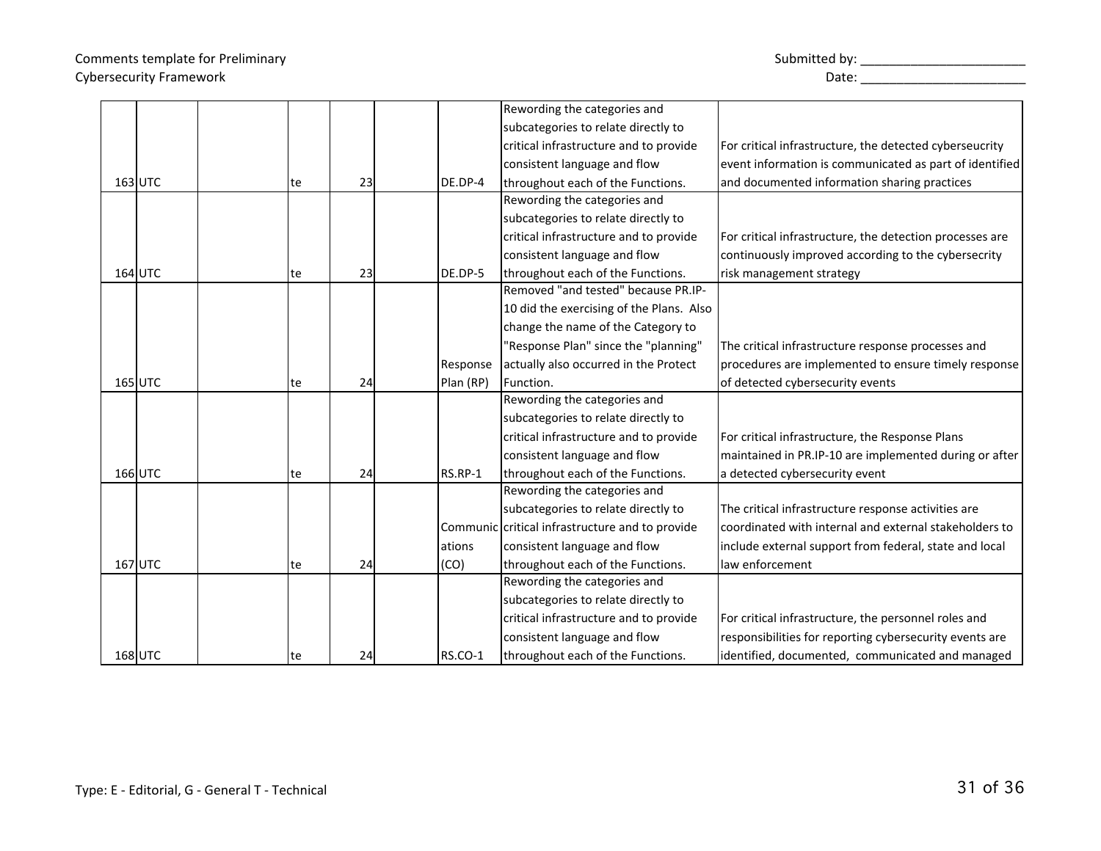|           |    |    |           | Rewording the categories and                    |                                                          |
|-----------|----|----|-----------|-------------------------------------------------|----------------------------------------------------------|
|           |    |    |           | subcategories to relate directly to             |                                                          |
|           |    |    |           | critical infrastructure and to provide          | For critical infrastructure, the detected cyberseucrity  |
|           |    |    |           | consistent language and flow                    | event information is communicated as part of identified  |
| $163$ UTC | te | 23 | DE.DP-4   | throughout each of the Functions.               | and documented information sharing practices             |
|           |    |    |           | Rewording the categories and                    |                                                          |
|           |    |    |           | subcategories to relate directly to             |                                                          |
|           |    |    |           | critical infrastructure and to provide          | For critical infrastructure, the detection processes are |
|           |    |    |           | consistent language and flow                    | continuously improved according to the cybersecrity      |
| $164$ UTC | te | 23 | DE.DP-5   | throughout each of the Functions.               | risk management strategy                                 |
|           |    |    |           | Removed "and tested" because PR.IP-             |                                                          |
|           |    |    |           | 10 did the exercising of the Plans. Also        |                                                          |
|           |    |    |           | change the name of the Category to              |                                                          |
|           |    |    |           | "Response Plan" since the "planning"            | The critical infrastructure response processes and       |
|           |    |    | Response  | actually also occurred in the Protect           | procedures are implemented to ensure timely response     |
| $165$ UTC | te | 24 | Plan (RP) | Function.                                       | of detected cybersecurity events                         |
|           |    |    |           | Rewording the categories and                    |                                                          |
|           |    |    |           | subcategories to relate directly to             |                                                          |
|           |    |    |           | critical infrastructure and to provide          | For critical infrastructure, the Response Plans          |
|           |    |    |           | consistent language and flow                    | maintained in PR.IP-10 are implemented during or after   |
| $166$ UTC | te | 24 | RS.RP-1   | throughout each of the Functions.               | a detected cybersecurity event                           |
|           |    |    |           | Rewording the categories and                    |                                                          |
|           |    |    |           | subcategories to relate directly to             | The critical infrastructure response activities are      |
|           |    |    |           | Communic critical infrastructure and to provide | coordinated with internal and external stakeholders to   |
|           |    |    | ations    | consistent language and flow                    | include external support from federal, state and local   |
| $167$ UTC | te | 24 | (CO)      | throughout each of the Functions.               | law enforcement                                          |
|           |    |    |           | Rewording the categories and                    |                                                          |
|           |    |    |           | subcategories to relate directly to             |                                                          |
|           |    |    |           | critical infrastructure and to provide          | For critical infrastructure, the personnel roles and     |
|           |    |    |           | consistent language and flow                    | responsibilities for reporting cybersecurity events are  |
| 168 UTC   | te | 24 | RS.CO-1   | throughout each of the Functions.               | lidentified, documented, communicated and managed        |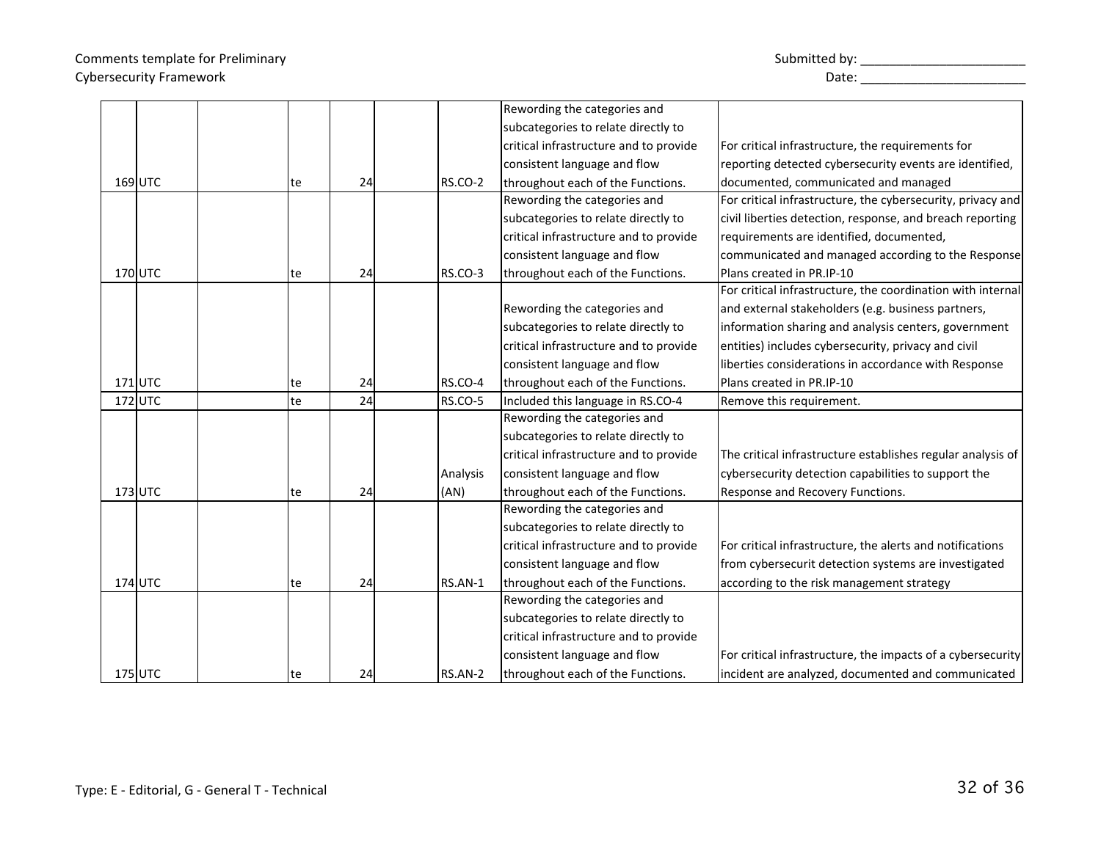## Comments template for Preliminary and the state of the state of the Submitted by: \_\_\_\_\_\_\_\_\_\_\_\_\_\_\_\_\_\_\_\_\_\_\_\_\_\_\_\_ Cybersecurity Framework **Example 20** and the Cybersecurity Framework Date:

|           |     |    |          | Rewording the categories and           |                                                             |
|-----------|-----|----|----------|----------------------------------------|-------------------------------------------------------------|
|           |     |    |          | subcategories to relate directly to    |                                                             |
|           |     |    |          | critical infrastructure and to provide | For critical infrastructure, the requirements for           |
|           |     |    |          | consistent language and flow           | reporting detected cybersecurity events are identified,     |
| $169$ UTC | te  | 24 | RS.CO-2  | throughout each of the Functions.      | documented, communicated and managed                        |
|           |     |    |          | Rewording the categories and           | For critical infrastructure, the cybersecurity, privacy and |
|           |     |    |          | subcategories to relate directly to    | civil liberties detection, response, and breach reporting   |
|           |     |    |          | critical infrastructure and to provide | requirements are identified, documented,                    |
|           |     |    |          | consistent language and flow           | communicated and managed according to the Response          |
| 170 UTC   | te  | 24 | RS.CO-3  | throughout each of the Functions.      | Plans created in PR.IP-10                                   |
|           |     |    |          |                                        | For critical infrastructure, the coordination with internal |
|           |     |    |          | Rewording the categories and           | and external stakeholders (e.g. business partners,          |
|           |     |    |          | subcategories to relate directly to    | information sharing and analysis centers, government        |
|           |     |    |          | critical infrastructure and to provide | entities) includes cybersecurity, privacy and civil         |
|           |     |    |          | consistent language and flow           | liberties considerations in accordance with Response        |
| $171$ UTC | te  | 24 | RS.CO-4  | throughout each of the Functions.      | Plans created in PR.IP-10                                   |
| 172 UTC   | te  | 24 | RS.CO-5  | Included this language in RS.CO-4      | Remove this requirement.                                    |
|           |     |    |          | Rewording the categories and           |                                                             |
|           |     |    |          | subcategories to relate directly to    |                                                             |
|           |     |    |          | critical infrastructure and to provide | The critical infrastructure establishes regular analysis of |
|           |     |    | Analysis | consistent language and flow           | cybersecurity detection capabilities to support the         |
| 173 UTC   | te  | 24 | (AN)     | throughout each of the Functions.      | Response and Recovery Functions.                            |
|           |     |    |          | Rewording the categories and           |                                                             |
|           |     |    |          | subcategories to relate directly to    |                                                             |
|           |     |    |          | critical infrastructure and to provide | For critical infrastructure, the alerts and notifications   |
|           |     |    |          | consistent language and flow           | from cybersecurit detection systems are investigated        |
| 174 UTC   | te  | 24 | RS.AN-1  | throughout each of the Functions.      | according to the risk management strategy                   |
|           |     |    |          | Rewording the categories and           |                                                             |
|           |     |    |          | subcategories to relate directly to    |                                                             |
|           |     |    |          | critical infrastructure and to provide |                                                             |
|           |     |    |          | consistent language and flow           | For critical infrastructure, the impacts of a cybersecurity |
| 175 UTC   | lte | 24 | RS.AN-2  | throughout each of the Functions.      | incident are analyzed, documented and communicated          |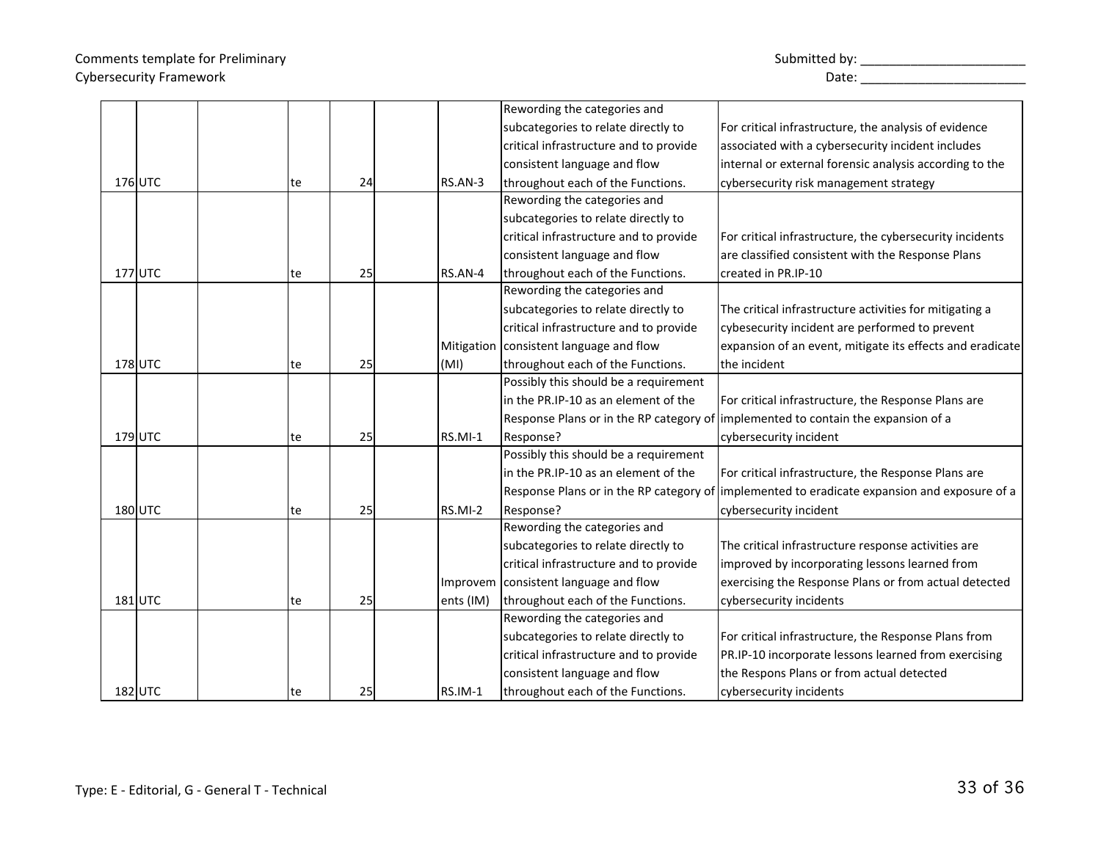|           |    |    |           | Rewording the categories and              |                                                                                              |
|-----------|----|----|-----------|-------------------------------------------|----------------------------------------------------------------------------------------------|
|           |    |    |           | subcategories to relate directly to       | For critical infrastructure, the analysis of evidence                                        |
|           |    |    |           | critical infrastructure and to provide    | associated with a cybersecurity incident includes                                            |
|           |    |    |           | consistent language and flow              | internal or external forensic analysis according to the                                      |
| 176 UTC   | te | 24 | RS.AN-3   | throughout each of the Functions.         | cybersecurity risk management strategy                                                       |
|           |    |    |           | Rewording the categories and              |                                                                                              |
|           |    |    |           | subcategories to relate directly to       |                                                                                              |
|           |    |    |           | critical infrastructure and to provide    | For critical infrastructure, the cybersecurity incidents                                     |
|           |    |    |           | consistent language and flow              | are classified consistent with the Response Plans                                            |
| 177 UTC   | te | 25 | RS.AN-4   | throughout each of the Functions.         | created in PR.IP-10                                                                          |
|           |    |    |           | Rewording the categories and              |                                                                                              |
|           |    |    |           | subcategories to relate directly to       | The critical infrastructure activities for mitigating a                                      |
|           |    |    |           | critical infrastructure and to provide    | cybesecurity incident are performed to prevent                                               |
|           |    |    |           | Mitigation   consistent language and flow | expansion of an event, mitigate its effects and eradicate                                    |
| 178 UTC   | te | 25 | (MI)      | throughout each of the Functions.         | lthe incident                                                                                |
|           |    |    |           | Possibly this should be a requirement     |                                                                                              |
|           |    |    |           | in the PR.IP-10 as an element of the      | For critical infrastructure, the Response Plans are                                          |
|           |    |    |           |                                           | Response Plans or in the RP category of implemented to contain the expansion of a            |
| 179 UTC   | te | 25 | RS.MI-1   | Response?                                 | cybersecurity incident                                                                       |
|           |    |    |           | Possibly this should be a requirement     |                                                                                              |
|           |    |    |           | in the PR.IP-10 as an element of the      | For critical infrastructure, the Response Plans are                                          |
|           |    |    |           |                                           | Response Plans or in the RP category of implemented to eradicate expansion and exposure of a |
| 180UTC    | te | 25 | RS.MI-2   | Response?                                 | cybersecurity incident                                                                       |
|           |    |    |           | Rewording the categories and              |                                                                                              |
|           |    |    |           | subcategories to relate directly to       | The critical infrastructure response activities are                                          |
|           |    |    |           | critical infrastructure and to provide    | improved by incorporating lessons learned from                                               |
|           |    |    | Improvem  | consistent language and flow              | exercising the Response Plans or from actual detected                                        |
| $181$ UTC | te | 25 | ents (IM) | throughout each of the Functions.         | cybersecurity incidents                                                                      |
|           |    |    |           | Rewording the categories and              |                                                                                              |
|           |    |    |           | subcategories to relate directly to       | For critical infrastructure, the Response Plans from                                         |
|           |    |    |           | critical infrastructure and to provide    | PR.IP-10 incorporate lessons learned from exercising                                         |
|           |    |    |           | consistent language and flow              | the Respons Plans or from actual detected                                                    |
| 182 UTC   | te | 25 | RS.IM-1   | throughout each of the Functions.         | cybersecurity incidents                                                                      |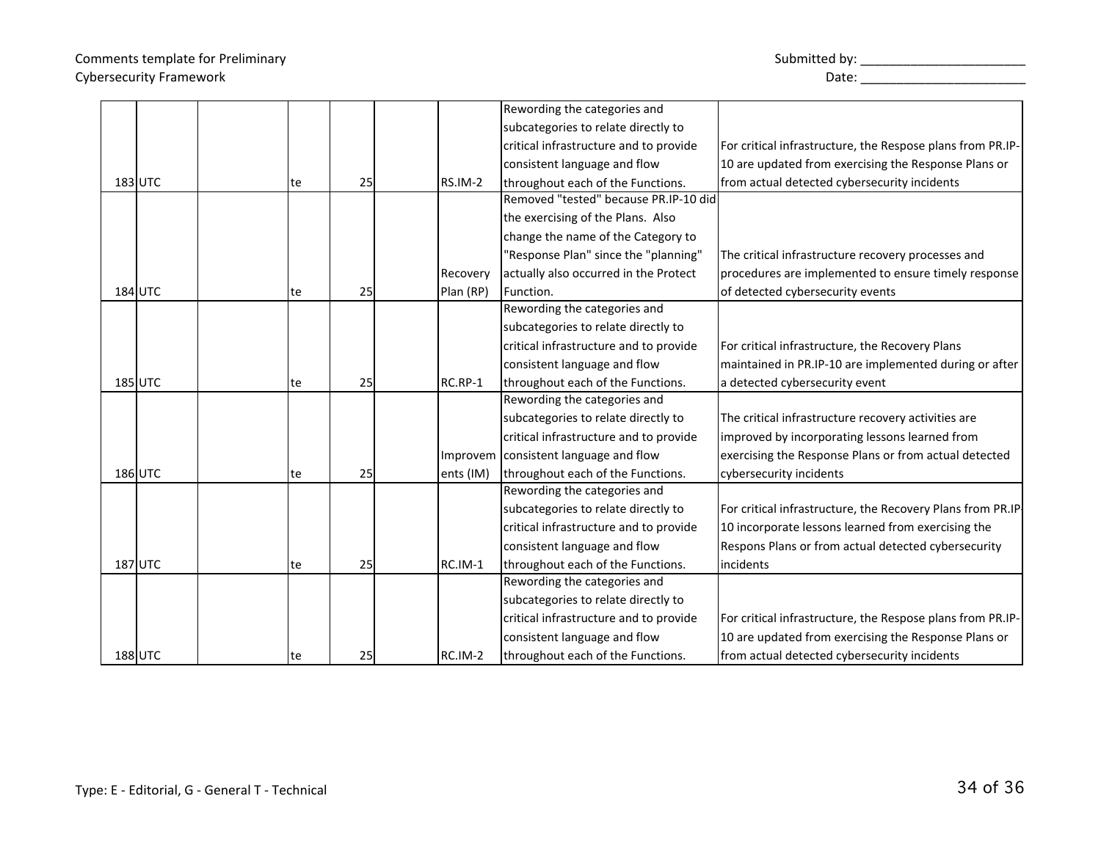# Comments template for Preliminary and the state of the state of the Submitted by: \_\_\_\_\_\_\_\_\_\_\_\_\_\_\_\_\_\_\_\_\_\_\_\_\_\_\_\_ Cybersecurity Framework Date: \_\_\_\_\_\_\_\_\_\_\_\_\_\_\_\_\_\_\_\_\_\_\_

Type: E - Editorial, G - General T - Technical

|                |    |    |           | Rewording the categories and           |                                                            |
|----------------|----|----|-----------|----------------------------------------|------------------------------------------------------------|
|                |    |    |           | subcategories to relate directly to    |                                                            |
|                |    |    |           | critical infrastructure and to provide | For critical infrastructure, the Respose plans from PR.IP- |
|                |    |    |           | consistent language and flow           | 10 are updated from exercising the Response Plans or       |
| 183 UTC        | te | 25 | RS.IM-2   | throughout each of the Functions.      | from actual detected cybersecurity incidents               |
|                |    |    |           | Removed "tested" because PR.IP-10 did  |                                                            |
|                |    |    |           | the exercising of the Plans. Also      |                                                            |
|                |    |    |           | change the name of the Category to     |                                                            |
|                |    |    |           | 'Response Plan" since the "planning"   | The critical infrastructure recovery processes and         |
|                |    |    | Recovery  | actually also occurred in the Protect  | procedures are implemented to ensure timely response       |
| 184 UTC        | te | 25 | Plan (RP) | Function.                              | of detected cybersecurity events                           |
|                |    |    |           | Rewording the categories and           |                                                            |
|                |    |    |           | subcategories to relate directly to    |                                                            |
|                |    |    |           | critical infrastructure and to provide | For critical infrastructure, the Recovery Plans            |
|                |    |    |           | consistent language and flow           | maintained in PR.IP-10 are implemented during or after     |
| 185 UTC        | te | 25 | RC.RP-1   | throughout each of the Functions.      | a detected cybersecurity event                             |
|                |    |    |           | Rewording the categories and           |                                                            |
|                |    |    |           | subcategories to relate directly to    | The critical infrastructure recovery activities are        |
|                |    |    |           | critical infrastructure and to provide | improved by incorporating lessons learned from             |
|                |    |    | Improvem  | consistent language and flow           | exercising the Response Plans or from actual detected      |
| 186 UTC        | te | 25 | ents (IM) | throughout each of the Functions.      | cybersecurity incidents                                    |
|                |    |    |           | Rewording the categories and           |                                                            |
|                |    |    |           | subcategories to relate directly to    | For critical infrastructure, the Recovery Plans from PR.IP |
|                |    |    |           | critical infrastructure and to provide | 10 incorporate lessons learned from exercising the         |
|                |    |    |           | consistent language and flow           | Respons Plans or from actual detected cybersecurity        |
| <b>187 UTC</b> | te | 25 | RC.IM-1   | throughout each of the Functions.      | lincidents                                                 |
|                |    |    |           | Rewording the categories and           |                                                            |
|                |    |    |           | subcategories to relate directly to    |                                                            |
|                |    |    |           | critical infrastructure and to provide | For critical infrastructure, the Respose plans from PR.IP- |
|                |    |    |           | consistent language and flow           | 10 are updated from exercising the Response Plans or       |
| 188 UTC        | te | 25 | RC.IM-2   | throughout each of the Functions.      | from actual detected cybersecurity incidents               |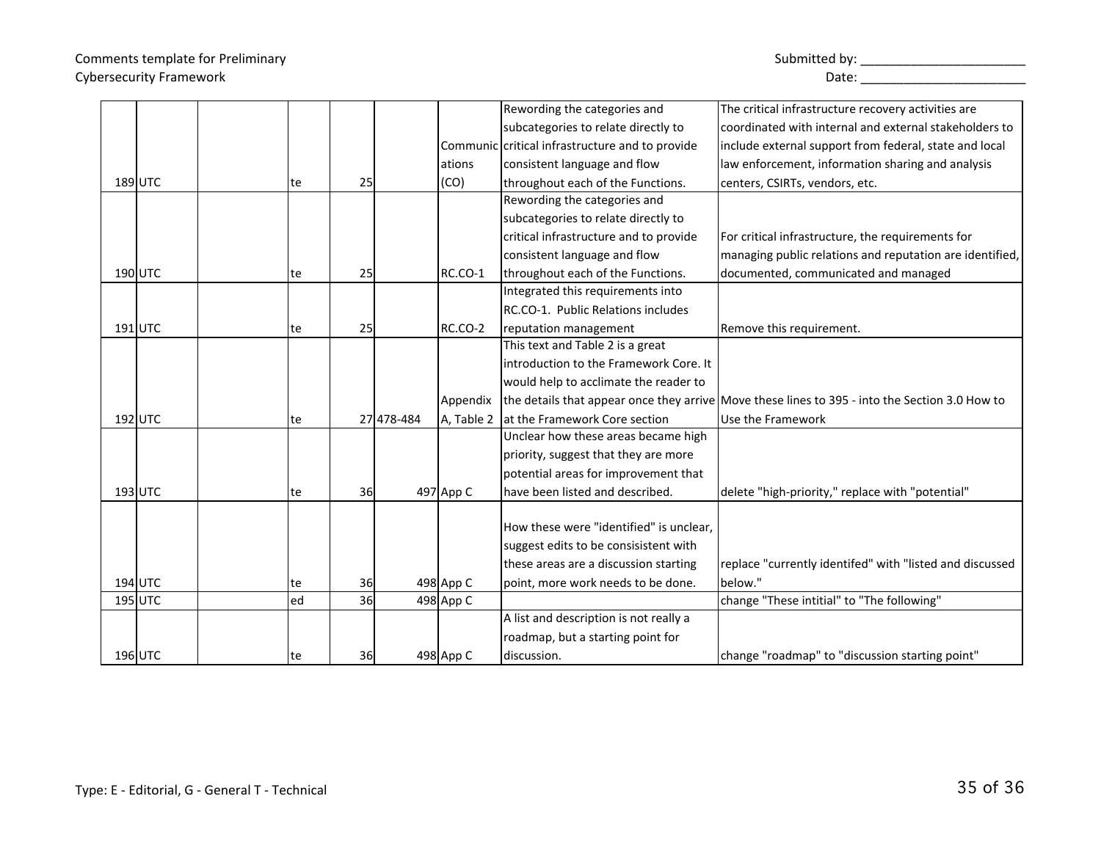## Comments template for Preliminary example that the state of the Submitted by: \_\_\_\_\_\_\_\_\_\_\_\_\_\_\_\_\_\_\_\_\_\_\_\_\_\_\_\_\_\_\_\_ Cybersecurity Framework **Example 20** and the Cybersecurity Framework and the Date:

|           |      |    |            |             | Rewording the categories and                    | The critical infrastructure recovery activities are                                            |
|-----------|------|----|------------|-------------|-------------------------------------------------|------------------------------------------------------------------------------------------------|
|           |      |    |            |             | subcategories to relate directly to             | coordinated with internal and external stakeholders to                                         |
|           |      |    |            |             | Communic critical infrastructure and to provide | include external support from federal, state and local                                         |
|           |      |    |            | ations      | consistent language and flow                    | law enforcement, information sharing and analysis                                              |
| 189 UTC   | te   | 25 |            | (CO)        | throughout each of the Functions.               | centers, CSIRTs, vendors, etc.                                                                 |
|           |      |    |            |             | Rewording the categories and                    |                                                                                                |
|           |      |    |            |             | subcategories to relate directly to             |                                                                                                |
|           |      |    |            |             | critical infrastructure and to provide          | For critical infrastructure, the requirements for                                              |
|           |      |    |            |             | consistent language and flow                    | managing public relations and reputation are identified,                                       |
| $190$ UTC | te   | 25 |            | RC.CO-1     | throughout each of the Functions.               | documented, communicated and managed                                                           |
|           |      |    |            |             | Integrated this requirements into               |                                                                                                |
|           |      |    |            |             | RC.CO-1. Public Relations includes              |                                                                                                |
| $191$ UTC | te   | 25 |            | RC.CO-2     | reputation management                           | Remove this requirement.                                                                       |
|           |      |    |            |             | This text and Table 2 is a great                |                                                                                                |
|           |      |    |            |             | introduction to the Framework Core. It          |                                                                                                |
|           |      |    |            |             | would help to acclimate the reader to           |                                                                                                |
|           |      |    |            | Appendix    |                                                 | the details that appear once they arrive Move these lines to 395 - into the Section 3.0 How to |
| 192UTC    | te   |    | 27 478-484 | A, Table 2  | lat the Framework Core section                  | Use the Framework                                                                              |
|           |      |    |            |             | Unclear how these areas became high             |                                                                                                |
|           |      |    |            |             | priority, suggest that they are more            |                                                                                                |
|           |      |    |            |             | potential areas for improvement that            |                                                                                                |
| $193$ UTC | te   | 36 |            | $497$ App C | have been listed and described.                 | delete "high-priority," replace with "potential"                                               |
|           |      |    |            |             |                                                 |                                                                                                |
|           |      |    |            |             | How these were "identified" is unclear.         |                                                                                                |
|           |      |    |            |             | suggest edits to be consisistent with           |                                                                                                |
|           |      |    |            |             | these areas are a discussion starting           | replace "currently identifed" with "listed and discussed                                       |
| $194$ UTC | te   | 36 |            | $498$ App C | point, more work needs to be done.              | below."                                                                                        |
| $195$ UTC | ed   | 36 |            | 498 App C   |                                                 | change "These intitial" to "The following"                                                     |
|           |      |    |            |             | A list and description is not really a          |                                                                                                |
|           |      |    |            |             | roadmap, but a starting point for               |                                                                                                |
| 196 UTC   | lte. | 36 |            | $498$ App C | discussion.                                     | change "roadmap" to "discussion starting point"                                                |